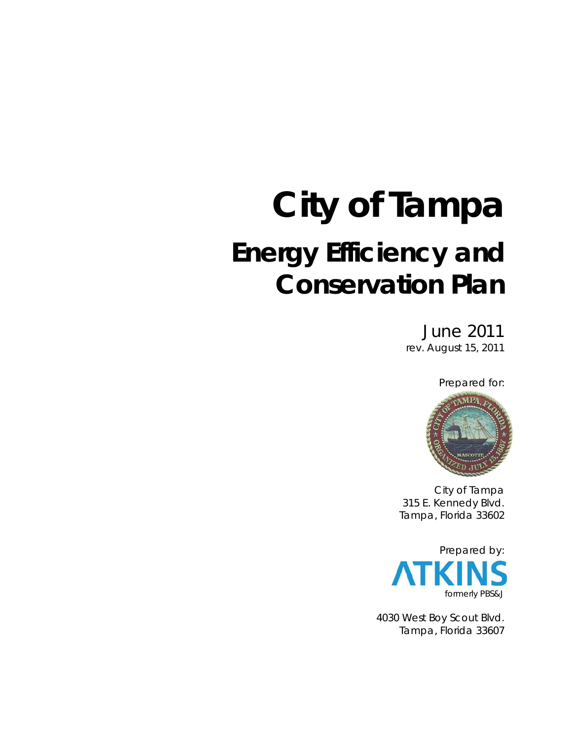# **City of Tampa Energy Efficiency and Conservation Plan**

June 2011 *rev. August 15, 2011*

> Prepared for: **MPA**

City of Tampa 315 E. Kennedy Blvd. Tampa, Florida 33602

Prepared by: formerly PBS&J

4030 West Boy Scout Blvd. Tampa, Florida 33607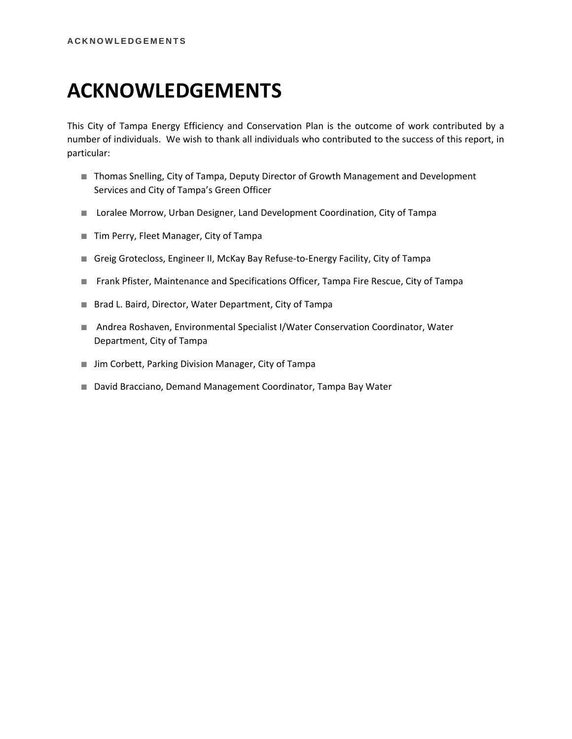## <span id="page-1-0"></span>**ACKNOWLEDGEMENTS**

This City of Tampa Energy Efficiency and Conservation Plan is the outcome of work contributed by a number of individuals. We wish to thank all individuals who contributed to the success of this report, in particular:

- Thomas Snelling, City of Tampa, Deputy Director of Growth Management and Development Services and City of Tampa's Green Officer
- **■** Loralee Morrow, Urban Designer, Land Development Coordination, City of Tampa
- **■** Tim Perry, Fleet Manager, City of Tampa
- Greig Grotecloss, Engineer II, McKay Bay Refuse-to-Energy Facility, City of Tampa
- **■** Frank Pfister, Maintenance and Specifications Officer, Tampa Fire Rescue, City of Tampa
- Brad L. Baird, Director, Water Department, City of Tampa
- Andrea Roshaven, Environmental Specialist I/Water Conservation Coordinator, Water Department, City of Tampa
- **■** Jim Corbett, Parking Division Manager, City of Tampa
- David Bracciano, Demand Management Coordinator, Tampa Bay Water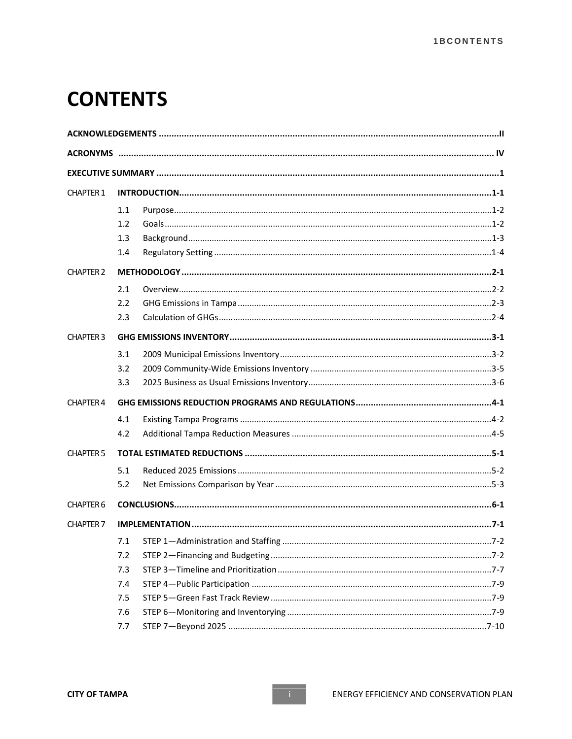## **CONTENTS**

| <b>CHAPTER 1</b> |     |  |  |
|------------------|-----|--|--|
|                  | 1.1 |  |  |
|                  | 1.2 |  |  |
|                  | 1.3 |  |  |
|                  | 1.4 |  |  |
| <b>CHAPTER 2</b> |     |  |  |
|                  | 2.1 |  |  |
|                  | 2.2 |  |  |
|                  | 2.3 |  |  |
| <b>CHAPTER 3</b> |     |  |  |
|                  | 3.1 |  |  |
|                  | 3.2 |  |  |
|                  | 3.3 |  |  |
| <b>CHAPTER 4</b> |     |  |  |
|                  | 4.1 |  |  |
|                  | 4.2 |  |  |
| <b>CHAPTER 5</b> |     |  |  |
|                  | 5.1 |  |  |
|                  | 5.2 |  |  |
| <b>CHAPTER 6</b> |     |  |  |
| <b>CHAPTER 7</b> |     |  |  |
|                  | 7.1 |  |  |
|                  | 7.2 |  |  |
|                  | 7.3 |  |  |
|                  | 7.4 |  |  |
|                  | 7.5 |  |  |
|                  | 7.6 |  |  |
|                  | 7.7 |  |  |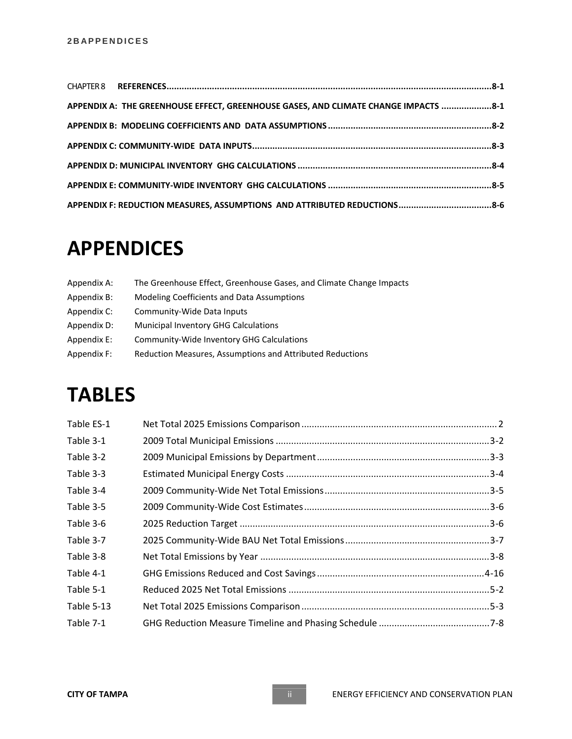| APPENDIX A: THE GREENHOUSE EFFECT, GREENHOUSE GASES, AND CLIMATE CHANGE IMPACTS  8-1 |  |
|--------------------------------------------------------------------------------------|--|
|                                                                                      |  |
|                                                                                      |  |
|                                                                                      |  |
|                                                                                      |  |
|                                                                                      |  |

## **APPENDICES**

| Appendix A: | The Greenhouse Effect, Greenhouse Gases, and Climate Change Impacts |  |  |  |  |
|-------------|---------------------------------------------------------------------|--|--|--|--|
|-------------|---------------------------------------------------------------------|--|--|--|--|

- Appendix B: Modeling Coefficients and Data Assumptions
- Appendix C: Community-Wide Data Inputs
- Appendix D: Municipal Inventory GHG Calculations
- Appendix E: Community-Wide Inventory GHG Calculations
- Appendix F: Reduction Measures, Assumptions and Attributed Reductions

## **TABLES**

| Table ES-1 |  |
|------------|--|
| Table 3-1  |  |
| Table 3-2  |  |
| Table 3-3  |  |
| Table 3-4  |  |
| Table 3-5  |  |
| Table 3-6  |  |
| Table 3-7  |  |
| Table 3-8  |  |
| Table 4-1  |  |
| Table 5-1  |  |
| Table 5-13 |  |
| Table 7-1  |  |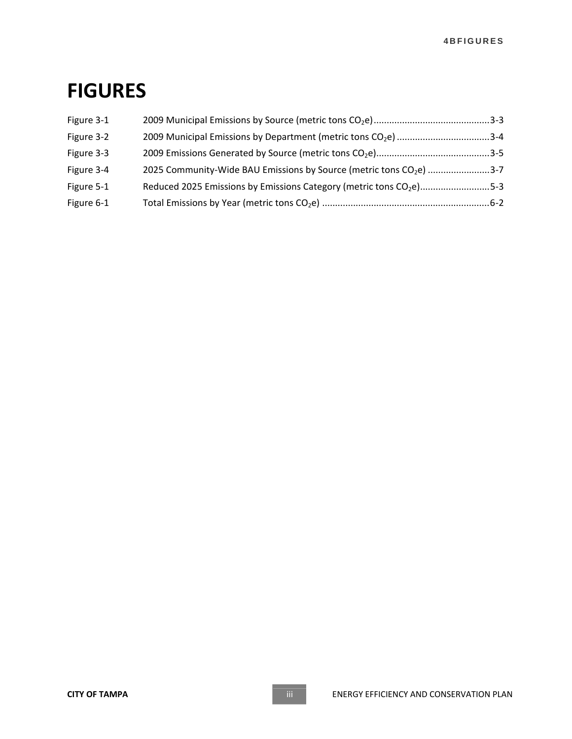## **FIGURES**

| Figure 3-1 |                                                                                 |  |
|------------|---------------------------------------------------------------------------------|--|
| Figure 3-2 |                                                                                 |  |
| Figure 3-3 |                                                                                 |  |
| Figure 3-4 | 2025 Community-Wide BAU Emissions by Source (metric tons CO <sub>2</sub> e) 3-7 |  |
| Figure 5-1 | Reduced 2025 Emissions by Emissions Category (metric tons CO <sub>2</sub> e)5-3 |  |
| Figure 6-1 |                                                                                 |  |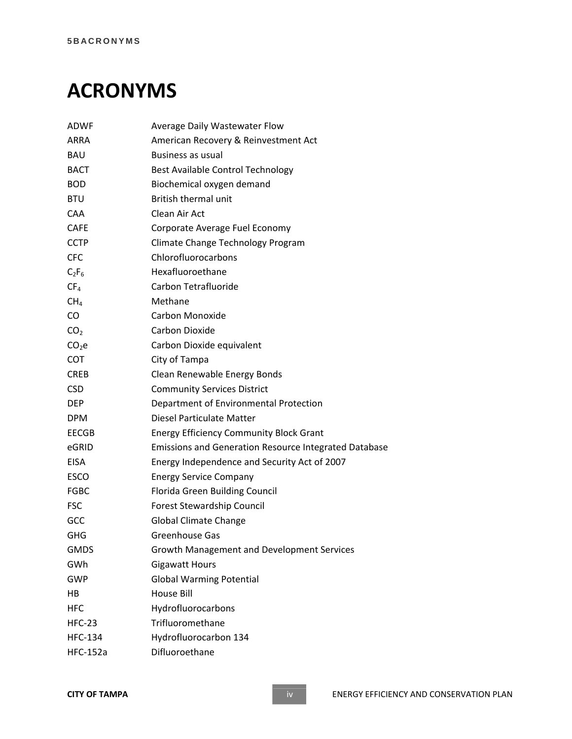## <span id="page-5-0"></span>**ACRONYMS**

| ADWF              | Average Daily Wastewater Flow                         |
|-------------------|-------------------------------------------------------|
| ARRA              | American Recovery & Reinvestment Act                  |
| <b>BAU</b>        | Business as usual                                     |
| <b>BACT</b>       | Best Available Control Technology                     |
| <b>BOD</b>        | Biochemical oxygen demand                             |
| <b>BTU</b>        | British thermal unit                                  |
| CAA               | Clean Air Act                                         |
| <b>CAFE</b>       | Corporate Average Fuel Economy                        |
| <b>CCTP</b>       | Climate Change Technology Program                     |
| <b>CFC</b>        | Chlorofluorocarbons                                   |
| $C_2F_6$          | Hexafluoroethane                                      |
| CF <sub>4</sub>   | Carbon Tetrafluoride                                  |
| CH <sub>4</sub>   | Methane                                               |
| CO                | <b>Carbon Monoxide</b>                                |
| CO <sub>2</sub>   | Carbon Dioxide                                        |
| CO <sub>2</sub> e | Carbon Dioxide equivalent                             |
| <b>COT</b>        | City of Tampa                                         |
| <b>CREB</b>       | Clean Renewable Energy Bonds                          |
| <b>CSD</b>        | <b>Community Services District</b>                    |
| <b>DEP</b>        | Department of Environmental Protection                |
| <b>DPM</b>        | Diesel Particulate Matter                             |
| EECGB             | <b>Energy Efficiency Community Block Grant</b>        |
| eGRID             | Emissions and Generation Resource Integrated Database |
| <b>EISA</b>       | Energy Independence and Security Act of 2007          |
| <b>ESCO</b>       | <b>Energy Service Company</b>                         |
| <b>FGBC</b>       | Florida Green Building Council                        |
| FSC               | Forest Stewardship Council                            |
| GCC               | <b>Global Climate Change</b>                          |
| GHG               | <b>Greenhouse Gas</b>                                 |
| <b>GMDS</b>       | <b>Growth Management and Development Services</b>     |
| GWh               | <b>Gigawatt Hours</b>                                 |
| <b>GWP</b>        | <b>Global Warming Potential</b>                       |
| HВ                | House Bill                                            |
| <b>HFC</b>        | Hydrofluorocarbons                                    |
| <b>HFC-23</b>     | Trifluoromethane                                      |
| <b>HFC-134</b>    | Hydrofluorocarbon 134                                 |
| <b>HFC-152a</b>   | Difluoroethane                                        |
|                   |                                                       |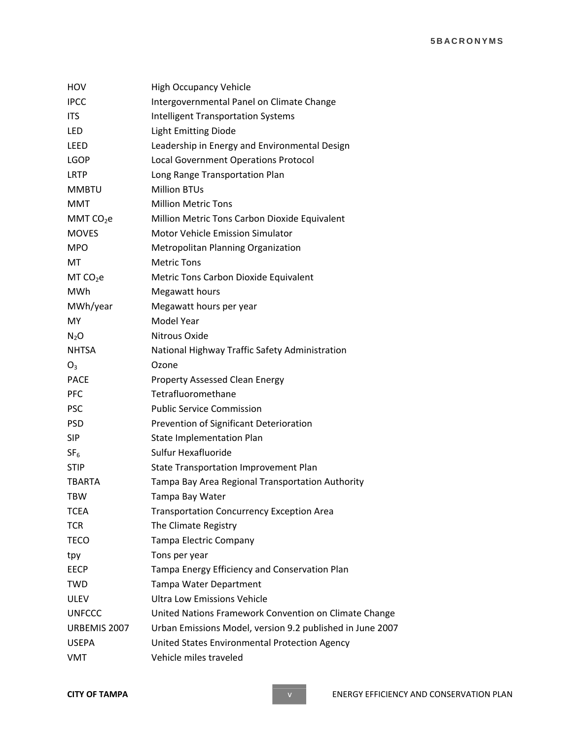| <b>HOV</b>            | <b>High Occupancy Vehicle</b>                             |
|-----------------------|-----------------------------------------------------------|
| <b>IPCC</b>           | Intergovernmental Panel on Climate Change                 |
| <b>ITS</b>            | <b>Intelligent Transportation Systems</b>                 |
| <b>LED</b>            | <b>Light Emitting Diode</b>                               |
| <b>LEED</b>           | Leadership in Energy and Environmental Design             |
| <b>LGOP</b>           | <b>Local Government Operations Protocol</b>               |
| <b>LRTP</b>           | Long Range Transportation Plan                            |
| <b>MMBTU</b>          | <b>Million BTUs</b>                                       |
| <b>MMT</b>            | <b>Million Metric Tons</b>                                |
| MMT CO <sub>2</sub> e | Million Metric Tons Carbon Dioxide Equivalent             |
| <b>MOVES</b>          | <b>Motor Vehicle Emission Simulator</b>                   |
| <b>MPO</b>            | Metropolitan Planning Organization                        |
| МT                    | <b>Metric Tons</b>                                        |
| MT CO <sub>2</sub> e  | Metric Tons Carbon Dioxide Equivalent                     |
| <b>MWh</b>            | Megawatt hours                                            |
| MWh/year              | Megawatt hours per year                                   |
| <b>MY</b>             | Model Year                                                |
| $N_2O$                | Nitrous Oxide                                             |
| <b>NHTSA</b>          | National Highway Traffic Safety Administration            |
| $O_3$                 | Ozone                                                     |
| <b>PACE</b>           | Property Assessed Clean Energy                            |
| <b>PFC</b>            | Tetrafluoromethane                                        |
| <b>PSC</b>            | <b>Public Service Commission</b>                          |
| <b>PSD</b>            | Prevention of Significant Deterioration                   |
| <b>SIP</b>            | State Implementation Plan                                 |
| SF <sub>6</sub>       | Sulfur Hexafluoride                                       |
| <b>STIP</b>           | <b>State Transportation Improvement Plan</b>              |
| <b>TBARTA</b>         | Tampa Bay Area Regional Transportation Authority          |
| <b>TBW</b>            | Tampa Bay Water                                           |
| <b>TCEA</b>           | <b>Transportation Concurrency Exception Area</b>          |
| <b>TCR</b>            | The Climate Registry                                      |
| <b>TECO</b>           | Tampa Electric Company                                    |
| tpy                   | Tons per year                                             |
| <b>EECP</b>           | Tampa Energy Efficiency and Conservation Plan             |
| <b>TWD</b>            | Tampa Water Department                                    |
| <b>ULEV</b>           | <b>Ultra Low Emissions Vehicle</b>                        |
| <b>UNFCCC</b>         | United Nations Framework Convention on Climate Change     |
| URBEMIS 2007          | Urban Emissions Model, version 9.2 published in June 2007 |
| <b>USEPA</b>          | United States Environmental Protection Agency             |
| <b>VMT</b>            | Vehicle miles traveled                                    |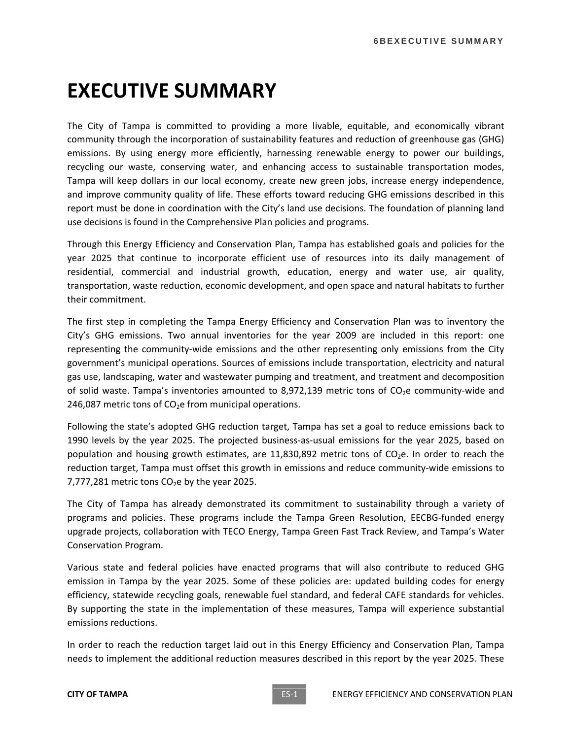## <span id="page-8-0"></span>**EXECUTIVE SUMMARY**

The City of Tampa is committed to providing a more livable, equitable, and economically vibrant community through the incorporation of sustainability features and reduction of greenhouse gas (GHG) emissions. By using energy more efficiently, harnessing renewable energy to power our buildings, recycling our waste, conserving water, and enhancing access to sustainable transportation modes, Tampa will keep dollars in our local economy, create new green jobs, increase energy independence, and improve community quality of life. These efforts toward reducing GHG emissions described in this report must be done in coordination with the City's land use decisions. The foundation of planning land use decisions is found in the Comprehensive Plan policies and programs.

Through this Energy Efficiency and Conservation Plan, Tampa has established goals and policies for the year 2025 that continue to incorporate efficient use of resources into its daily management of residential, commercial and industrial growth, education, energy and water use, air quality, transportation, waste reduction, economic development, and open space and natural habitats to further their commitment.

The first step in completing the Tampa Energy Efficiency and Conservation Plan was to inventory the City's GHG emissions. Two annual inventories for the year 2009 are included in this report: one representing the community‐wide emissions and the other representing only emissions from the City government's municipal operations. Sources of emissions include transportation, electricity and natural gas use, landscaping, water and wastewater pumping and treatment, and treatment and decomposition of solid waste. Tampa's inventories amounted to 8,972,139 metric tons of  $CO<sub>2</sub>e$  community-wide and 246,087 metric tons of  $CO<sub>2</sub>e$  from municipal operations.

Following the state's adopted GHG reduction target, Tampa has set a goal to reduce emissions back to 1990 levels by the year 2025. The projected business‐as‐usual emissions for the year 2025, based on population and housing growth estimates, are 11,830,892 metric tons of  $CO<sub>2</sub>e$ . In order to reach the reduction target, Tampa must offset this growth in emissions and reduce community‐wide emissions to 7,777,281 metric tons  $CO<sub>2</sub>e$  by the year 2025.

The City of Tampa has already demonstrated its commitment to sustainability through a variety of programs and policies. These programs include the Tampa Green Resolution, EECBG-funded energy upgrade projects, collaboration with TECO Energy, Tampa Green Fast Track Review, and Tampa's Water Conservation Program.

Various state and federal policies have enacted programs that will also contribute to reduced GHG emission in Tampa by the year 2025. Some of these policies are: updated building codes for energy efficiency, statewide recycling goals, renewable fuel standard, and federal CAFE standards for vehicles. By supporting the state in the implementation of these measures, Tampa will experience substantial emissions reductions.

In order to reach the reduction target laid out in this Energy Efficiency and Conservation Plan, Tampa needs to implement the additional reduction measures described in this report by the year 2025. These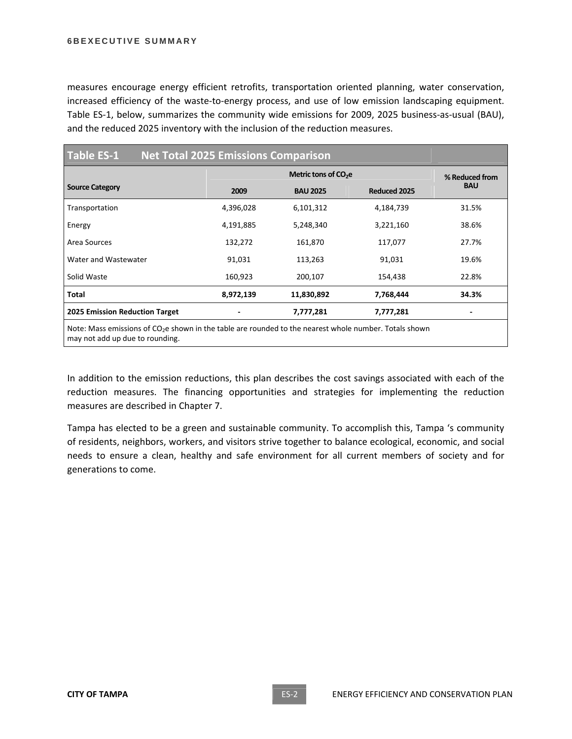measures encourage energy efficient retrofits, transportation oriented planning, water conservation, increased efficiency of the waste‐to‐energy process, and use of low emission landscaping equipment. Table ES-1, below, summarizes the community wide emissions for 2009, 2025 business-as-usual (BAU), and the reduced 2025 inventory with the inclusion of the reduction measures.

<span id="page-9-0"></span>

| <b>Table ES-1</b>                                                                                    | <b>Net Total 2025 Emissions Comparison</b> |                                  |              |            |
|------------------------------------------------------------------------------------------------------|--------------------------------------------|----------------------------------|--------------|------------|
|                                                                                                      |                                            | Metric tons of CO <sub>2</sub> e |              |            |
| <b>Source Category</b>                                                                               | 2009                                       | <b>BAU 2025</b>                  | Reduced 2025 | <b>BAU</b> |
| Transportation                                                                                       | 4,396,028                                  | 6,101,312                        | 4,184,739    | 31.5%      |
| Energy                                                                                               | 4,191,885                                  | 5,248,340                        | 3,221,160    | 38.6%      |
| Area Sources                                                                                         | 132,272                                    | 161,870                          | 117,077      | 27.7%      |
| Water and Wastewater                                                                                 | 91,031                                     | 113,263                          | 91,031       | 19.6%      |
| Solid Waste                                                                                          | 160,923                                    | 200,107                          | 154,438      | 22.8%      |
| <b>Total</b>                                                                                         | 8,972,139                                  | 11,830,892                       | 7,768,444    | 34.3%      |
| <b>2025 Emission Reduction Target</b>                                                                |                                            | 7,777,281                        | 7,777,281    |            |
| let ulges amissions of CO o shown in the table are reunded to the pearset whole number. Totals shown |                                            |                                  |              |            |

Note: Mass emissions of CO<sub>2</sub>e shown in the table are rounded to the nearest whole number. Totals shown may not add up due to rounding.

In addition to the emission reductions, this plan describes the cost savings associated with each of the reduction measures. The financing opportunities and strategies for implementing the reduction measures are described in Chapter 7.

Tampa has elected to be a green and sustainable community. To accomplish this, Tampa 's community of residents, neighbors, workers, and visitors strive together to balance ecological, economic, and social needs to ensure a clean, healthy and safe environment for all current members of society and for generations to come.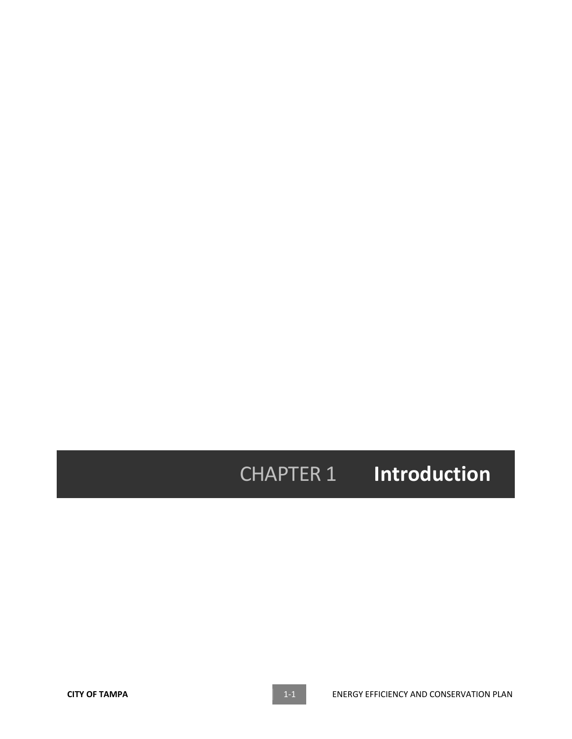## <span id="page-10-0"></span>**CHAPTER 1 Introduction**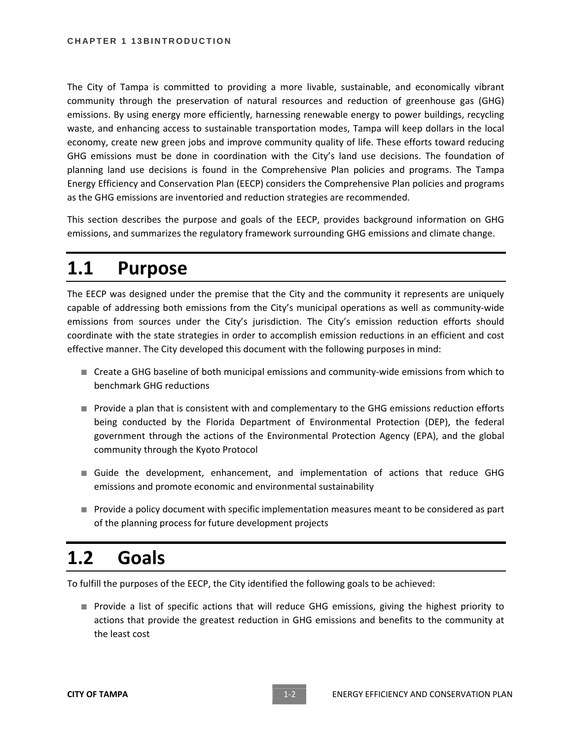The City of Tampa is committed to providing a more livable, sustainable, and economically vibrant community through the preservation of natural resources and reduction of greenhouse gas (GHG) emissions. By using energy more efficiently, harnessing renewable energy to power buildings, recycling waste, and enhancing access to sustainable transportation modes, Tampa will keep dollars in the local economy, create new green jobs and improve community quality of life. These efforts toward reducing GHG emissions must be done in coordination with the City's land use decisions. The foundation of planning land use decisions is found in the Comprehensive Plan policies and programs. The Tampa Energy Efficiency and Conservation Plan (EECP) considers the Comprehensive Plan policies and programs as the GHG emissions are inventoried and reduction strategies are recommended.

This section describes the purpose and goals of the EECP, provides background information on GHG emissions, and summarizes the regulatory framework surrounding GHG emissions and climate change.

#### <span id="page-11-0"></span>**1.1 Purpose**

The EECP was designed under the premise that the City and the community it represents are uniquely capable of addressing both emissions from the City's municipal operations as well as community‐wide emissions from sources under the City's jurisdiction. The City's emission reduction efforts should coordinate with the state strategies in order to accomplish emission reductions in an efficient and cost effective manner. The City developed this document with the following purposes in mind:

- Create a GHG baseline of both municipal emissions and community-wide emissions from which to benchmark GHG reductions
- Provide a plan that is consistent with and complementary to the GHG emissions reduction efforts being conducted by the Florida Department of Environmental Protection (DEP), the federal government through the actions of the Environmental Protection Agency (EPA), and the global community through the Kyoto Protocol
- **■** Guide the development, enhancement, and implementation of actions that reduce GHG emissions and promote economic and environmental sustainability
- Provide a policy document with specific implementation measures meant to be considered as part of the planning process for future development projects

## <span id="page-11-1"></span>**1.2 Goals**

To fulfill the purposes of the EECP, the City identified the following goals to be achieved:

■ Provide a list of specific actions that will reduce GHG emissions, giving the highest priority to actions that provide the greatest reduction in GHG emissions and benefits to the community at the least cost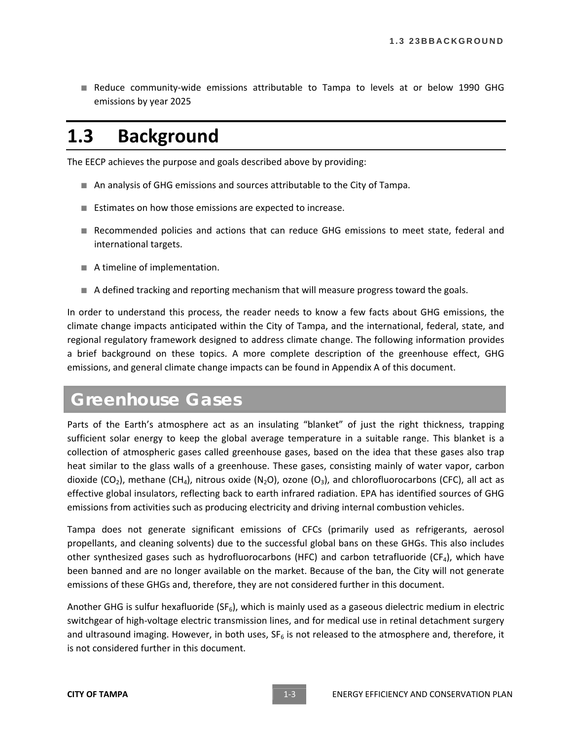■ Reduce community-wide emissions attributable to Tampa to levels at or below 1990 GHG emissions by year 2025

## <span id="page-12-0"></span>**1.3 Background**

The EECP achieves the purpose and goals described above by providing:

- An analysis of GHG emissions and sources attributable to the City of Tampa.
- Estimates on how those emissions are expected to increase.
- Recommended policies and actions that can reduce GHG emissions to meet state, federal and international targets.
- A timeline of implementation.
- A defined tracking and reporting mechanism that will measure progress toward the goals.

In order to understand this process, the reader needs to know a few facts about GHG emissions, the climate change impacts anticipated within the City of Tampa, and the international, federal, state, and regional regulatory framework designed to address climate change. The following information provides a brief background on these topics. A more complete description of the greenhouse effect, GHG emissions, and general climate change impacts can be found in Appendix A of this document.

#### **Greenhouse Gases**

Parts of the Earth's atmosphere act as an insulating "blanket" of just the right thickness, trapping sufficient solar energy to keep the global average temperature in a suitable range. This blanket is a collection of atmospheric gases called greenhouse gases, based on the idea that these gases also trap heat similar to the glass walls of a greenhouse. These gases, consisting mainly of water vapor, carbon dioxide (CO<sub>2</sub>), methane (CH<sub>4</sub>), nitrous oxide (N<sub>2</sub>O), ozone (O<sub>3</sub>), and chlorofluorocarbons (CFC), all act as effective global insulators, reflecting back to earth infrared radiation. EPA has identified sources of GHG emissions from activities such as producing electricity and driving internal combustion vehicles.

Tampa does not generate significant emissions of CFCs (primarily used as refrigerants, aerosol propellants, and cleaning solvents) due to the successful global bans on these GHGs. This also includes other synthesized gases such as hydrofluorocarbons (HFC) and carbon tetrafluoride ( $CF<sub>4</sub>$ ), which have been banned and are no longer available on the market. Because of the ban, the City will not generate emissions of these GHGs and, therefore, they are not considered further in this document.

Another GHG is sulfur hexafluoride ( $SF<sub>6</sub>$ ), which is mainly used as a gaseous dielectric medium in electric switchgear of high-voltage electric transmission lines, and for medical use in retinal detachment surgery and ultrasound imaging. However, in both uses,  $SF<sub>6</sub>$  is not released to the atmosphere and, therefore, it is not considered further in this document.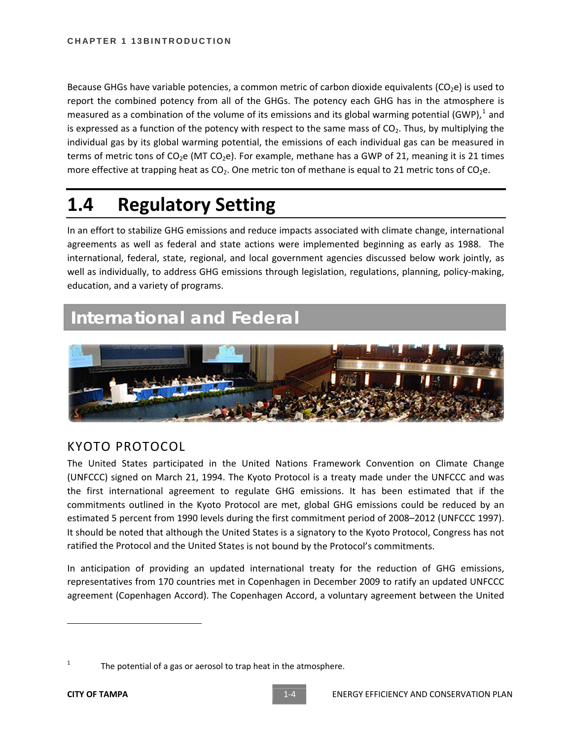Because GHGs have variable potencies, a common metric of carbon dioxide equivalents ( $CO<sub>2</sub>e$ ) is used to report the combined potency from all of the GHGs. The potency each GHG has in the atmosphere is measured as a combination of the volume of its emissions and its global warming potential (GWP), $^1$  $^1$  and is expressed as a function of the potency with respect to the same mass of  $CO<sub>2</sub>$ . Thus, by multiplying the individual gas by its global warming potential, the emissions of each individual gas can be measured in terms of metric tons of  $CO<sub>2</sub>e$  (MT  $CO<sub>2</sub>e$ ). For example, methane has a GWP of 21, meaning it is 21 times more effective at trapping heat as  $CO<sub>2</sub>$ . One metric ton of methane is equal to 21 metric tons of  $CO<sub>2</sub>e$ .

## <span id="page-13-0"></span>**1.4 Regulatory Setting**

In an effort to stabilize GHG emissions and reduce impacts associated with climate change, international agreements as well as federal and state actions were implemented beginning as early as 1988. The international, federal, state, regional, and local government agencies discussed below work jointly, as well as individually, to address GHG emissions through legislation, regulations, planning, policy-making, education, and a variety of programs.

#### **International and Federal**



#### KYOTO PROTOCOL

The United States participated in the United Nations Framework Convention on Climate Change (UNFCCC) signed on March 21, 1994. The Kyoto Protocol is a treaty made under the UNFCCC and was the first international agreement to regulate GHG emissions. It has been estimated that if the commitments outlined in the Kyoto Protocol are met, global GHG emissions could be reduced by an estimated 5 percent from 1990 levels during the first commitment period of 2008–2012 (UNFCCC 1997). It should be noted that although the United States is a signatory to the Kyoto Protocol, Congress has not ratified the Protocol and the United States is not bound by the Protocol's commitments.

In anticipation of providing an updated international treaty for the reduction of GHG emissions, representatives from 170 countries met in Copenhagen in December 2009 to ratify an updated UNFCCC agreement (Copenhagen Accord). The Copenhagen Accord, a voluntary agreement between the United

<span id="page-13-1"></span><sup>&</sup>lt;sup>1</sup> The potential of a gas or aerosol to trap heat in the atmosphere.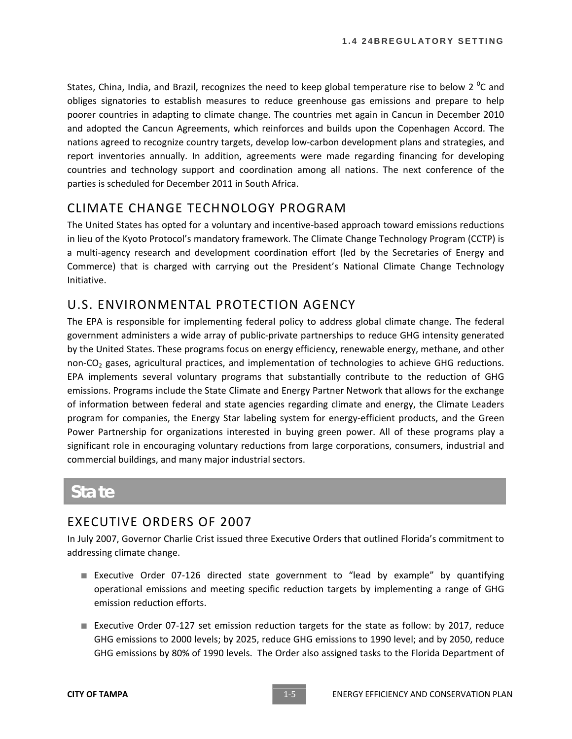States, China, India, and Brazil, recognizes the need to keep global temperature rise to below 2  $^0$ C and obliges signatories to establish measures to reduce greenhouse gas emissions and prepare to help poorer countries in adapting to climate change. The countries met again in Cancun in December 2010 and adopted the Cancun Agreements, which reinforces and builds upon the Copenhagen Accord. The nations agreed to recognize country targets, develop low‐carbon development plans and strategies, and report inventories annually. In addition, agreements were made regarding financing for developing countries and technology support and coordination among all nations. The next conference of the parties is scheduled for December 2011 in South Africa.

#### CLIMATE CHANGE TECHNOLOGY PROGRAM

The United States has opted for a voluntary and incentive‐based approach toward emissions reductions in lieu of the Kyoto Protocol's mandatory framework. The Climate Change Technology Program (CCTP) is a multi-agency research and development coordination effort (led by the Secretaries of Energy and Commerce) that is charged with carrying out the President's National Climate Change Technology Initiative.

#### U.S. ENVIRONMENTAL PROTECTION AGENCY

The EPA is responsible for implementing federal policy to address global climate change. The federal government administers a wide array of public‐private partnerships to reduce GHG intensity generated by the United States. These programs focus on energy efficiency, renewable energy, methane, and other non‐CO<sub>2</sub> gases, agricultural practices, and implementation of technologies to achieve GHG reductions. EPA implements several voluntary programs that substantially contribute to the reduction of GHG emissions. Programs include the State Climate and Energy Partner Network that allows for the exchange of information between federal and state agencies regarding climate and energy, the Climate Leaders program for companies, the Energy Star labeling system for energy-efficient products, and the Green Power Partnership for organizations interested in buying green power. All of these programs play a significant role in encouraging voluntary reductions from large corporations, consumers, industrial and commercial buildings, and many major industrial sectors.

#### **State**

#### EXECUTIVE ORDERS OF 2007

In July 2007, Governor Charlie Crist issued three Executive Orders that outlined Florida's commitment to addressing climate change.

- Executive Order 07-126 directed state government to "lead by example" by quantifying operational emissions and meeting specific reduction targets by implementing a range of GHG emission reduction efforts.
- Executive Order 07-127 set emission reduction targets for the state as follow: by 2017, reduce GHG emissions to 2000 levels; by 2025, reduce GHG emissions to 1990 level; and by 2050, reduce GHG emissions by 80% of 1990 levels. The Order also assigned tasks to the Florida Department of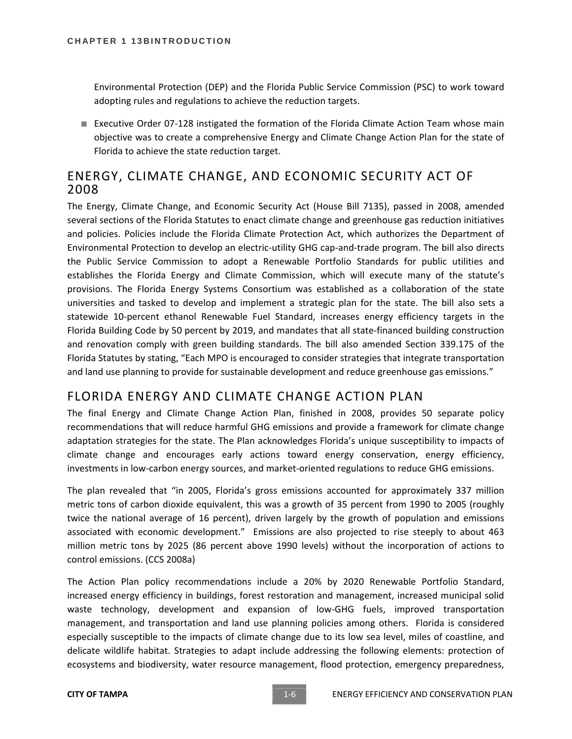Environmental Protection (DEP) and the Florida Public Service Commission (PSC) to work toward adopting rules and regulations to achieve the reduction targets.

■ Executive Order 07-128 instigated the formation of the Florida Climate Action Team whose main objective was to create a comprehensive Energy and Climate Change Action Plan for the state of Florida to achieve the state reduction target.

#### ENERGY, CLIMATE CHANGE, AND ECONOMIC SECURITY ACT OF 2008

The Energy, Climate Change, and Economic Security Act (House Bill 7135), passed in 2008, amended several sections of the Florida Statutes to enact climate change and greenhouse gas reduction initiatives and policies. Policies include the Florida Climate Protection Act, which authorizes the Department of Environmental Protection to develop an electric‐utility GHG cap‐and‐trade program. The bill also directs the Public Service Commission to adopt a Renewable Portfolio Standards for public utilities and establishes the Florida Energy and Climate Commission, which will execute many of the statute's provisions. The Florida Energy Systems Consortium was established as a collaboration of the state universities and tasked to develop and implement a strategic plan for the state. The bill also sets a statewide 10‐percent ethanol Renewable Fuel Standard, increases energy efficiency targets in the Florida Building Code by 50 percent by 2019, and mandates that all state‐financed building construction and renovation comply with green building standards. The bill also amended Section 339.175 of the Florida Statutes by stating, "Each MPO is encouraged to consider strategies that integrate transportation and land use planning to provide for sustainable development and reduce greenhouse gas emissions."

#### FLORIDA ENERGY AND CLIMATE CHANGE ACTION PLAN

The final Energy and Climate Change Action Plan, finished in 2008, provides 50 separate policy recommendations that will reduce harmful GHG emissions and provide a framework for climate change adaptation strategies for the state. The Plan acknowledges Florida's unique susceptibility to impacts of climate change and encourages early actions toward energy conservation, energy efficiency, investments in low‐carbon energy sources, and market‐oriented regulations to reduce GHG emissions.

The plan revealed that "in 2005, Florida's gross emissions accounted for approximately 337 million metric tons of carbon dioxide equivalent, this was a growth of 35 percent from 1990 to 2005 (roughly twice the national average of 16 percent), driven largely by the growth of population and emissions associated with economic development." Emissions are also projected to rise steeply to about 463 million metric tons by 2025 (86 percent above 1990 levels) without the incorporation of actions to control emissions. (CCS 2008a)

The Action Plan policy recommendations include a 20% by 2020 Renewable Portfolio Standard, increased energy efficiency in buildings, forest restoration and management, increased municipal solid waste technology, development and expansion of low-GHG fuels, improved transportation management, and transportation and land use planning policies among others. Florida is considered especially susceptible to the impacts of climate change due to its low sea level, miles of coastline, and delicate wildlife habitat. Strategies to adapt include addressing the following elements: protection of ecosystems and biodiversity, water resource management, flood protection, emergency preparedness,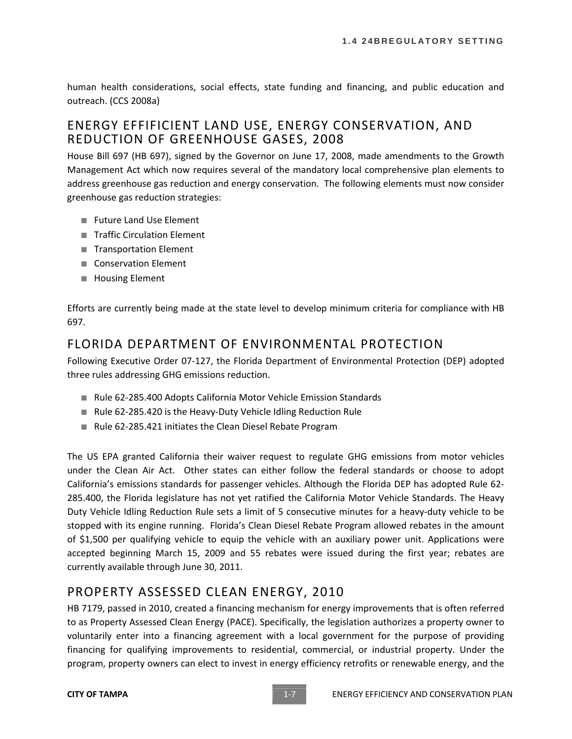human health considerations, social effects, state funding and financing, and public education and outreach. (CCS 2008a)

#### ENERGY EFFIFICIENT LAND USE, ENERGY CONSERVATION, AND REDUCTION OF GREENHOUSE GASES, 2008

House Bill 697 (HB 697), signed by the Governor on June 17, 2008, made amendments to the Growth Management Act which now requires several of the mandatory local comprehensive plan elements to address greenhouse gas reduction and energy conservation. The following elements must now consider greenhouse gas reduction strategies:

- **■** Future Land Use Element
- Traffic Circulation Element
- **■** Transportation Element
- Conservation Element
- Housing Element

Efforts are currently being made at the state level to develop minimum criteria for compliance with HB 697.

#### FLORIDA DEPARTMENT OF ENVIRONMENTAL PROTECTION

Following Executive Order 07‐127, the Florida Department of Environmental Protection (DEP) adopted three rules addressing GHG emissions reduction.

- Rule 62-285.400 Adopts California Motor Vehicle Emission Standards
- Rule 62-285.420 is the Heavy-Duty Vehicle Idling Reduction Rule
- Rule 62-285.421 initiates the Clean Diesel Rebate Program

The US EPA granted California their waiver request to regulate GHG emissions from motor vehicles under the Clean Air Act. Other states can either follow the federal standards or choose to adopt California's emissions standards for passenger vehicles. Although the Florida DEP has adopted Rule 62‐ 285.400, the Florida legislature has not yet ratified the California Motor Vehicle Standards. The Heavy Duty Vehicle Idling Reduction Rule sets a limit of 5 consecutive minutes for a heavy‐duty vehicle to be stopped with its engine running. Florida's Clean Diesel Rebate Program allowed rebates in the amount of \$1,500 per qualifying vehicle to equip the vehicle with an auxiliary power unit. Applications were accepted beginning March 15, 2009 and 55 rebates were issued during the first year; rebates are currently available through June 30, 2011.

#### PROPERTY ASSESSED CLEAN ENERGY, 2010

HB 7179, passed in 2010, created a financing mechanism for energy improvements that is often referred to as Property Assessed Clean Energy (PACE). Specifically, the legislation authorizes a property owner to voluntarily enter into a financing agreement with a local government for the purpose of providing financing for qualifying improvements to residential, commercial, or industrial property. Under the program, property owners can elect to invest in energy efficiency retrofits or renewable energy, and the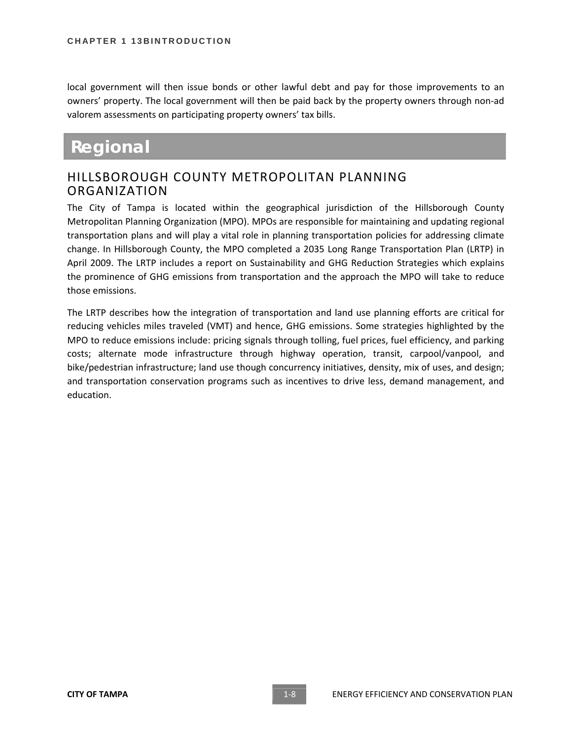local government will then issue bonds or other lawful debt and pay for those improvements to an owners' property. The local government will then be paid back by the property owners through non‐ad valorem assessments on participating property owners' tax bills.

#### **Regional**

#### HILLSBOROUGH COUNTY METROPOLITAN PLANNING ORGANIZATION

The City of Tampa is located within the geographical jurisdiction of the Hillsborough County Metropolitan Planning Organization (MPO). MPOs are responsible for maintaining and updating regional transportation plans and will play a vital role in planning transportation policies for addressing climate change. In Hillsborough County, the MPO completed a 2035 Long Range Transportation Plan (LRTP) in April 2009. The LRTP includes a report on Sustainability and GHG Reduction Strategies which explains the prominence of GHG emissions from transportation and the approach the MPO will take to reduce those emissions.

The LRTP describes how the integration of transportation and land use planning efforts are critical for reducing vehicles miles traveled (VMT) and hence, GHG emissions. Some strategies highlighted by the MPO to reduce emissions include: pricing signals through tolling, fuel prices, fuel efficiency, and parking costs; alternate mode infrastructure through highway operation, transit, carpool/vanpool, and bike/pedestrian infrastructure; land use though concurrency initiatives, density, mix of uses, and design; and transportation conservation programs such as incentives to drive less, demand management, and education.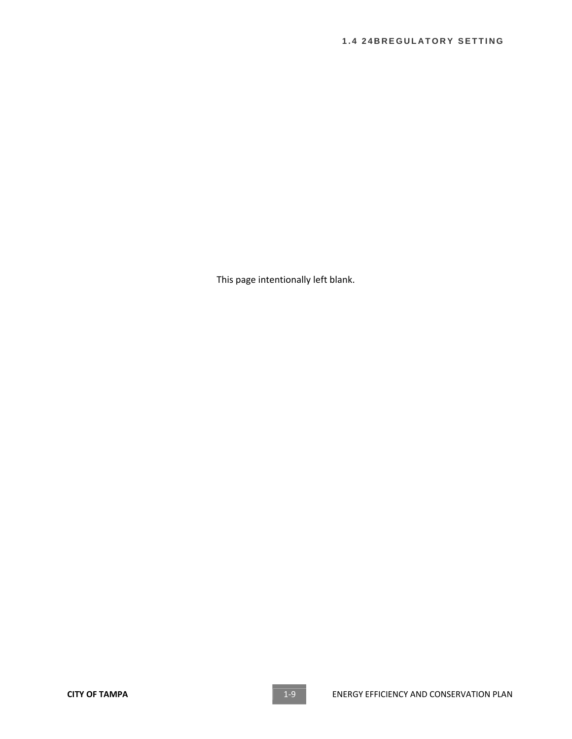This page intentionally left blank.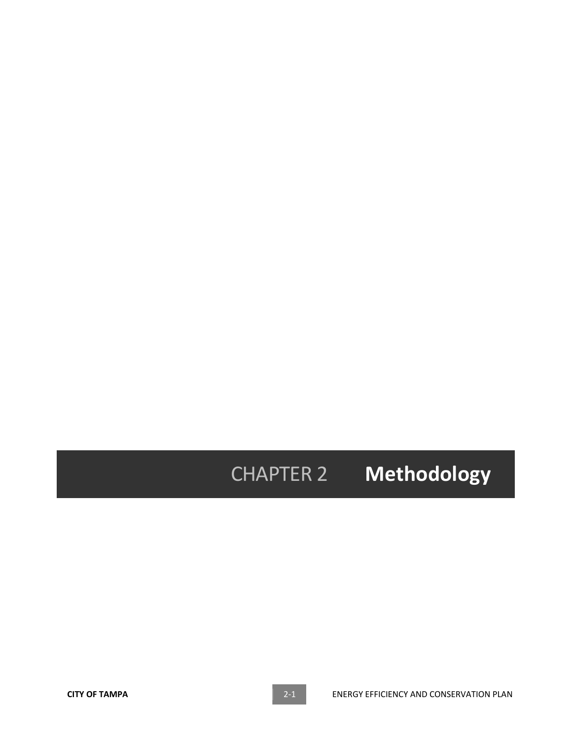## <span id="page-20-0"></span>CHAPTER 2 **Methodology**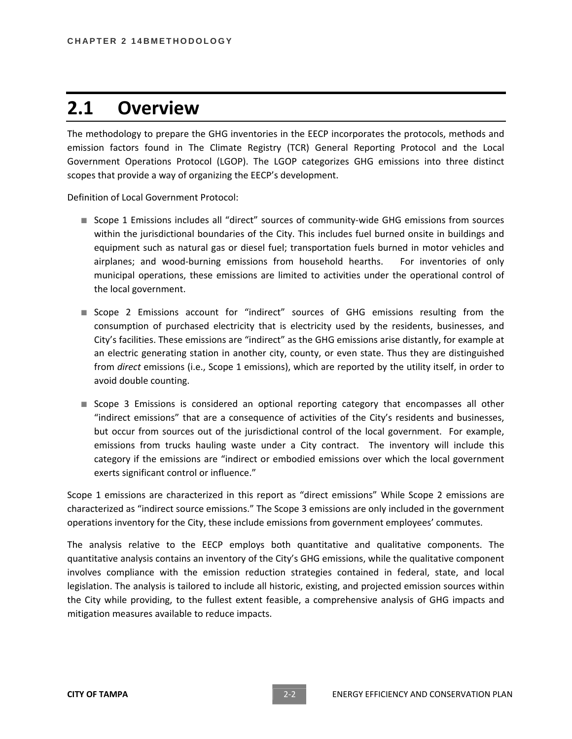## <span id="page-21-0"></span>**2.1 Overview**

The methodology to prepare the GHG inventories in the EECP incorporates the protocols, methods and emission factors found in The Climate Registry (TCR) General Reporting Protocol and the Local Government Operations Protocol (LGOP). The LGOP categorizes GHG emissions into three distinct scopes that provide a way of organizing the EECP's development.

Definition of Local Government Protocol:

- Scope 1 Emissions includes all "direct" sources of community-wide GHG emissions from sources within the jurisdictional boundaries of the City. This includes fuel burned onsite in buildings and equipment such as natural gas or diesel fuel; transportation fuels burned in motor vehicles and airplanes; and wood-burning emissions from household hearths. For inventories of only municipal operations, these emissions are limited to activities under the operational control of the local government.
- Scope 2 Emissions account for "indirect" sources of GHG emissions resulting from the consumption of purchased electricity that is electricity used by the residents, businesses, and City's facilities. These emissions are "indirect" as the GHG emissions arise distantly, for example at an electric generating station in another city, county, or even state. Thus they are distinguished from *direct* emissions (i.e., Scope 1 emissions), which are reported by the utility itself, in order to avoid double counting.
- Scope 3 Emissions is considered an optional reporting category that encompasses all other "indirect emissions" that are a consequence of activities of the City's residents and businesses, but occur from sources out of the jurisdictional control of the local government. For example, emissions from trucks hauling waste under a City contract. The inventory will include this category if the emissions are "indirect or embodied emissions over which the local government exerts significant control or influence."

Scope 1 emissions are characterized in this report as "direct emissions" While Scope 2 emissions are characterized as "indirect source emissions." The Scope 3 emissions are only included in the government operations inventory for the City, these include emissions from government employees' commutes.

The analysis relative to the EECP employs both quantitative and qualitative components. The quantitative analysis contains an inventory of the City's GHG emissions, while the qualitative component involves compliance with the emission reduction strategies contained in federal, state, and local legislation. The analysis is tailored to include all historic, existing, and projected emission sources within the City while providing, to the fullest extent feasible, a comprehensive analysis of GHG impacts and mitigation measures available to reduce impacts.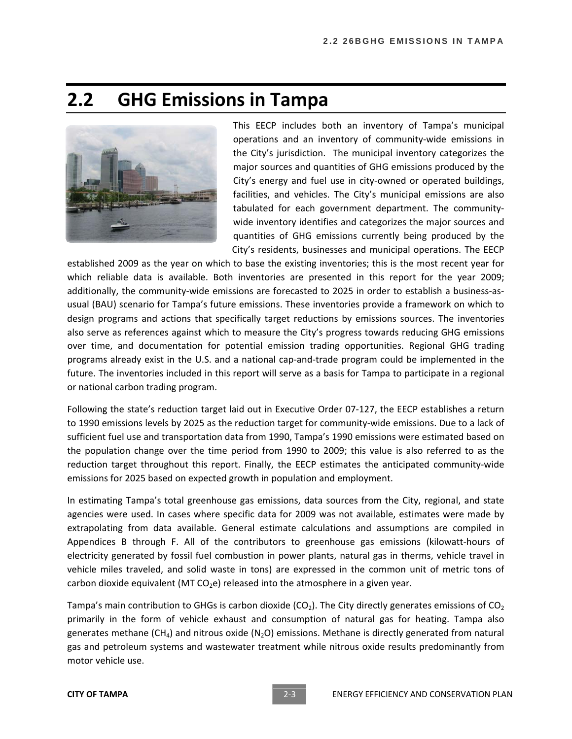### **2.2 GHG Emissions in Tampa**

<span id="page-22-0"></span>

This EECP includes both an inventory of Tampa's municipal operations and an inventory of community‐wide emissions in the City's jurisdiction. The municipal inventory categorizes the major sources and quantities of GHG emissions produced by the City's energy and fuel use in city-owned or operated buildings, facilities, and vehicles. The City's municipal emissions are also tabulated for each government department. The community‐ wide inventory identifies and categorizes the major sources and quantities of GHG emissions currently being produced by the City's residents, businesses and municipal operations. The EECP

established 2009 as the year on which to base the existing inventories; this is the most recent year for which reliable data is available. Both inventories are presented in this report for the year 2009; additionally, the community-wide emissions are forecasted to 2025 in order to establish a business-asusual (BAU) scenario for Tampa's future emissions. These inventories provide a framework on which to design programs and actions that specifically target reductions by emissions sources. The inventories also serve as references against which to measure the City's progress towards reducing GHG emissions over time, and documentation for potential emission trading opportunities. Regional GHG trading programs already exist in the U.S. and a national cap‐and‐trade program could be implemented in the future. The inventories included in this report will serve as a basis for Tampa to participate in a regional or national carbon trading program.

Following the state's reduction target laid out in Executive Order 07-127, the EECP establishes a return to 1990 emissions levels by 2025 as the reduction target for community-wide emissions. Due to a lack of sufficient fuel use and transportation data from 1990, Tampa's 1990 emissions were estimated based on the population change over the time period from 1990 to 2009; this value is also referred to as the reduction target throughout this report. Finally, the EECP estimates the anticipated community‐wide emissions for 2025 based on expected growth in population and employment.

In estimating Tampa's total greenhouse gas emissions, data sources from the City, regional, and state agencies were used. In cases where specific data for 2009 was not available, estimates were made by extrapolating from data available. General estimate calculations and assumptions are compiled in Appendices B through F. All of the contributors to greenhouse gas emissions (kilowatt-hours of electricity generated by fossil fuel combustion in power plants, natural gas in therms, vehicle travel in vehicle miles traveled, and solid waste in tons) are expressed in the common unit of metric tons of carbon dioxide equivalent (MT CO<sub>2</sub>e) released into the atmosphere in a given year.

Tampa's main contribution to GHGs is carbon dioxide (CO<sub>2</sub>). The City directly generates emissions of CO<sub>2</sub> primarily in the form of vehicle exhaust and consumption of natural gas for heating. Tampa also generates methane (CH<sub>4</sub>) and nitrous oxide (N<sub>2</sub>O) emissions. Methane is directly generated from natural gas and petroleum systems and wastewater treatment while nitrous oxide results predominantly from motor vehicle use.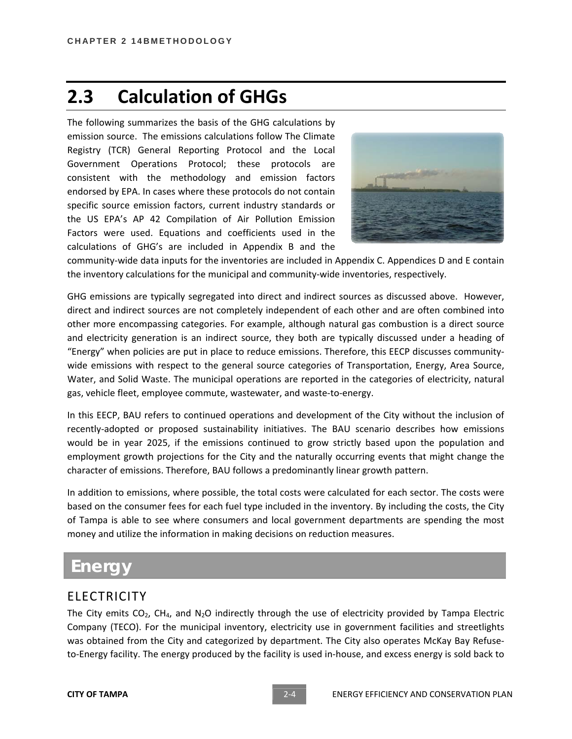## <span id="page-23-0"></span>**2.3 Calculation of GHGs**

The following summarizes the basis of the GHG calculations by emission source. The emissions calculations follow The Climate Registry (TCR) General Reporting Protocol and the Local Government Operations Protocol; these protocols are consistent with the methodology and emission factors endorsed by EPA. In cases where these protocols do not contain specific source emission factors, current industry standards or the US EPA's AP 42 Compilation of Air Pollution Emission Factors were used. Equations and coefficients used in the calculations of GHG's are included in Appendix B and the



community-wide data inputs for the inventories are included in Appendix C. Appendices D and E contain the inventory calculations for the municipal and community‐wide inventories, respectively.

GHG emissions are typically segregated into direct and indirect sources as discussed above. However, direct and indirect sources are not completely independent of each other and are often combined into other more encompassing categories. For example, although natural gas combustion is a direct source and electricity generation is an indirect source, they both are typically discussed under a heading of "Energy" when policies are put in place to reduce emissions. Therefore, this EECP discusses community‐ wide emissions with respect to the general source categories of Transportation, Energy, Area Source, Water, and Solid Waste. The municipal operations are reported in the categories of electricity, natural gas, vehicle fleet, employee commute, wastewater, and waste‐to‐energy.

In this EECP, BAU refers to continued operations and development of the City without the inclusion of recently‐adopted or proposed sustainability initiatives. The BAU scenario describes how emissions would be in year 2025, if the emissions continued to grow strictly based upon the population and employment growth projections for the City and the naturally occurring events that might change the character of emissions. Therefore, BAU follows a predominantly linear growth pattern.

In addition to emissions, where possible, the total costs were calculated for each sector. The costs were based on the consumer fees for each fuel type included in the inventory. By including the costs, the City of Tampa is able to see where consumers and local government departments are spending the most money and utilize the information in making decisions on reduction measures.

#### **Energy**

#### **ELECTRICITY**

The City emits  $CO<sub>2</sub>$ , CH<sub>4</sub>, and N<sub>2</sub>O indirectly through the use of electricity provided by Tampa Electric Company (TECO). For the municipal inventory, electricity use in government facilities and streetlights was obtained from the City and categorized by department. The City also operates McKay Bay Refuseto-Energy facility. The energy produced by the facility is used in-house, and excess energy is sold back to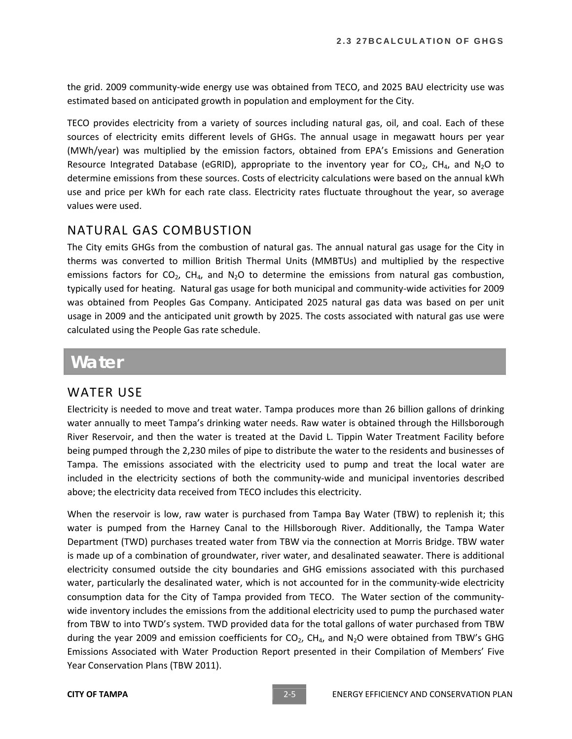the grid. 2009 community-wide energy use was obtained from TECO, and 2025 BAU electricity use was estimated based on anticipated growth in population and employment for the City.

TECO provides electricity from a variety of sources including natural gas, oil, and coal. Each of these sources of electricity emits different levels of GHGs. The annual usage in megawatt hours per year (MWh/year) was multiplied by the emission factors, obtained from EPA's Emissions and Generation Resource Integrated Database (eGRID), appropriate to the inventory year for  $CO<sub>2</sub>$ , CH<sub>4</sub>, and N<sub>2</sub>O to determine emissions from these sources. Costs of electricity calculations were based on the annual kWh use and price per kWh for each rate class. Electricity rates fluctuate throughout the year, so average values were used.

#### NATURAL GAS COMBUSTION

The City emits GHGs from the combustion of natural gas. The annual natural gas usage for the City in therms was converted to million British Thermal Units (MMBTUs) and multiplied by the respective emissions factors for  $CO<sub>2</sub>$ ,  $CH<sub>4</sub>$ , and N<sub>2</sub>O to determine the emissions from natural gas combustion, typically used for heating. Natural gas usage for both municipal and community‐wide activities for 2009 was obtained from Peoples Gas Company. Anticipated 2025 natural gas data was based on per unit usage in 2009 and the anticipated unit growth by 2025. The costs associated with natural gas use were calculated using the People Gas rate schedule.

#### **Water**

#### WATER USE

Electricity is needed to move and treat water. Tampa produces more than 26 billion gallons of drinking water annually to meet Tampa's drinking water needs. Raw water is obtained through the Hillsborough River Reservoir, and then the water is treated at the David L. Tippin Water Treatment Facility before being pumped through the 2,230 miles of pipe to distribute the water to the residents and businesses of Tampa. The emissions associated with the electricity used to pump and treat the local water are included in the electricity sections of both the community-wide and municipal inventories described above; the electricity data received from TECO includes this electricity.

When the reservoir is low, raw water is purchased from Tampa Bay Water (TBW) to replenish it; this water is pumped from the Harney Canal to the Hillsborough River. Additionally, the Tampa Water Department (TWD) purchases treated water from TBW via the connection at Morris Bridge. TBW water is made up of a combination of groundwater, river water, and desalinated seawater. There is additional electricity consumed outside the city boundaries and GHG emissions associated with this purchased water, particularly the desalinated water, which is not accounted for in the community-wide electricity consumption data for the City of Tampa provided from TECO. The Water section of the communitywide inventory includes the emissions from the additional electricity used to pump the purchased water from TBW to into TWD's system. TWD provided data for the total gallons of water purchased from TBW during the year 2009 and emission coefficients for  $CO<sub>2</sub>$ , CH<sub>4</sub>, and N<sub>2</sub>O were obtained from TBW's GHG Emissions Associated with Water Production Report presented in their Compilation of Members' Five Year Conservation Plans (TBW 2011).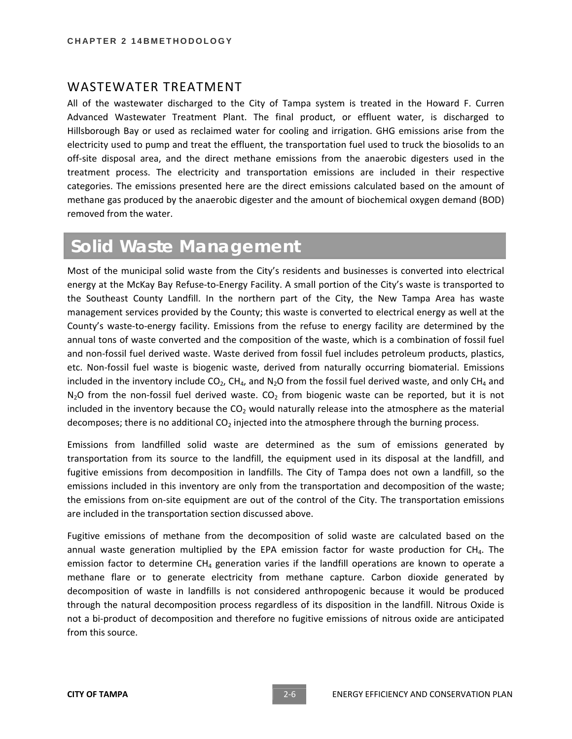#### WASTEWATER TREATMENT

All of the wastewater discharged to the City of Tampa system is treated in the Howard F. Curren Advanced Wastewater Treatment Plant. The final product, or effluent water, is discharged to Hillsborough Bay or used as reclaimed water for cooling and irrigation. GHG emissions arise from the electricity used to pump and treat the effluent, the transportation fuel used to truck the biosolids to an off‐site disposal area, and the direct methane emissions from the anaerobic digesters used in the treatment process. The electricity and transportation emissions are included in their respective categories. The emissions presented here are the direct emissions calculated based on the amount of methane gas produced by the anaerobic digester and the amount of biochemical oxygen demand (BOD) removed from the water.

#### **Solid Waste Management**

Most of the municipal solid waste from the City's residents and businesses is converted into electrical energy at the McKay Bay Refuse‐to‐Energy Facility. A small portion of the City's waste is transported to the Southeast County Landfill. In the northern part of the City, the New Tampa Area has waste management services provided by the County; this waste is converted to electrical energy as well at the County's waste‐to‐energy facility. Emissions from the refuse to energy facility are determined by the annual tons of waste converted and the composition of the waste, which is a combination of fossil fuel and non-fossil fuel derived waste. Waste derived from fossil fuel includes petroleum products, plastics, etc. Non‐fossil fuel waste is biogenic waste, derived from naturally occurring biomaterial. Emissions included in the inventory include  $CO<sub>2</sub>$ , CH<sub>4</sub>, and N<sub>2</sub>O from the fossil fuel derived waste, and only CH<sub>4</sub> and  $N_2$ O from the non-fossil fuel derived waste. CO<sub>2</sub> from biogenic waste can be reported, but it is not included in the inventory because the  $CO<sub>2</sub>$  would naturally release into the atmosphere as the material decomposes; there is no additional  $CO<sub>2</sub>$  injected into the atmosphere through the burning process.

Emissions from landfilled solid waste are determined as the sum of emissions generated by transportation from its source to the landfill, the equipment used in its disposal at the landfill, and fugitive emissions from decomposition in landfills. The City of Tampa does not own a landfill, so the emissions included in this inventory are only from the transportation and decomposition of the waste; the emissions from on‐site equipment are out of the control of the City. The transportation emissions are included in the transportation section discussed above.

Fugitive emissions of methane from the decomposition of solid waste are calculated based on the annual waste generation multiplied by the EPA emission factor for waste production for CH<sub>4</sub>. The emission factor to determine  $CH<sub>4</sub>$  generation varies if the landfill operations are known to operate a methane flare or to generate electricity from methane capture. Carbon dioxide generated by decomposition of waste in landfills is not considered anthropogenic because it would be produced through the natural decomposition process regardless of its disposition in the landfill. Nitrous Oxide is not a bi‐product of decomposition and therefore no fugitive emissions of nitrous oxide are anticipated from this source.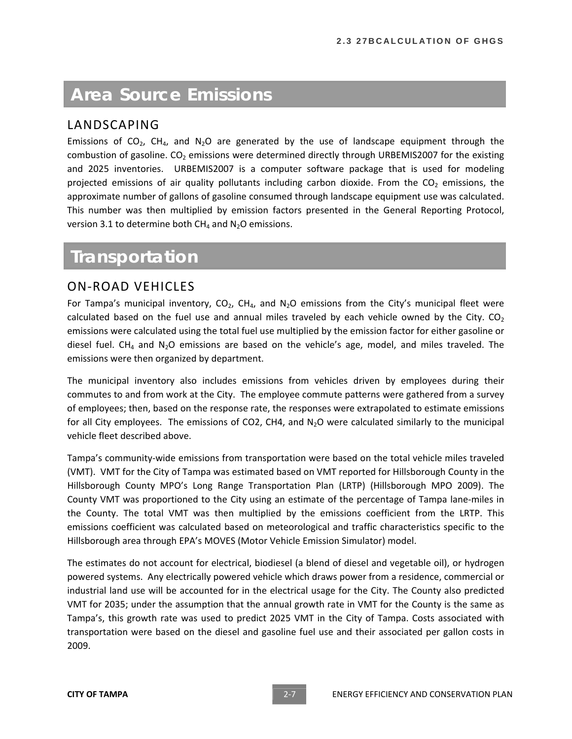## **Area Source Emissions**

#### LANDSCAPING

Emissions of CO<sub>2</sub>, CH<sub>4</sub>, and N<sub>2</sub>O are generated by the use of landscape equipment through the combustion of gasoline.  $CO<sub>2</sub>$  emissions were determined directly through URBEMIS2007 for the existing and 2025 inventories. URBEMIS2007 is a computer software package that is used for modeling projected emissions of air quality pollutants including carbon dioxide. From the  $CO<sub>2</sub>$  emissions, the approximate number of gallons of gasoline consumed through landscape equipment use was calculated. This number was then multiplied by emission factors presented in the General Reporting Protocol, version 3.1 to determine both  $CH_4$  and  $N_2O$  emissions.

#### **Transportation**

#### ON‐ROAD VEHICLES

For Tampa's municipal inventory,  $CO<sub>2</sub>$ , CH<sub>4</sub>, and N<sub>2</sub>O emissions from the City's municipal fleet were calculated based on the fuel use and annual miles traveled by each vehicle owned by the City.  $CO<sub>2</sub>$ emissions were calculated using the total fuel use multiplied by the emission factor for either gasoline or diesel fuel. CH<sub>4</sub> and N<sub>2</sub>O emissions are based on the vehicle's age, model, and miles traveled. The emissions were then organized by department.

The municipal inventory also includes emissions from vehicles driven by employees during their commutes to and from work at the City. The employee commute patterns were gathered from a survey of employees; then, based on the response rate, the responses were extrapolated to estimate emissions for all City employees. The emissions of CO2, CH4, and N<sub>2</sub>O were calculated similarly to the municipal vehicle fleet described above.

Tampa's community‐wide emissions from transportation were based on the total vehicle miles traveled (VMT). VMT for the City of Tampa was estimated based on VMT reported for Hillsborough County in the Hillsborough County MPO's Long Range Transportation Plan (LRTP) (Hillsborough MPO 2009). The County VMT was proportioned to the City using an estimate of the percentage of Tampa lane‐miles in the County. The total VMT was then multiplied by the emissions coefficient from the LRTP. This emissions coefficient was calculated based on meteorological and traffic characteristics specific to the Hillsborough area through EPA's MOVES (Motor Vehicle Emission Simulator) model.

The estimates do not account for electrical, biodiesel (a blend of diesel and vegetable oil), or hydrogen powered systems. Any electrically powered vehicle which draws power from a residence, commercial or industrial land use will be accounted for in the electrical usage for the City. The County also predicted VMT for 2035; under the assumption that the annual growth rate in VMT for the County is the same as Tampa's, this growth rate was used to predict 2025 VMT in the City of Tampa. Costs associated with transportation were based on the diesel and gasoline fuel use and their associated per gallon costs in 2009.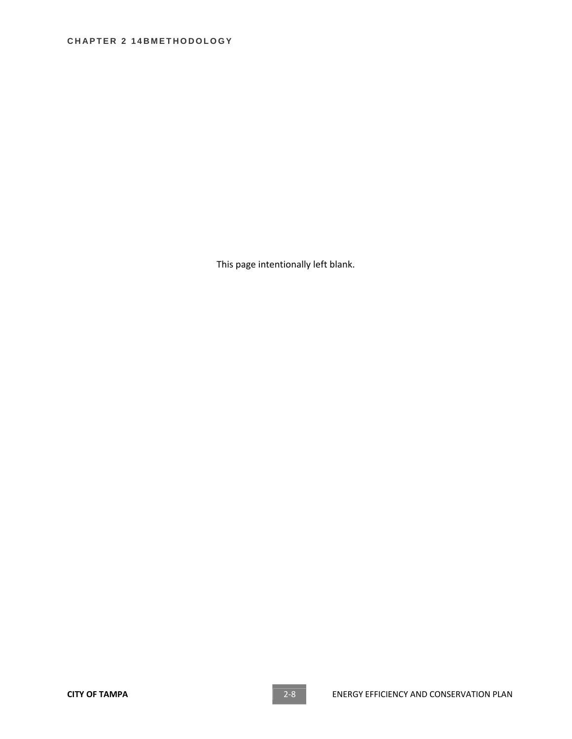This page intentionally left blank.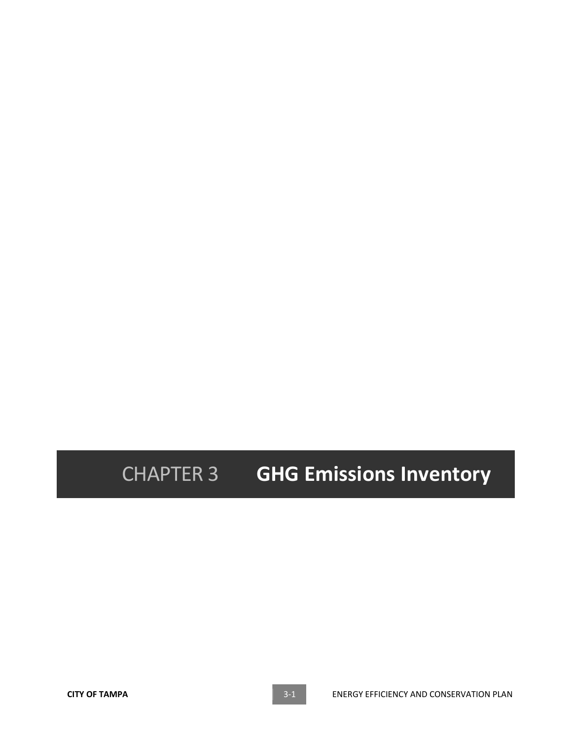## <span id="page-28-0"></span>CHAPTER 3 **GHG Emissions Inventory**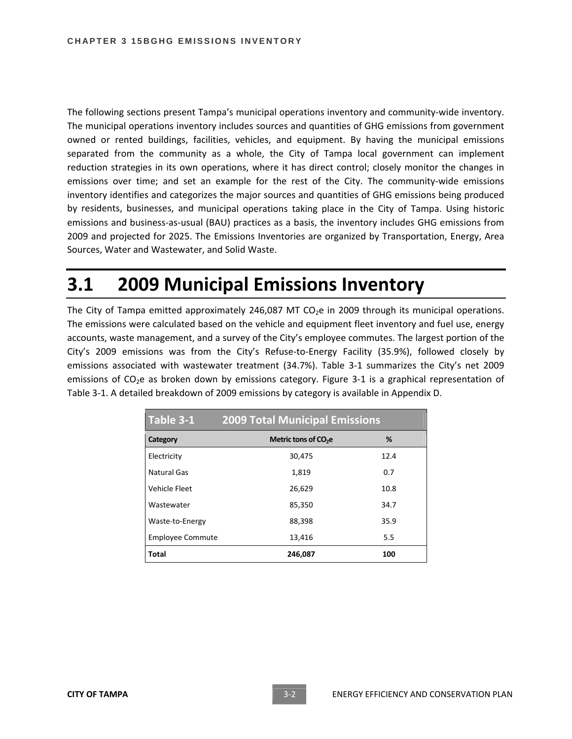The following sections present Tampa's municipal operations inventory and community-wide inventory. The municipal operations inventory includes sources and quantities of GHG emissions from government owned or rented buildings, facilities, vehicles, and equipment. By having the municipal emissions separated from the community as a whole, the City of Tampa local government can implement reduction strategies in its own operations, where it has direct control; closely monitor the changes in emissions over time; and set an example for the rest of the City. The community-wide emissions inventory identifies and categorizes the major sources and quantities of GHG emissions being produced by residents, businesses, and municipal operations taking place in the City of Tampa. Using historic emissions and business-as-usual (BAU) practices as a basis, the inventory includes GHG emissions from 2009 and projected for 2025. The Emissions Inventories are organized by Transportation, Energy, Area Sources, Water and Wastewater, and Solid Waste.

## <span id="page-29-0"></span>**3.1 2009 Municipal Emissions Inventory**

<span id="page-29-1"></span>The City of Tampa emitted approximately 246,087 MT CO<sub>2</sub>e in 2009 through its municipal operations. The emissions were calculated based on the vehicle and equipment fleet inventory and fuel use, energy accounts, waste management, and a survey of the City's employee commutes. The largest portion of the City's 2009 emissions was from the City's Refuse‐to‐Energy Facility (35.9%), followed closely by emissions associated with wastewater treatment (34.7%). Table 3‐1 summarizes the City's net 2009 emissions of  $CO<sub>2</sub>e$  as broken down by emissions category. Figure 3-1 is a graphical representation of Table 3‐1. A detailed breakdown of 2009 emissions by category is available in Appendix D.

| Table 3-1               | <b>2009 Total Municipal Emissions</b> |      |
|-------------------------|---------------------------------------|------|
| Category                | Metric tons of $CO2e$                 | %    |
| Electricity             | 30,475                                | 12.4 |
| Natural Gas             | 1,819                                 | 0.7  |
| Vehicle Fleet           | 26,629                                | 10.8 |
| Wastewater              | 85,350                                | 34.7 |
| Waste-to-Energy         | 88,398                                | 35.9 |
| <b>Employee Commute</b> | 13,416                                | 5.5  |
| <b>Total</b>            | 246,087                               | 100  |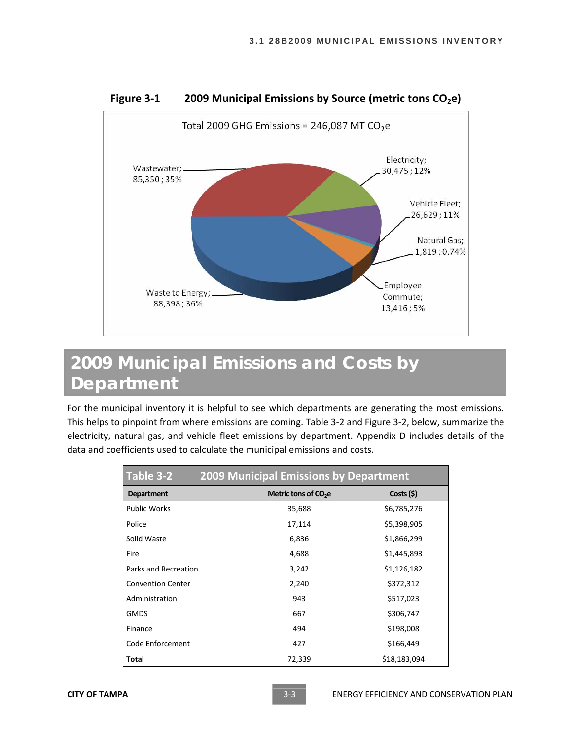<span id="page-30-1"></span>

#### **Figure** 3-1 **2009** Municipal Emissions by Source (metric tons  $CO<sub>2</sub>e$ )

## **2009 Municipal Emissions and Costs by Department**

<span id="page-30-0"></span>For the municipal inventory it is helpful to see which departments are generating the most emissions. This helps to pinpoint from where emissions are coming. Table 3‐2 and Figure 3‐2, below, summarize the electricity, natural gas, and vehicle fleet emissions by department. Appendix D includes details of the data and coefficients used to calculate the municipal emissions and costs.

| Table 3-2                | <b>2009 Municipal Emissions by Department</b> |              |
|--------------------------|-----------------------------------------------|--------------|
| <b>Department</b>        | Metric tons of $CO2e$                         | Costs (5)    |
| <b>Public Works</b>      | 35,688                                        | \$6,785,276  |
| Police                   | 17,114                                        | \$5,398,905  |
| Solid Waste              | 6,836                                         | \$1,866,299  |
| Fire                     | 4,688                                         | \$1,445,893  |
| Parks and Recreation     | 3,242                                         | \$1,126,182  |
| <b>Convention Center</b> | 2,240                                         | \$372,312    |
| Administration           | 943                                           | \$517,023    |
| <b>GMDS</b>              | 667                                           | \$306,747    |
| Finance                  | 494                                           | \$198,008    |
| Code Enforcement         | 427                                           | \$166,449    |
| <b>Total</b>             | 72,339                                        | \$18,183,094 |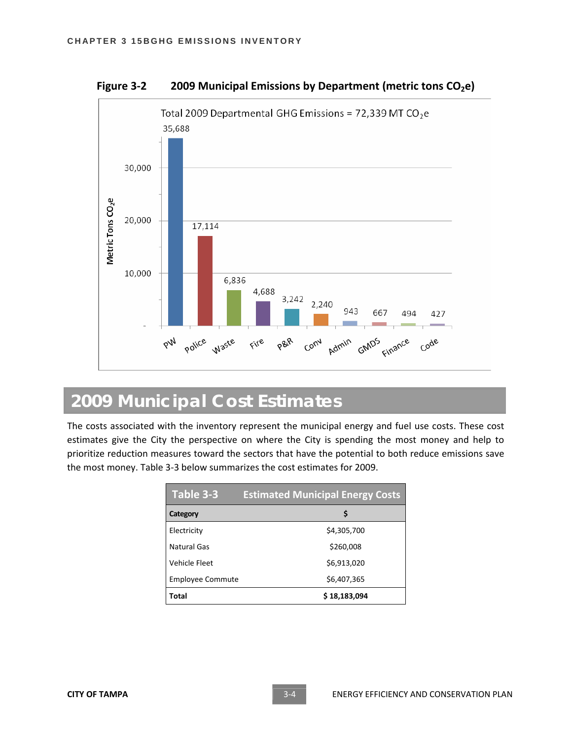<span id="page-31-1"></span>

#### **Figure** 3-2 2009 Municipal Emissions by Department (metric tons  $CO<sub>2</sub>e$ )

## **2009 Municipal Cost Estimates**

<span id="page-31-0"></span>The costs associated with the inventory represent the municipal energy and fuel use costs. These cost estimates give the City the perspective on where the City is spending the most money and help to prioritize reduction measures toward the sectors that have the potential to both reduce emissions save the most money. Table 3‐3 below summarizes the cost estimates for 2009.

| Table 3-3               | <b>Estimated Municipal Energy Costs</b> |
|-------------------------|-----------------------------------------|
| Category                | \$                                      |
| Electricity             | \$4,305,700                             |
| Natural Gas             | \$260,008                               |
| Vehicle Fleet           | \$6,913,020                             |
| <b>Employee Commute</b> | \$6,407,365                             |
| <b>Total</b>            | \$18,183,094                            |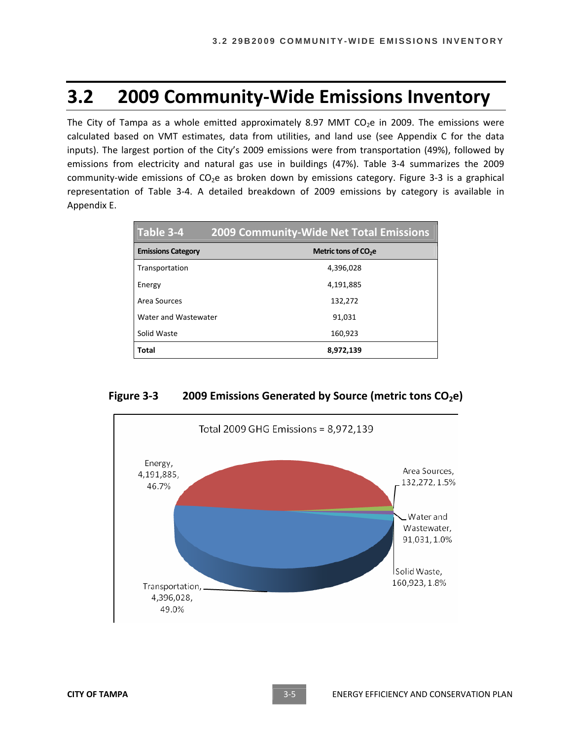## <span id="page-32-0"></span>**3.2 2009 Community‐Wide Emissions Inventory**

<span id="page-32-1"></span>The City of Tampa as a whole emitted approximately 8.97 MMT CO<sub>2</sub>e in 2009. The emissions were calculated based on VMT estimates, data from utilities, and land use (see Appendix C for the data inputs). The largest portion of the City's 2009 emissions were from transportation (49%), followed by emissions from electricity and natural gas use in buildings (47%). Table 3‐4 summarizes the 2009 community-wide emissions of  $CO<sub>2</sub>e$  as broken down by emissions category. Figure 3-3 is a graphical representation of Table 3‐4. A detailed breakdown of 2009 emissions by category is available in Appendix E.

| Table 3-4                 | <b>2009 Community-Wide Net Total Emissions</b> |  |  |
|---------------------------|------------------------------------------------|--|--|
| <b>Emissions Category</b> | Metric tons of $CO2e$                          |  |  |
| Transportation            | 4,396,028                                      |  |  |
| Energy                    | 4,191,885                                      |  |  |
| Area Sources              | 132,272                                        |  |  |
| Water and Wastewater      | 91,031                                         |  |  |
| Solid Waste               | 160,923                                        |  |  |
| <b>Total</b>              | 8,972,139                                      |  |  |

<span id="page-32-2"></span>

| <b>Figure 3-3</b> | 2009 Emissions Generated by Source (metric tons $CO2e$ ) |
|-------------------|----------------------------------------------------------|
|                   |                                                          |

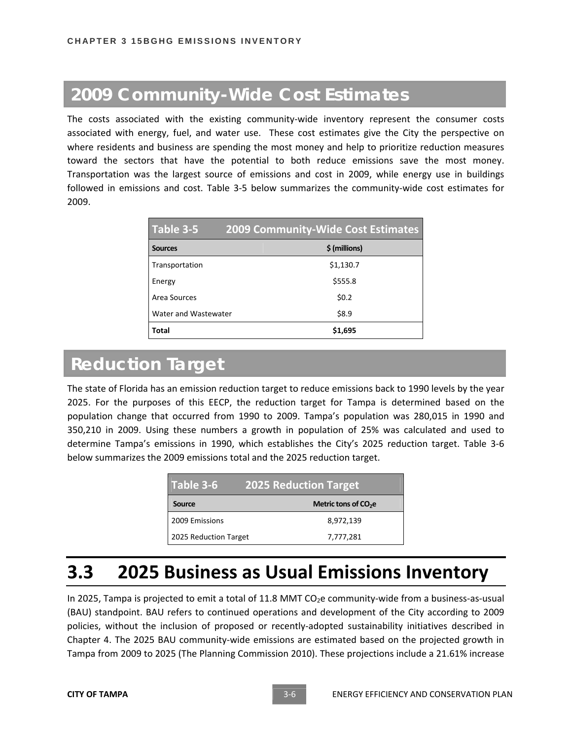#### **2009 Community-Wide Cost Estimates**

<span id="page-33-1"></span>The costs associated with the existing community-wide inventory represent the consumer costs associated with energy, fuel, and water use. These cost estimates give the City the perspective on where residents and business are spending the most money and help to prioritize reduction measures toward the sectors that have the potential to both reduce emissions save the most money. Transportation was the largest source of emissions and cost in 2009, while energy use in buildings followed in emissions and cost. Table 3-5 below summarizes the community-wide cost estimates for 2009.

| Table 3-5            | <b>2009 Community-Wide Cost Estimates</b> |
|----------------------|-------------------------------------------|
| <b>Sources</b>       | \$(millions)                              |
| Transportation       | \$1,130.7                                 |
| Energy               | \$555.8                                   |
| Area Sources         | \$0.2                                     |
| Water and Wastewater | \$8.9                                     |
| Total                | \$1,695                                   |

## **Reduction Target**

The state of Florida has an emission reduction target to reduce emissions back to 1990 levels by the year 2025. For the purposes of this EECP, the reduction target for Tampa is determined based on the population change that occurred from 1990 to 2009. Tampa's population was 280,015 in 1990 and 350,210 in 2009. Using these numbers a growth in population of 25% was calculated and used to determine Tampa's emissions in 1990, which establishes the City's 2025 reduction target. Table 3‐6 below summarizes the 2009 emissions total and the 2025 reduction target.

| Table 3-6             | 2025 Reduction Target |
|-----------------------|-----------------------|
| <b>Source</b>         | Metric tons of $CO2e$ |
| 2009 Emissions        | 8,972,139             |
| 2025 Reduction Target | 7,777,281             |

## <span id="page-33-2"></span><span id="page-33-0"></span>**3.3 2025 Business as Usual Emissions Inventory**

In 2025, Tampa is projected to emit a total of 11.8 MMT CO<sub>2</sub>e community-wide from a business-as-usual (BAU) standpoint. BAU refers to continued operations and development of the City according to 2009 policies, without the inclusion of proposed or recently‐adopted sustainability initiatives described in Chapter 4. The 2025 BAU community‐wide emissions are estimated based on the projected growth in Tampa from 2009 to 2025 (The Planning Commission 2010). These projections include a 21.61% increase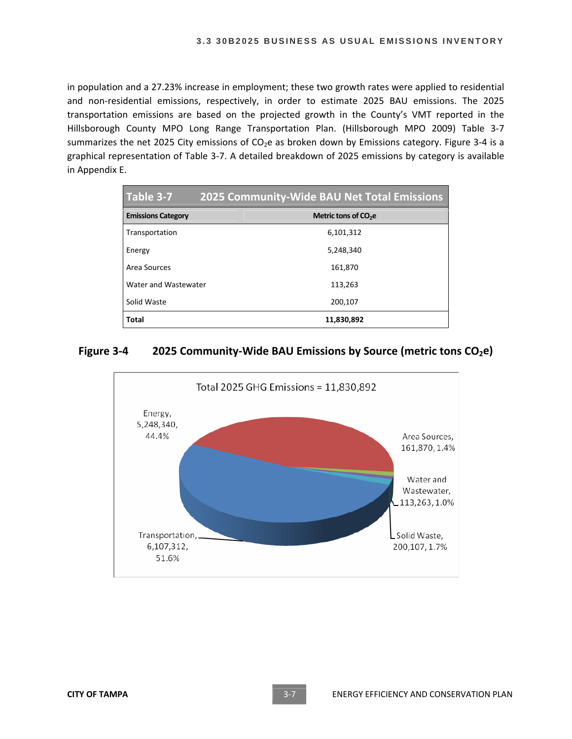in population and a 27.23% increase in employment; these two growth rates were applied to residential and non‐residential emissions, respectively, in order to estimate 2025 BAU emissions. The 2025 transportation emissions are based on the projected growth in the County's VMT reported in the Hillsborough County MPO Long Range Transportation Plan. (Hillsborough MPO 2009) Table 3‐7 summarizes the net 2025 City emissions of  $CO<sub>2</sub>e$  as broken down by Emissions category. Figure 3-4 is a graphical representation of Table 3‐7. A detailed breakdown of 2025 emissions by category is available in Appendix E.

<span id="page-34-0"></span>

| Table 3-7                 | <b>2025 Community-Wide BAU Net Total Emissions</b> |
|---------------------------|----------------------------------------------------|
| <b>Emissions Category</b> | Metric tons of CO <sub>2</sub> e                   |
| Transportation            | 6,101,312                                          |
| Energy                    | 5,248,340                                          |
| Area Sources              | 161,870                                            |
| Water and Wastewater      | 113,263                                            |
| Solid Waste               | 200,107                                            |
| Total                     | 11,830,892                                         |

#### <span id="page-34-1"></span>**Figure 3‐4 2025 Community‐Wide BAU Emissions by Source (metric tons CO2e)**

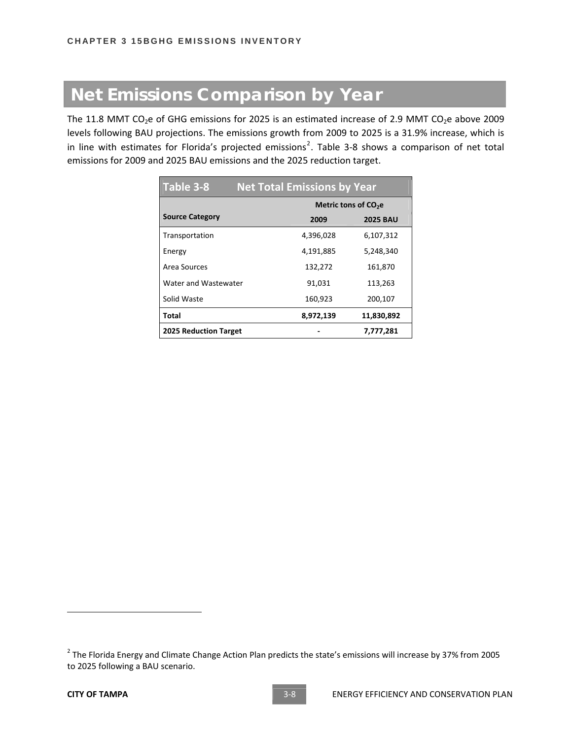## **Net Emissions Comparison by Year**

<span id="page-35-0"></span>The 11.8 MMT CO<sub>2</sub>e of GHG emissions for 2025 is an estimated increase of 2.9 MMT CO<sub>2</sub>e above 2009 levels following BAU projections. The emissions growth from 2009 to 2025 is a 31.9% increase, which is in line with estimates for Florida's projected emissions<sup>[2](#page-35-1)</sup>. Table 3-8 shows a comparison of net total emissions for 2009 and 2025 BAU emissions and the 2025 reduction target.

| Table 3-8<br><b>Net Total Emissions by Year</b> |                                  |                 |  |  |
|-------------------------------------------------|----------------------------------|-----------------|--|--|
|                                                 | Metric tons of CO <sub>2</sub> e |                 |  |  |
| <b>Source Category</b>                          | 2009                             | <b>2025 BAU</b> |  |  |
| Transportation                                  | 4,396,028                        | 6,107,312       |  |  |
| Energy                                          | 4,191,885                        | 5,248,340       |  |  |
| Area Sources                                    | 132,272                          | 161,870         |  |  |
| Water and Wastewater                            | 91,031                           | 113,263         |  |  |
| Solid Waste                                     | 160,923                          | 200,107         |  |  |
| Total                                           | 8,972,139                        | 11,830,892      |  |  |
| <b>2025 Reduction Target</b>                    |                                  | 7,777,281       |  |  |

<span id="page-35-1"></span> $2$  The Florida Energy and Climate Change Action Plan predicts the state's emissions will increase by 37% from 2005 to 2025 following a BAU scenario.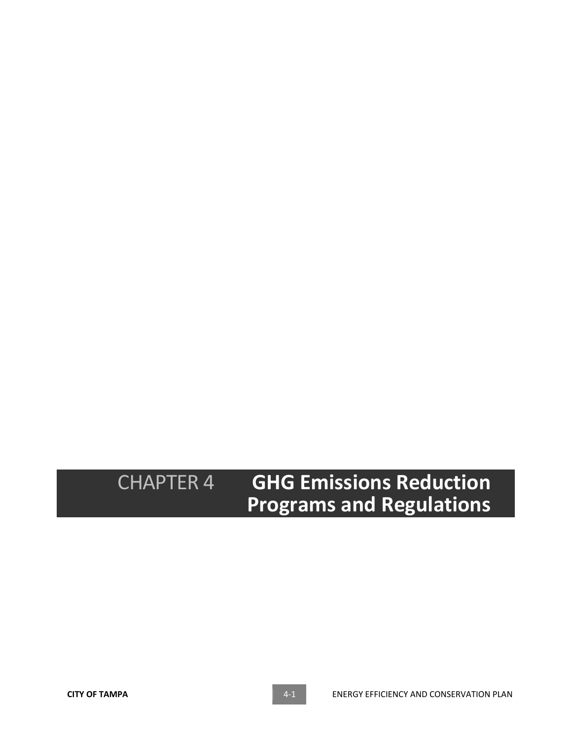# CHAPTER 4 **GHG Emissions Reduction Programs and Regulations**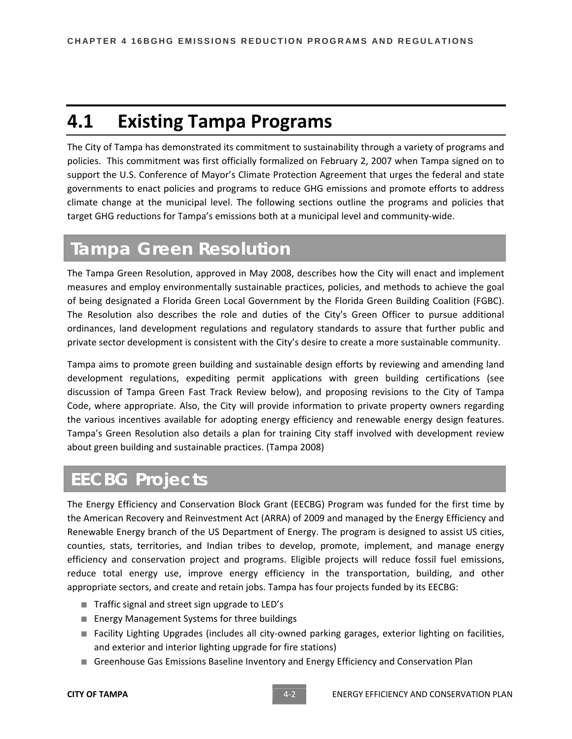## **4.1 Existing Tampa Programs**

The City of Tampa has demonstrated its commitment to sustainability through a variety of programs and policies. This commitment was first officially formalized on February 2, 2007 when Tampa signed on to support the U.S. Conference of Mayor's Climate Protection Agreement that urges the federal and state governments to enact policies and programs to reduce GHG emissions and promote efforts to address climate change at the municipal level. The following sections outline the programs and policies that target GHG reductions for Tampa's emissions both at a municipal level and community‐wide.

### **Tampa Green Resolution**

The Tampa Green Resolution, approved in May 2008, describes how the City will enact and implement measures and employ environmentally sustainable practices, policies, and methods to achieve the goal of being designated a Florida Green Local Government by the Florida Green Building Coalition (FGBC). The Resolution also describes the role and duties of the City's Green Officer to pursue additional ordinances, land development regulations and regulatory standards to assure that further public and private sector development is consistent with the City's desire to create a more sustainable community.

Tampa aims to promote green building and sustainable design efforts by reviewing and amending land development regulations, expediting permit applications with green building certifications (see discussion of Tampa Green Fast Track Review below), and proposing revisions to the City of Tampa Code, where appropriate. Also, the City will provide information to private property owners regarding the various incentives available for adopting energy efficiency and renewable energy design features. Tampa's Green Resolution also details a plan for training City staff involved with development review about green building and sustainable practices. (Tampa 2008)

### **EECBG Projects**

The Energy Efficiency and Conservation Block Grant (EECBG) Program was funded for the first time by the American Recovery and Reinvestment Act (ARRA) of 2009 and managed by the Energy Efficiency and Renewable Energy branch of the US Department of Energy. The program is designed to assist US cities, counties, stats, territories, and Indian tribes to develop, promote, implement, and manage energy efficiency and conservation project and programs. Eligible projects will reduce fossil fuel emissions, reduce total energy use, improve energy efficiency in the transportation, building, and other appropriate sectors, and create and retain jobs. Tampa has four projects funded by its EECBG:

- Traffic signal and street sign upgrade to LED's
- Energy Management Systems for three buildings
- Facility Lighting Upgrades (includes all city-owned parking garages, exterior lighting on facilities, and exterior and interior lighting upgrade for fire stations)
- Greenhouse Gas Emissions Baseline Inventory and Energy Efficiency and Conservation Plan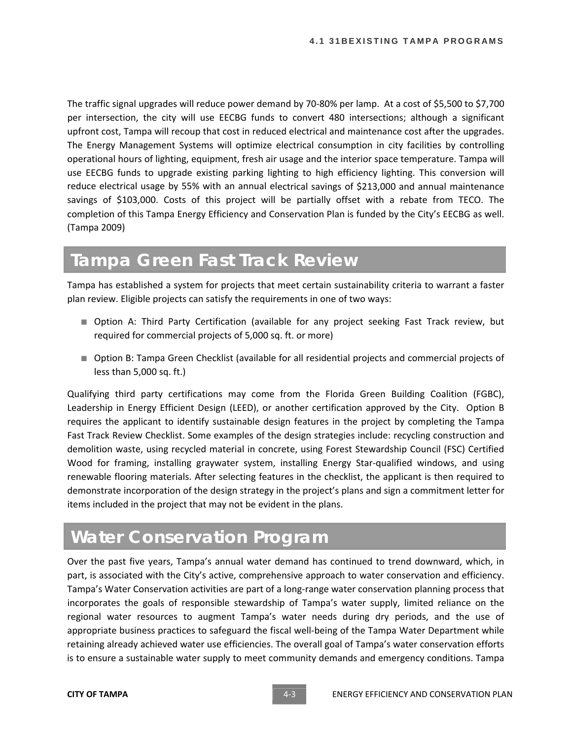The traffic signal upgrades will reduce power demand by 70‐80% per lamp. At a cost of \$5,500 to \$7,700 per intersection, the city will use EECBG funds to convert 480 intersections; although a significant upfront cost, Tampa will recoup that cost in reduced electrical and maintenance cost after the upgrades. The Energy Management Systems will optimize electrical consumption in city facilities by controlling operational hours of lighting, equipment, fresh air usage and the interior space temperature. Tampa will use EECBG funds to upgrade existing parking lighting to high efficiency lighting. This conversion will reduce electrical usage by 55% with an annual electrical savings of \$213,000 and annual maintenance savings of \$103,000. Costs of this project will be partially offset with a rebate from TECO. The completion of this Tampa Energy Efficiency and Conservation Plan is funded by the City's EECBG as well. (Tampa 2009)

### **Tampa Green Fast Track Review**

Tampa has established a system for projects that meet certain sustainability criteria to warrant a faster plan review. Eligible projects can satisfy the requirements in one of two ways:

- Option A: Third Party Certification (available for any project seeking Fast Track review, but required for commercial projects of 5,000 sq. ft. or more)
- Option B: Tampa Green Checklist (available for all residential projects and commercial projects of less than 5,000 sq. ft.)

Qualifying third party certifications may come from the Florida Green Building Coalition (FGBC), Leadership in Energy Efficient Design (LEED), or another certification approved by the City. Option B requires the applicant to identify sustainable design features in the project by completing the Tampa Fast Track Review Checklist. Some examples of the design strategies include: recycling construction and demolition waste, using recycled material in concrete, using Forest Stewardship Council (FSC) Certified Wood for framing, installing graywater system, installing Energy Star-qualified windows, and using renewable flooring materials. After selecting features in the checklist, the applicant is then required to demonstrate incorporation of the design strategy in the project's plans and sign a commitment letter for items included in the project that may not be evident in the plans.

### **Water Conservation Program**

Over the past five years, Tampa's annual water demand has continued to trend downward, which, in part, is associated with the City's active, comprehensive approach to water conservation and efficiency. Tampa's Water Conservation activities are part of a long-range water conservation planning process that incorporates the goals of responsible stewardship of Tampa's water supply, limited reliance on the regional water resources to augment Tampa's water needs during dry periods, and the use of appropriate business practices to safeguard the fiscal well-being of the Tampa Water Department while retaining already achieved water use efficiencies. The overall goal of Tampa's water conservation efforts is to ensure a sustainable water supply to meet community demands and emergency conditions. Tampa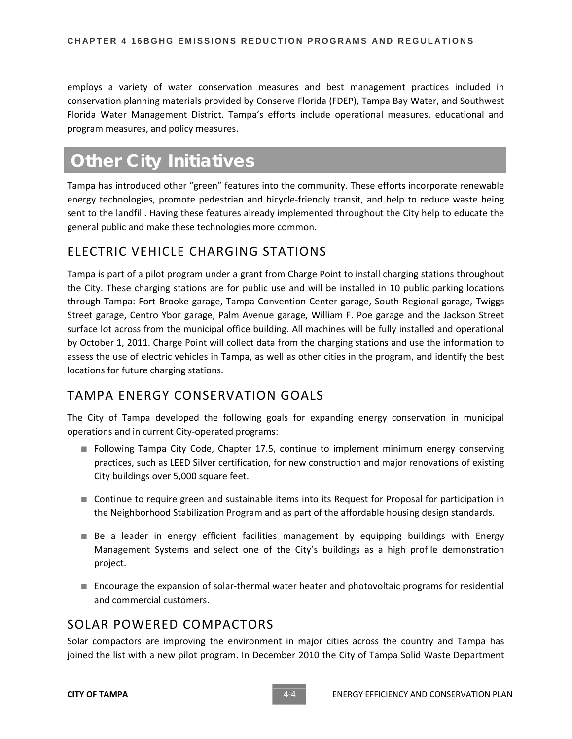employs a variety of water conservation measures and best management practices included in conservation planning materials provided by Conserve Florida (FDEP), Tampa Bay Water, and Southwest Florida Water Management District. Tampa's efforts include operational measures, educational and program measures, and policy measures.

## **Other City Initiatives**

Tampa has introduced other "green" features into the community. These efforts incorporate renewable energy technologies, promote pedestrian and bicycle-friendly transit, and help to reduce waste being sent to the landfill. Having these features already implemented throughout the City help to educate the general public and make these technologies more common.

#### ELECTRIC VEHICLE CHARGING STATIONS

Tampa is part of a pilot program under a grant from Charge Point to install charging stations throughout the City. These charging stations are for public use and will be installed in 10 public parking locations through Tampa: Fort Brooke garage, Tampa Convention Center garage, South Regional garage, Twiggs Street garage, Centro Ybor garage, Palm Avenue garage, William F. Poe garage and the Jackson Street surface lot across from the municipal office building. All machines will be fully installed and operational by October 1, 2011. Charge Point will collect data from the charging stations and use the information to assess the use of electric vehicles in Tampa, as well as other cities in the program, and identify the best locations for future charging stations.

#### TAMPA ENERGY CONSERVATION GOALS

The City of Tampa developed the following goals for expanding energy conservation in municipal operations and in current City‐operated programs:

- Following Tampa City Code, Chapter 17.5, continue to implement minimum energy conserving practices, such as LEED Silver certification, for new construction and major renovations of existing City buildings over 5,000 square feet.
- Continue to require green and sustainable items into its Request for Proposal for participation in the Neighborhood Stabilization Program and as part of the affordable housing design standards.
- Be a leader in energy efficient facilities management by equipping buildings with Energy Management Systems and select one of the City's buildings as a high profile demonstration project.
- Encourage the expansion of solar-thermal water heater and photovoltaic programs for residential and commercial customers.

#### SOLAR POWERED COMPACTORS

Solar compactors are improving the environment in major cities across the country and Tampa has joined the list with a new pilot program. In December 2010 the City of Tampa Solid Waste Department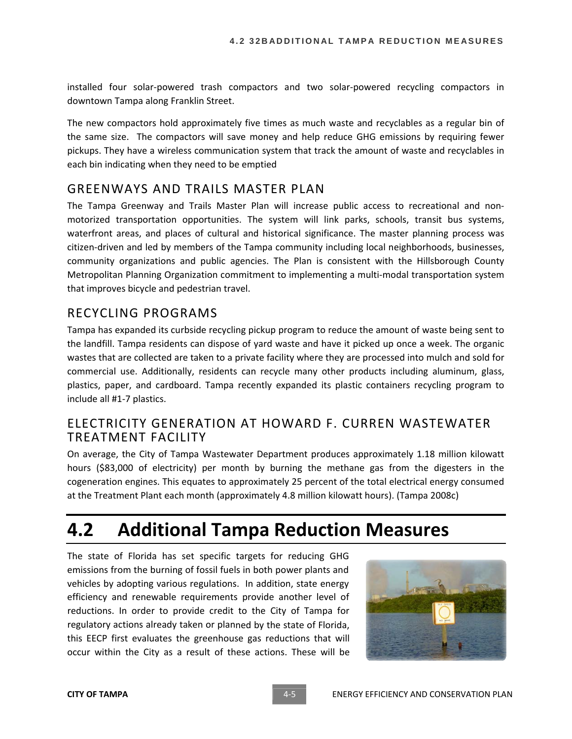installed four solar-powered trash compactors and two solar-powered recycling compactors in downtown Tampa along Franklin Street.

The new compactors hold approximately five times as much waste and recyclables as a regular bin of the same size. The compactors will save money and help reduce GHG emissions by requiring fewer pickups. They have a wireless communication system that track the amount of waste and recyclables in each bin indicating when they need to be emptied

#### GREENWAYS AND TRAILS MASTER PLAN

The Tampa Greenway and Trails Master Plan will increase public access to recreational and non‐ motorized transportation opportunities. The system will link parks, schools, transit bus systems, waterfront areas, and places of cultural and historical significance. The master planning process was citizen‐driven and led by members of the Tampa community including local neighborhoods, businesses, community organizations and public agencies. The Plan is consistent with the Hillsborough County Metropolitan Planning Organization commitment to implementing a multi‐modal transportation system that improves bicycle and pedestrian travel.

#### RECYCLING PROGRAMS

Tampa has expanded its curbside recycling pickup program to reduce the amount of waste being sent to the landfill. Tampa residents can dispose of yard waste and have it picked up once a week. The organic wastes that are collected are taken to a private facility where they are processed into mulch and sold for commercial use. Additionally, residents can recycle many other products including aluminum, glass, plastics, paper, and cardboard. Tampa recently expanded its plastic containers recycling program to include all #1‐7 plastics.

#### ELECTRICITY GENERATION AT HOWARD F. CURREN WASTEWATER TREATMENT FACILITY

On average, the City of Tampa Wastewater Department produces approximately 1.18 million kilowatt hours (\$83,000 of electricity) per month by burning the methane gas from the digesters in the cogeneration engines. This equates to approximately 25 percent of the total electrical energy consumed at the Treatment Plant each month (approximately 4.8 million kilowatt hours). (Tampa 2008c)

# **4.2 Additional Tampa Reduction Measures**

The state of Florida has set specific targets for reducing GHG emissions from the burning of fossil fuels in both power plants and vehicles by adopting various regulations. In addition, state energy efficiency and renewable requirements provide another level of reductions. In order to provide credit to the City of Tampa for regulatory actions already taken or planned by the state of Florida, this EECP first evaluates the greenhouse gas reductions that will occur within the City as a result of these actions. These will be

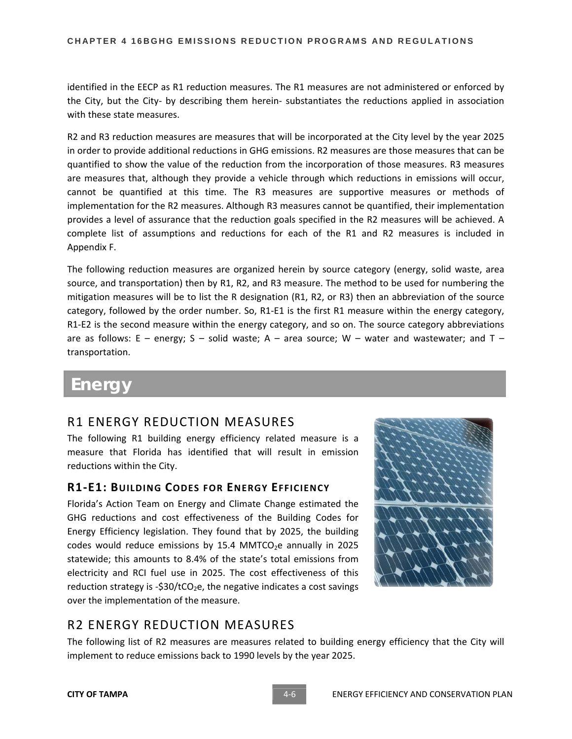identified in the EECP as R1 reduction measures. The R1 measures are not administered or enforced by the City, but the City‐ by describing them herein‐ substantiates the reductions applied in association with these state measures.

R2 and R3 reduction measures are measures that will be incorporated at the City level by the year 2025 in order to provide additional reductions in GHG emissions. R2 measures are those measures that can be quantified to show the value of the reduction from the incorporation of those measures. R3 measures are measures that, although they provide a vehicle through which reductions in emissions will occur, cannot be quantified at this time. The R3 measures are supportive measures or methods of implementation for the R2 measures. Although R3 measures cannot be quantified, their implementation provides a level of assurance that the reduction goals specified in the R2 measures will be achieved. A complete list of assumptions and reductions for each of the R1 and R2 measures is included in Appendix F.

The following reduction measures are organized herein by source category (energy, solid waste, area source, and transportation) then by R1, R2, and R3 measure. The method to be used for numbering the mitigation measures will be to list the R designation (R1, R2, or R3) then an abbreviation of the source category, followed by the order number. So, R1‐E1 is the first R1 measure within the energy category, R1-E2 is the second measure within the energy category, and so on. The source category abbreviations are as follows: E – energy; S – solid waste; A – area source; W – water and wastewater; and T – transportation.

### **Energy**

#### R1 ENERGY REDUCTION MEASURES

The following R1 building energy efficiency related measure is a measure that Florida has identified that will result in emission reductions within the City.

#### **R1‐E1: BUILDING CODES FOR ENERGY EFFICIENCY**

Florida's Action Team on Energy and Climate Change estimated the GHG reductions and cost effectiveness of the Building Codes for Energy Efficiency legislation. They found that by 2025, the building codes would reduce emissions by 15.4 MMTCO<sub>2</sub>e annually in 2025 statewide; this amounts to 8.4% of the state's total emissions from electricity and RCI fuel use in 2025. The cost effectiveness of this reduction strategy is  $-530/tCO<sub>2</sub>e$ , the negative indicates a cost savings over the implementation of the measure.



#### R2 ENERGY REDUCTION MEASURES

The following list of R2 measures are measures related to building energy efficiency that the City will implement to reduce emissions back to 1990 levels by the year 2025.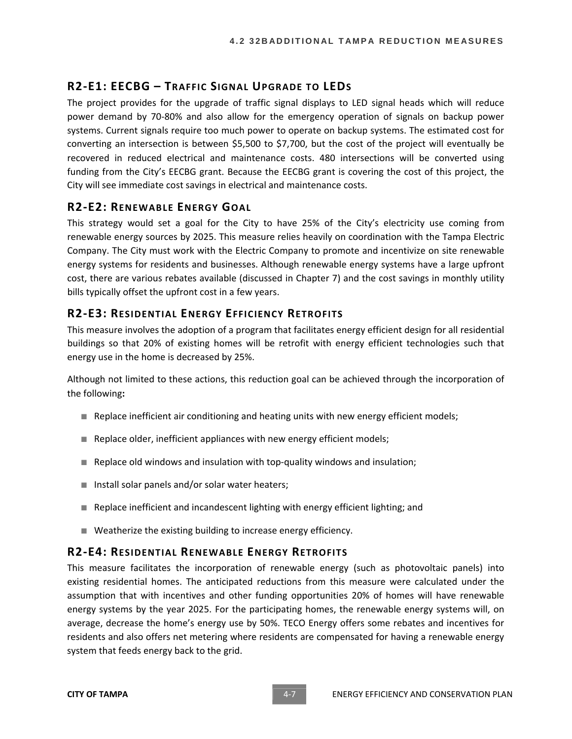#### **R2‐E1: EECBG – TRAFFIC SIGNAL UPGRADE TO LEDS**

The project provides for the upgrade of traffic signal displays to LED signal heads which will reduce power demand by 70‐80% and also allow for the emergency operation of signals on backup power systems. Current signals require too much power to operate on backup systems. The estimated cost for converting an intersection is between \$5,500 to \$7,700, but the cost of the project will eventually be recovered in reduced electrical and maintenance costs. 480 intersections will be converted using funding from the City's EECBG grant. Because the EECBG grant is covering the cost of this project, the City will see immediate cost savings in electrical and maintenance costs.

#### **R2‐E2: RENEWABLE ENERGY GOAL**

This strategy would set a goal for the City to have 25% of the City's electricity use coming from renewable energy sources by 2025. This measure relies heavily on coordination with the Tampa Electric Company. The City must work with the Electric Company to promote and incentivize on site renewable energy systems for residents and businesses. Although renewable energy systems have a large upfront cost, there are various rebates available (discussed in Chapter 7) and the cost savings in monthly utility bills typically offset the upfront cost in a few years.

#### **R2‐E3: RESIDENTIAL ENERGY EFFICIENCY RETROFITS**

This measure involves the adoption of a program that facilitates energy efficient design for all residential buildings so that 20% of existing homes will be retrofit with energy efficient technologies such that energy use in the home is decreased by 25%.

Although not limited to these actions, this reduction goal can be achieved through the incorporation of the following**:** 

- Replace inefficient air conditioning and heating units with new energy efficient models;
- Replace older, inefficient appliances with new energy efficient models;
- Replace old windows and insulation with top-quality windows and insulation;
- Install solar panels and/or solar water heaters;
- Replace inefficient and incandescent lighting with energy efficient lighting; and
- Weatherize the existing building to increase energy efficiency.

#### **R2‐E4: RESIDENTIAL RENEWABLE ENERGY RETROFITS**

This measure facilitates the incorporation of renewable energy (such as photovoltaic panels) into existing residential homes. The anticipated reductions from this measure were calculated under the assumption that with incentives and other funding opportunities 20% of homes will have renewable energy systems by the year 2025. For the participating homes, the renewable energy systems will, on average, decrease the home's energy use by 50%. TECO Energy offers some rebates and incentives for residents and also offers net metering where residents are compensated for having a renewable energy system that feeds energy back to the grid.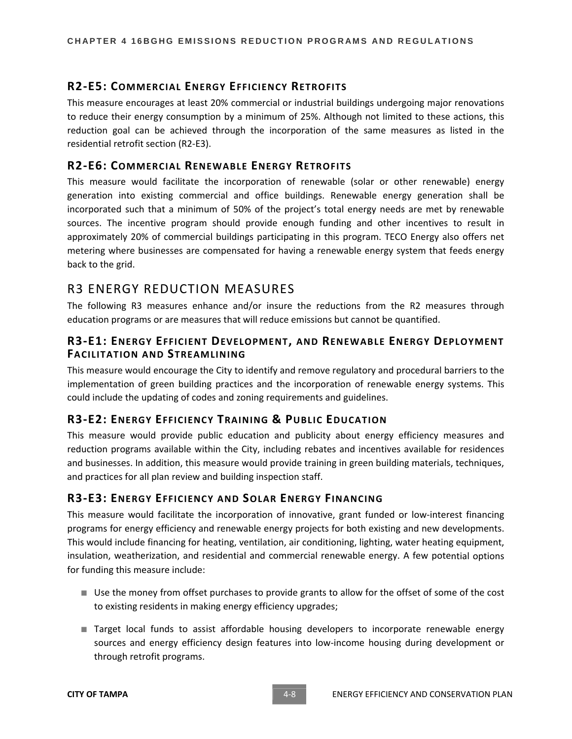#### **R2‐E5: COMMERCIAL ENERGY EFFICIENCY RETROFITS**

This measure encourages at least 20% commercial or industrial buildings undergoing major renovations to reduce their energy consumption by a minimum of 25%. Although not limited to these actions, this reduction goal can be achieved through the incorporation of the same measures as listed in the residential retrofit section (R2‐E3).

#### **R2‐E6: COMMERCIAL RENEWABLE ENERGY RETROFITS**

This measure would facilitate the incorporation of renewable (solar or other renewable) energy generation into existing commercial and office buildings. Renewable energy generation shall be incorporated such that a minimum of 50% of the project's total energy needs are met by renewable sources. The incentive program should provide enough funding and other incentives to result in approximately 20% of commercial buildings participating in this program. TECO Energy also offers net metering where businesses are compensated for having a renewable energy system that feeds energy back to the grid.

#### R3 ENERGY REDUCTION MEASURES

The following R3 measures enhance and/or insure the reductions from the R2 measures through education programs or are measures that will reduce emissions but cannot be quantified.

#### **R3‐E1: ENERGY EFFICIENT DEVELOPMENT, AND RENEWABLE ENERGY DEPLOYMENT FACILITATION AND STREAMLINING**

This measure would encourage the City to identify and remove regulatory and procedural barriers to the implementation of green building practices and the incorporation of renewable energy systems. This could include the updating of codes and zoning requirements and guidelines.

#### **R3‐E2: ENERGY EFFICIENCY TRAINING & PUBLIC EDUCATION**

This measure would provide public education and publicity about energy efficiency measures and reduction programs available within the City, including rebates and incentives available for residences and businesses. In addition, this measure would provide training in green building materials, techniques, and practices for all plan review and building inspection staff.

#### **R3‐E3: ENERGY EFFICIENCY AND SOLAR ENERGY FINANCING**

This measure would facilitate the incorporation of innovative, grant funded or low-interest financing programs for energy efficiency and renewable energy projects for both existing and new developments. This would include financing for heating, ventilation, air conditioning, lighting, water heating equipment, insulation, weatherization, and residential and commercial renewable energy. A few potential options for funding this measure include:

- Use the money from offset purchases to provide grants to allow for the offset of some of the cost to existing residents in making energy efficiency upgrades;
- Target local funds to assist affordable housing developers to incorporate renewable energy sources and energy efficiency design features into low‐income housing during development or through retrofit programs.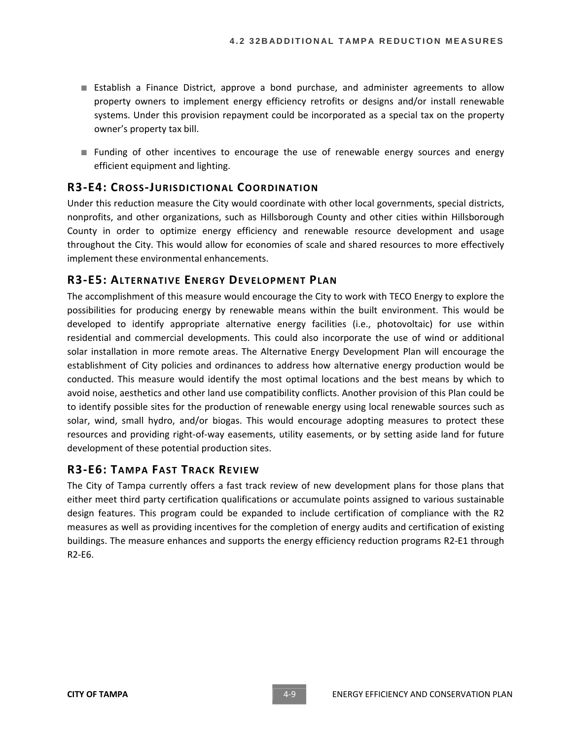- Establish a Finance District, approve a bond purchase, and administer agreements to allow property owners to implement energy efficiency retrofits or designs and/or install renewable systems. Under this provision repayment could be incorporated as a special tax on the property owner's property tax bill.
- Funding of other incentives to encourage the use of renewable energy sources and energy efficient equipment and lighting.

#### **R3‐E4: CROSS‐JURISDICTIONAL COORDINATION**

Under this reduction measure the City would coordinate with other local governments, special districts, nonprofits, and other organizations, such as Hillsborough County and other cities within Hillsborough County in order to optimize energy efficiency and renewable resource development and usage throughout the City. This would allow for economies of scale and shared resources to more effectively implement these environmental enhancements.

#### **R3‐E5: ALTERNATIVE ENERGY DEVELOPMENT PLAN**

The accomplishment of this measure would encourage the City to work with TECO Energy to explore the possibilities for producing energy by renewable means within the built environment. This would be developed to identify appropriate alternative energy facilities (i.e., photovoltaic) for use within residential and commercial developments. This could also incorporate the use of wind or additional solar installation in more remote areas. The Alternative Energy Development Plan will encourage the establishment of City policies and ordinances to address how alternative energy production would be conducted. This measure would identify the most optimal locations and the best means by which to avoid noise, aesthetics and other land use compatibility conflicts. Another provision of this Plan could be to identify possible sites for the production of renewable energy using local renewable sources such as solar, wind, small hydro, and/or biogas. This would encourage adopting measures to protect these resources and providing right‐of‐way easements, utility easements, or by setting aside land for future development of these potential production sites.

#### **R3‐E6: TAMPA FAST TRACK REVIEW**

The City of Tampa currently offers a fast track review of new development plans for those plans that either meet third party certification qualifications or accumulate points assigned to various sustainable design features. This program could be expanded to include certification of compliance with the R2 measures as well as providing incentives for the completion of energy audits and certification of existing buildings. The measure enhances and supports the energy efficiency reduction programs R2‐E1 through R2‐E6.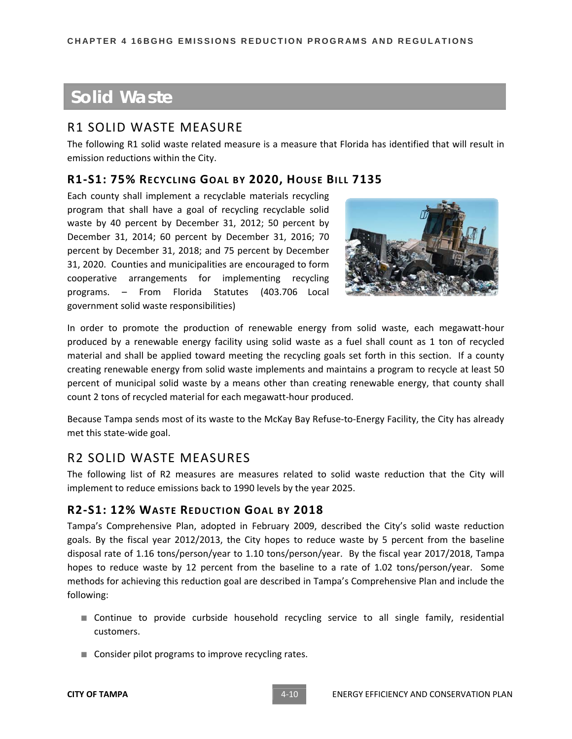### **Solid Waste**

#### R1 SOLID WASTE MEASURE

The following R1 solid waste related measure is a measure that Florida has identified that will result in emission reductions within the City.

#### **R1‐S1: 75% RECYCLING GOAL BY 2020, HOUSE BILL 7135**

Each county shall implement a recyclable materials recycling program that shall have a goal of recycling recyclable solid waste by 40 percent by December 31, 2012; 50 percent by December 31, 2014; 60 percent by December 31, 2016; 70 percent by December 31, 2018; and 75 percent by December 31, 2020. Counties and municipalities are encouraged to form cooperative arrangements for implementing recycling programs. – From Florida Statutes (403.706 Local government solid waste responsibilities)



In order to promote the production of renewable energy from solid waste, each megawatt‐hour produced by a renewable energy facility using solid waste as a fuel shall count as 1 ton of recycled material and shall be applied toward meeting the recycling goals set forth in this section. If a county creating renewable energy from solid waste implements and maintains a program to recycle at least 50 percent of municipal solid waste by a means other than creating renewable energy, that county shall count 2 tons of recycled material for each megawatt‐hour produced.

Because Tampa sends most of its waste to the McKay Bay Refuse‐to‐Energy Facility, the City has already met this state‐wide goal.

#### R2 SOLID WASTE MEASURES

The following list of R2 measures are measures related to solid waste reduction that the City will implement to reduce emissions back to 1990 levels by the year 2025.

#### **R2‐S1: 12% WASTE REDUCTION GOAL BY 2018**

Tampa's Comprehensive Plan, adopted in February 2009, described the City's solid waste reduction goals. By the fiscal year 2012/2013, the City hopes to reduce waste by 5 percent from the baseline disposal rate of 1.16 tons/person/year to 1.10 tons/person/year. By the fiscal year 2017/2018, Tampa hopes to reduce waste by 12 percent from the baseline to a rate of 1.02 tons/person/year. Some methods for achieving this reduction goal are described in Tampa's Comprehensive Plan and include the following:

- **■** Continue to provide curbside household recycling service to all single family, residential customers.
- Consider pilot programs to improve recycling rates.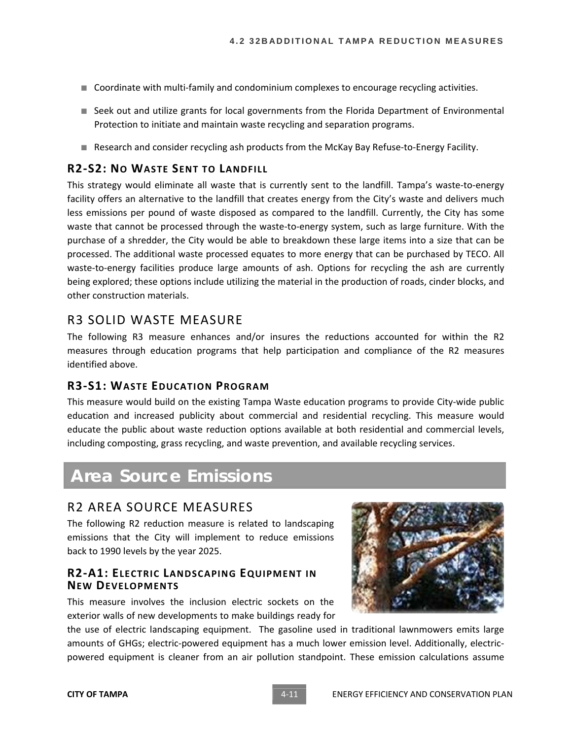- Coordinate with multi-family and condominium complexes to encourage recycling activities.
- Seek out and utilize grants for local governments from the Florida Department of Environmental Protection to initiate and maintain waste recycling and separation programs.
- Research and consider recycling ash products from the McKay Bay Refuse-to-Energy Facility.

#### **R2‐S2: NO WASTE SENT TO LANDFILL**

This strategy would eliminate all waste that is currently sent to the landfill. Tampa's waste‐to‐energy facility offers an alternative to the landfill that creates energy from the City's waste and delivers much less emissions per pound of waste disposed as compared to the landfill. Currently, the City has some waste that cannot be processed through the waste-to-energy system, such as large furniture. With the purchase of a shredder, the City would be able to breakdown these large items into a size that can be processed. The additional waste processed equates to more energy that can be purchased by TECO. All waste-to-energy facilities produce large amounts of ash. Options for recycling the ash are currently being explored; these options include utilizing the material in the production of roads, cinder blocks, and other construction materials.

#### R3 SOLID WASTE MEASURE

The following R3 measure enhances and/or insures the reductions accounted for within the R2 measures through education programs that help participation and compliance of the R2 measures identified above.

#### **R3‐S1: WASTE EDUCATION PROGRAM**

This measure would build on the existing Tampa Waste education programs to provide City‐wide public education and increased publicity about commercial and residential recycling. This measure would educate the public about waste reduction options available at both residential and commercial levels, including composting, grass recycling, and waste prevention, and available recycling services.

### **Area Source Emissions**

#### R2 AREA SOURCE MEASURES

The following R2 reduction measure is related to landscaping emissions that the City will implement to reduce emissions back to 1990 levels by the year 2025.

#### **R2‐A1: ELECTRIC LANDSCAPING EQUIPMENT IN NEW DEVELOPMENTS**

This measure involves the inclusion electric sockets on the exterior walls of new developments to make buildings ready for

the use of electric landscaping equipment. The gasoline used in traditional lawnmowers emits large amounts of GHGs; electric‐powered equipment has a much lower emission level. Additionally, electric‐ powered equipment is cleaner from an air pollution standpoint. These emission calculations assume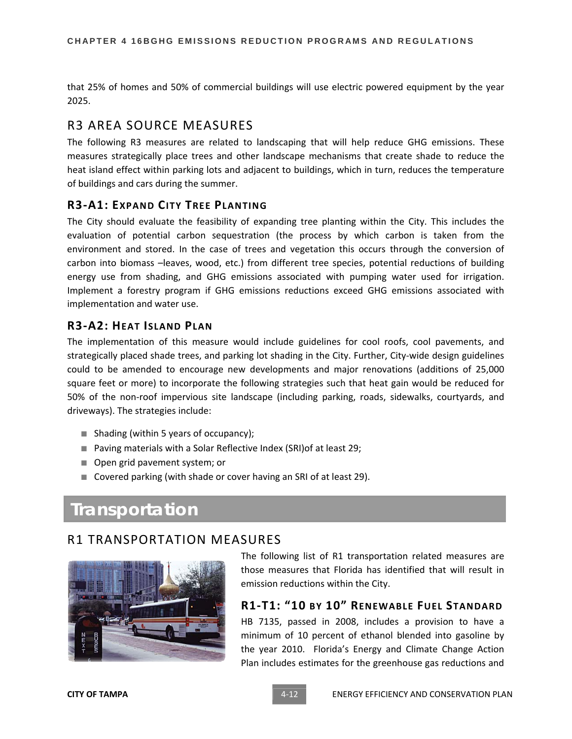that 25% of homes and 50% of commercial buildings will use electric powered equipment by the year 2025.

#### R3 AREA SOURCE MEASURES

The following R3 measures are related to landscaping that will help reduce GHG emissions. These measures strategically place trees and other landscape mechanisms that create shade to reduce the heat island effect within parking lots and adjacent to buildings, which in turn, reduces the temperature of buildings and cars during the summer.

#### **R3‐A1: EXPAND CITY TREE PLANTING**

The City should evaluate the feasibility of expanding tree planting within the City. This includes the evaluation of potential carbon sequestration (the process by which carbon is taken from the environment and stored. In the case of trees and vegetation this occurs through the conversion of carbon into biomass –leaves, wood, etc.) from different tree species, potential reductions of building energy use from shading, and GHG emissions associated with pumping water used for irrigation. Implement a forestry program if GHG emissions reductions exceed GHG emissions associated with implementation and water use.

#### **R3‐A2: HEAT ISLAND PLAN**

The implementation of this measure would include guidelines for cool roofs, cool pavements, and strategically placed shade trees, and parking lot shading in the City. Further, City-wide design guidelines could to be amended to encourage new developments and major renovations (additions of 25,000 square feet or more) to incorporate the following strategies such that heat gain would be reduced for 50% of the non‐roof impervious site landscape (including parking, roads, sidewalks, courtyards, and driveways). The strategies include:

- Shading (within 5 years of occupancy);
- Paving materials with a Solar Reflective Index (SRI) of at least 29;
- Open grid pavement system; or
- Covered parking (with shade or cover having an SRI of at least 29).

### **Transportation**

#### R1 TRANSPORTATION MEASURES



The following list of R1 transportation related measures are those measures that Florida has identified that will result in emission reductions within the City.

#### **R1‐T1: "10 BY 10" RENEWABLE FUEL STANDARD**

HB 7135, passed in 2008, includes a provision to have a minimum of 10 percent of ethanol blended into gasoline by the year 2010. Florida's Energy and Climate Change Action Plan includes estimates for the greenhouse gas reductions and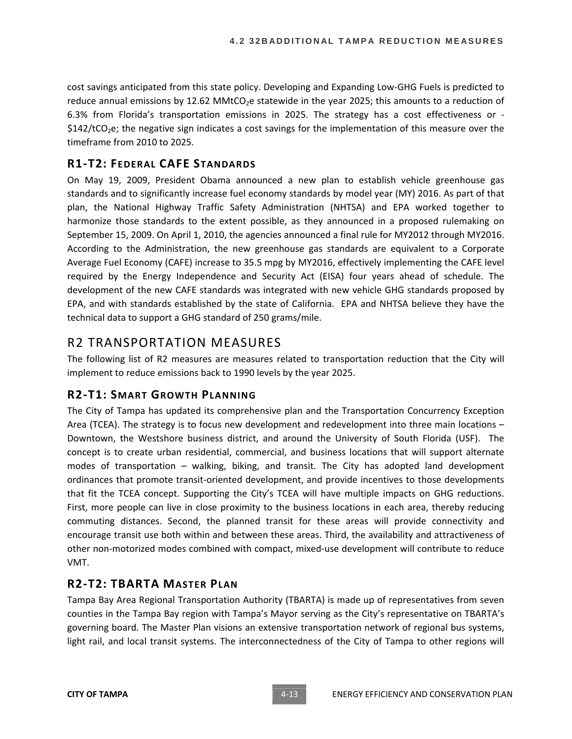cost savings anticipated from this state policy. Developing and Expanding Low‐GHG Fuels is predicted to reduce annual emissions by 12.62 MMtCO<sub>2</sub>e statewide in the year 2025; this amounts to a reduction of 6.3% from Florida's transportation emissions in 2025. The strategy has a cost effectiveness or ‐  $$142/tCO<sub>2</sub>e$ ; the negative sign indicates a cost savings for the implementation of this measure over the timeframe from 2010 to 2025.

#### **R1‐T2: FEDERAL CAFE STANDARDS**

On May 19, 2009, President Obama announced a new plan to establish vehicle greenhouse gas standards and to significantly increase fuel economy standards by model year (MY) 2016. As part of that plan, the National Highway Traffic Safety Administration (NHTSA) and EPA worked together to harmonize those standards to the extent possible, as they announced in a proposed rulemaking on September 15, 2009. On April 1, 2010, the agencies announced a final rule for MY2012 through MY2016. According to the Administration, the new greenhouse gas standards are equivalent to a Corporate Average Fuel Economy (CAFE) increase to 35.5 mpg by MY2016, effectively implementing the CAFE level required by the Energy Independence and Security Act (EISA) four years ahead of schedule. The development of the new CAFE standards was integrated with new vehicle GHG standards proposed by EPA, and with standards established by the state of California. EPA and NHTSA believe they have the technical data to support a GHG standard of 250 grams/mile.

#### R2 TRANSPORTATION MEASURES

The following list of R2 measures are measures related to transportation reduction that the City will implement to reduce emissions back to 1990 levels by the year 2025.

#### **R2‐T1: SMART GROWTH PLANNING**

The City of Tampa has updated its comprehensive plan and the Transportation Concurrency Exception Area (TCEA). The strategy is to focus new development and redevelopment into three main locations – Downtown, the Westshore business district, and around the University of South Florida (USF). The concept is to create urban residential, commercial, and business locations that will support alternate modes of transportation – walking, biking, and transit. The City has adopted land development ordinances that promote transit‐oriented development, and provide incentives to those developments that fit the TCEA concept. Supporting the City's TCEA will have multiple impacts on GHG reductions. First, more people can live in close proximity to the business locations in each area, thereby reducing commuting distances. Second, the planned transit for these areas will provide connectivity and encourage transit use both within and between these areas. Third, the availability and attractiveness of other non‐motorized modes combined with compact, mixed‐use development will contribute to reduce VMT.

#### **R2‐T2: TBARTA MASTER PLAN**

Tampa Bay Area Regional Transportation Authority (TBARTA) is made up of representatives from seven counties in the Tampa Bay region with Tampa's Mayor serving as the City's representative on TBARTA's governing board. The Master Plan visions an extensive transportation network of regional bus systems, light rail, and local transit systems. The interconnectedness of the City of Tampa to other regions will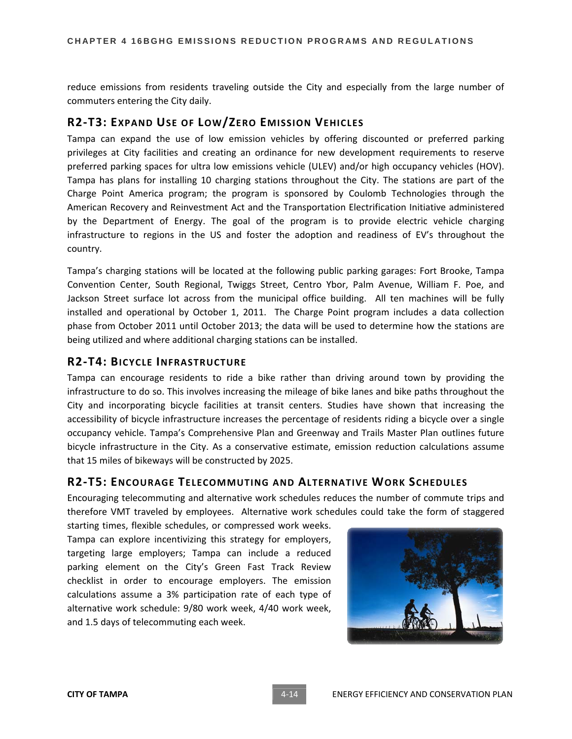reduce emissions from residents traveling outside the City and especially from the large number of commuters entering the City daily.

#### **R2‐T3: EXPAND USE OF LOW/ZERO EMISSION VEHICLES**

Tampa can expand the use of low emission vehicles by offering discounted or preferred parking privileges at City facilities and creating an ordinance for new development requirements to reserve preferred parking spaces for ultra low emissions vehicle (ULEV) and/or high occupancy vehicles (HOV). Tampa has plans for installing 10 charging stations throughout the City. The stations are part of the Charge Point America program; the program is sponsored by Coulomb Technologies through the American Recovery and Reinvestment Act and the Transportation Electrification Initiative administered by the Department of Energy. The goal of the program is to provide electric vehicle charging infrastructure to regions in the US and foster the adoption and readiness of EV's throughout the country.

Tampa's charging stations will be located at the following public parking garages: Fort Brooke, Tampa Convention Center, South Regional, Twiggs Street, Centro Ybor, Palm Avenue, William F. Poe, and Jackson Street surface lot across from the municipal office building. All ten machines will be fully installed and operational by October 1, 2011. The Charge Point program includes a data collection phase from October 2011 until October 2013; the data will be used to determine how the stations are being utilized and where additional charging stations can be installed.

#### **R2‐T4: BICYCLE INFRASTRUCTURE**

Tampa can encourage residents to ride a bike rather than driving around town by providing the infrastructure to do so. This involves increasing the mileage of bike lanes and bike paths throughout the City and incorporating bicycle facilities at transit centers. Studies have shown that increasing the accessibility of bicycle infrastructure increases the percentage of residents riding a bicycle over a single occupancy vehicle. Tampa's Comprehensive Plan and Greenway and Trails Master Plan outlines future bicycle infrastructure in the City. As a conservative estimate, emission reduction calculations assume that 15 miles of bikeways will be constructed by 2025.

#### **R2‐T5: ENCOURAGE TELECOMMUTING AND ALTERNATIVE WORK SCHEDULES**

Encouraging telecommuting and alternative work schedules reduces the number of commute trips and therefore VMT traveled by employees. Alternative work schedules could take the form of staggered

starting times, flexible schedules, or compressed work weeks. Tampa can explore incentivizing this strategy for employers, targeting large employers; Tampa can include a reduced parking element on the City's Green Fast Track Review checklist in order to encourage employers. The emission calculations assume a 3% participation rate of each type of alternative work schedule: 9/80 work week, 4/40 work week, and 1.5 days of telecommuting each week.

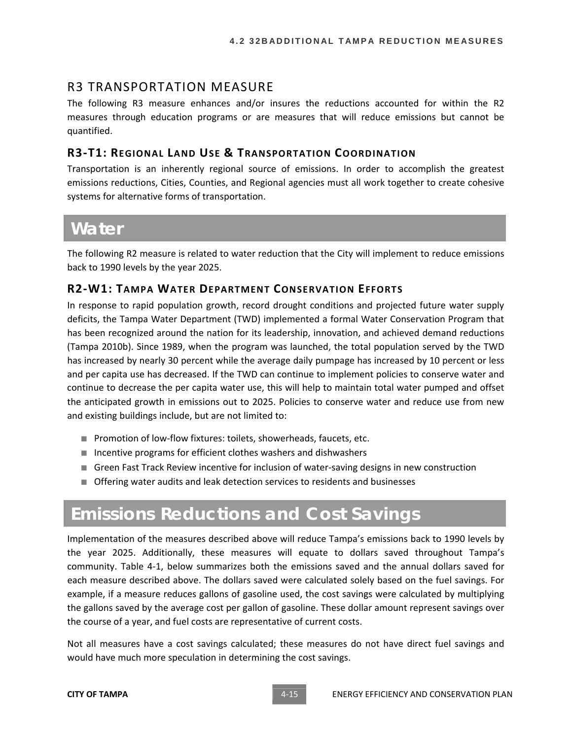#### R3 TRANSPORTATION MEASURE

The following R3 measure enhances and/or insures the reductions accounted for within the R2 measures through education programs or are measures that will reduce emissions but cannot be quantified.

#### **R3‐T1: REGIONAL LAND USE & TRANSPORTATION COORDINATION**

Transportation is an inherently regional source of emissions. In order to accomplish the greatest emissions reductions, Cities, Counties, and Regional agencies must all work together to create cohesive systems for alternative forms of transportation.

### **Water**

The following R2 measure is related to water reduction that the City will implement to reduce emissions back to 1990 levels by the year 2025.

#### **R2‐W1: TAMPA WATER DEPARTMENT CONSERVATION EFFORTS**

In response to rapid population growth, record drought conditions and projected future water supply deficits, the Tampa Water Department (TWD) implemented a formal Water Conservation Program that has been recognized around the nation for its leadership, innovation, and achieved demand reductions (Tampa 2010b). Since 1989, when the program was launched, the total population served by the TWD has increased by nearly 30 percent while the average daily pumpage has increased by 10 percent or less and per capita use has decreased. If the TWD can continue to implement policies to conserve water and continue to decrease the per capita water use, this will help to maintain total water pumped and offset the anticipated growth in emissions out to 2025. Policies to conserve water and reduce use from new and existing buildings include, but are not limited to:

- Promotion of low-flow fixtures: toilets, showerheads, faucets, etc.
- Incentive programs for efficient clothes washers and dishwashers
- Green Fast Track Review incentive for inclusion of water-saving designs in new construction
- Offering water audits and leak detection services to residents and businesses

### **Emissions Reductions and Cost Savings**

Implementation of the measures described above will reduce Tampa's emissions back to 1990 levels by the year 2025. Additionally, these measures will equate to dollars saved throughout Tampa's community. Table 4‐1, below summarizes both the emissions saved and the annual dollars saved for each measure described above. The dollars saved were calculated solely based on the fuel savings. For example, if a measure reduces gallons of gasoline used, the cost savings were calculated by multiplying the gallons saved by the average cost per gallon of gasoline. These dollar amount represent savings over the course of a year, and fuel costs are representative of current costs.

Not all measures have a cost savings calculated; these measures do not have direct fuel savings and would have much more speculation in determining the cost savings.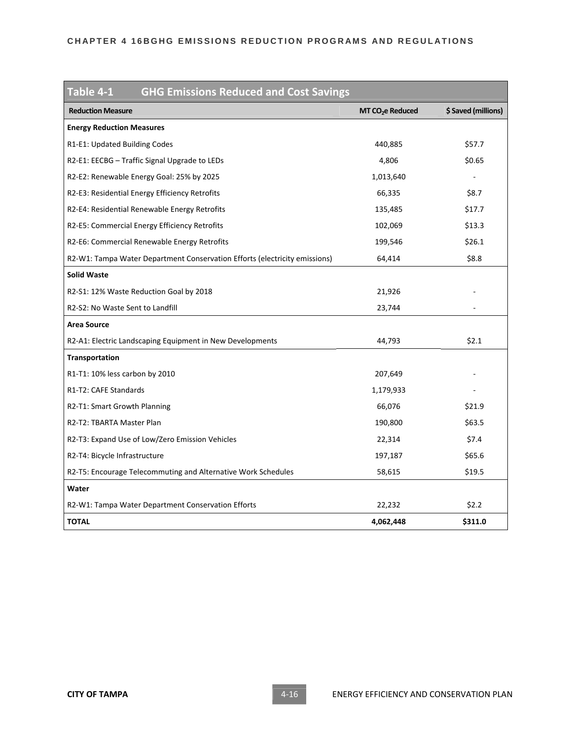| Table 4-1<br><b>GHG Emissions Reduced and Cost Savings</b>                 |                              |                     |
|----------------------------------------------------------------------------|------------------------------|---------------------|
| <b>Reduction Measure</b>                                                   | MT CO <sub>2</sub> e Reduced | \$ Saved (millions) |
| <b>Energy Reduction Measures</b>                                           |                              |                     |
| R1-E1: Updated Building Codes                                              | 440,885                      | \$57.7              |
| R2-E1: EECBG – Traffic Signal Upgrade to LEDs                              | 4,806                        | \$0.65              |
| R2-E2: Renewable Energy Goal: 25% by 2025                                  | 1,013,640                    | $\sim$              |
| R2-E3: Residential Energy Efficiency Retrofits                             | 66,335                       | \$8.7               |
| R2-E4: Residential Renewable Energy Retrofits                              | 135,485                      | \$17.7              |
| R2-E5: Commercial Energy Efficiency Retrofits                              | 102,069                      | \$13.3              |
| R2-E6: Commercial Renewable Energy Retrofits                               | 199,546                      | \$26.1              |
| R2-W1: Tampa Water Department Conservation Efforts (electricity emissions) | 64,414                       | \$8.8               |
| <b>Solid Waste</b>                                                         |                              |                     |
| R2-S1: 12% Waste Reduction Goal by 2018                                    | 21,926                       |                     |
| R2-S2: No Waste Sent to Landfill                                           | 23,744                       |                     |
| <b>Area Source</b>                                                         |                              |                     |
| R2-A1: Electric Landscaping Equipment in New Developments                  | 44,793                       | \$2.1               |
| Transportation                                                             |                              |                     |
| R1-T1: 10% less carbon by 2010                                             | 207,649                      |                     |
| R1-T2: CAFE Standards                                                      | 1,179,933                    |                     |
| R2-T1: Smart Growth Planning                                               | 66,076                       | \$21.9              |
| R2-T2: TBARTA Master Plan                                                  | 190,800                      | \$63.5              |
| R2-T3: Expand Use of Low/Zero Emission Vehicles                            | 22,314                       | \$7.4               |
| R2-T4: Bicycle Infrastructure                                              | 197,187                      | \$65.6              |
| R2-T5: Encourage Telecommuting and Alternative Work Schedules              | 58,615                       | \$19.5              |
| Water                                                                      |                              |                     |
| R2-W1: Tampa Water Department Conservation Efforts                         | 22,232                       | \$2.2               |
| <b>TOTAL</b>                                                               | 4,062,448                    | \$311.0             |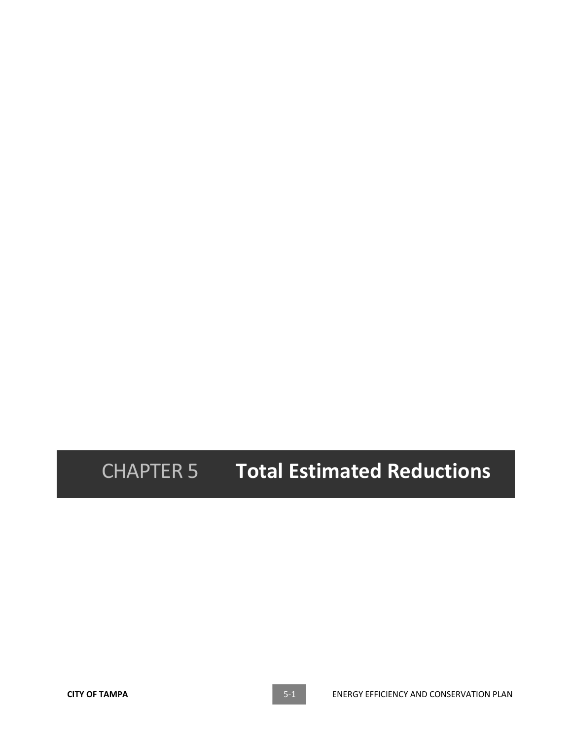# CHAPTER 5 **Total Estimated Reductions**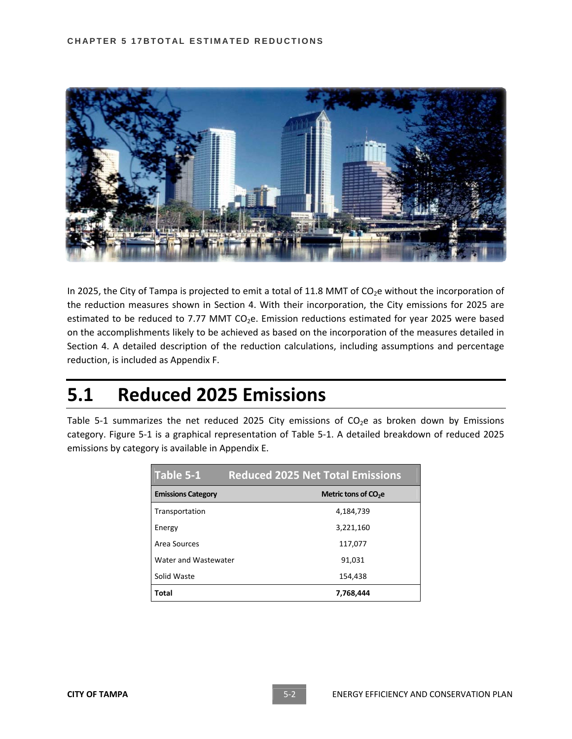

In 2025, the City of Tampa is projected to emit a total of 11.8 MMT of  $CO<sub>2</sub>e$  without the incorporation of the reduction measures shown in Section 4. With their incorporation, the City emissions for 2025 are estimated to be reduced to 7.77 MMT CO<sub>2</sub>e. Emission reductions estimated for year 2025 were based on the accomplishments likely to be achieved as based on the incorporation of the measures detailed in Section 4. A detailed description of the reduction calculations, including assumptions and percentage reduction, is included as Appendix F.

# **5.1 Reduced 2025 Emissions**

Table 5-1 summarizes the net reduced 2025 City emissions of  $CO<sub>2</sub>e$  as broken down by Emissions category. Figure 5‐1 is a graphical representation of Table 5‐1. A detailed breakdown of reduced 2025 emissions by category is available in Appendix E.

| Table 5-1<br><b>Reduced 2025 Net Total Emissions</b> |                                  |  |
|------------------------------------------------------|----------------------------------|--|
| <b>Emissions Category</b>                            | Metric tons of CO <sub>2</sub> e |  |
| Transportation                                       | 4,184,739                        |  |
| Energy                                               | 3,221,160                        |  |
| Area Sources                                         | 117,077                          |  |
| Water and Wastewater                                 | 91,031                           |  |
| Solid Waste                                          | 154,438                          |  |
| Total                                                | 7,768,444                        |  |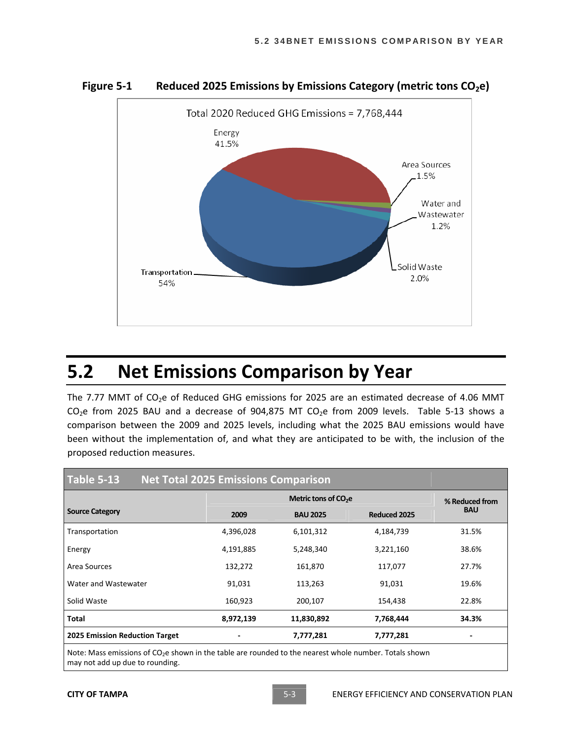

#### **Figure** 5-1 Reduced 2025 Emissions by Emissions Category (metric tons CO<sub>2</sub>e)

# **5.2 Net Emissions Comparison by Year**

The 7.77 MMT of  $CO<sub>2</sub>e$  of Reduced GHG emissions for 2025 are an estimated decrease of 4.06 MMT  $CO<sub>2</sub>e$  from 2025 BAU and a decrease of 904,875 MT  $CO<sub>2</sub>e$  from 2009 levels. Table 5-13 shows a comparison between the 2009 and 2025 levels, including what the 2025 BAU emissions would have been without the implementation of, and what they are anticipated to be with, the inclusion of the proposed reduction measures.

| Table 5-13<br><b>Net Total 2025 Emissions Comparison</b> |                                  |                 |              |                |  |  |
|----------------------------------------------------------|----------------------------------|-----------------|--------------|----------------|--|--|
|                                                          | Metric tons of CO <sub>2</sub> e |                 |              | % Reduced from |  |  |
| <b>Source Category</b>                                   | 2009                             | <b>BAU 2025</b> | Reduced 2025 | <b>BAU</b>     |  |  |
| Transportation                                           | 4,396,028                        | 6,101,312       | 4,184,739    | 31.5%          |  |  |
| Energy                                                   | 4,191,885                        | 5,248,340       | 3,221,160    | 38.6%          |  |  |
| Area Sources                                             | 132,272                          | 161,870         | 117,077      | 27.7%          |  |  |
| Water and Wastewater                                     | 91,031                           | 113,263         | 91,031       | 19.6%          |  |  |
| Solid Waste                                              | 160,923                          | 200,107         | 154,438      | 22.8%          |  |  |
| Total                                                    | 8,972,139                        | 11,830,892      | 7,768,444    | 34.3%          |  |  |
| <b>2025 Emission Reduction Target</b>                    |                                  | 7,777,281       | 7,777,281    |                |  |  |

Note: Mass emissions of CO<sub>2</sub>e shown in the table are rounded to the nearest whole number. Totals shown may not add up due to rounding.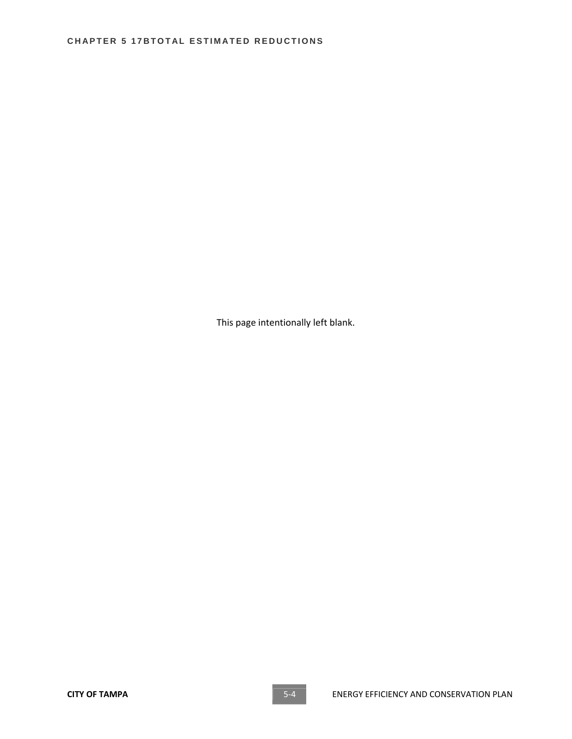This page intentionally left blank.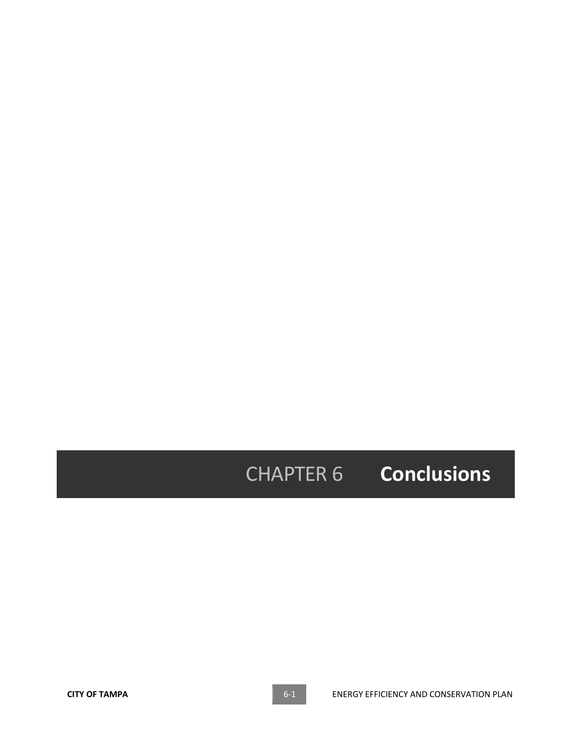# CHAPTER 6 **Conclusions**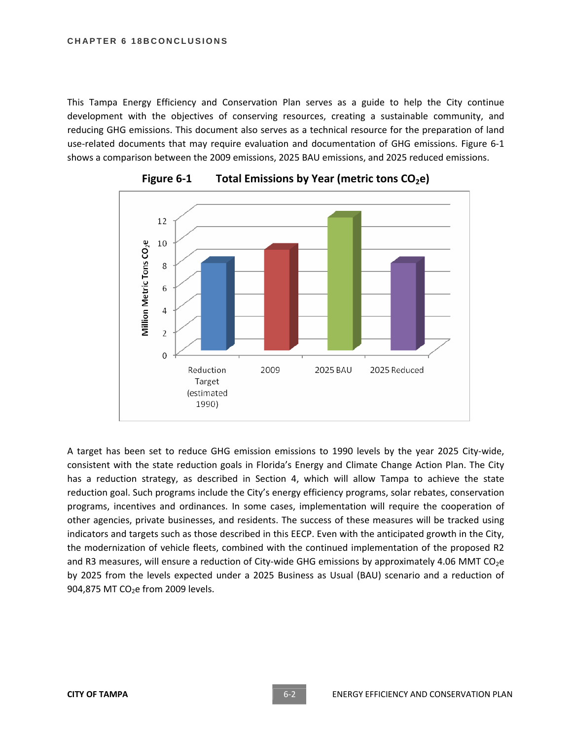#### **CHAPTER 6 18BCONCLUSIONS**

This Tampa Energy Efficiency and Conservation Plan serves as a guide to help the City continue development with the objectives of conserving resources, creating a sustainable community, and reducing GHG emissions. This document also serves as a technical resource for the preparation of land use-related documents that may require evaluation and documentation of GHG emissions. Figure 6-1 shows a comparison between the 2009 emissions, 2025 BAU emissions, and 2025 reduced emissions.





A target has been set to reduce GHG emission emissions to 1990 levels by the year 2025 City-wide, consistent with the state reduction goals in Florida's Energy and Climate Change Action Plan. The City has a reduction strategy, as described in Section 4, which will allow Tampa to achieve the state reduction goal. Such programs include the City's energy efficiency programs, solar rebates, conservation programs, incentives and ordinances. In some cases, implementation will require the cooperation of other agencies, private businesses, and residents. The success of these measures will be tracked using indicators and targets such as those described in this EECP. Even with the anticipated growth in the City, the modernization of vehicle fleets, combined with the continued implementation of the proposed R2 and R3 measures, will ensure a reduction of City-wide GHG emissions by approximately 4.06 MMT CO<sub>2</sub>e by 2025 from the levels expected under a 2025 Business as Usual (BAU) scenario and a reduction of 904,875 MT CO<sub>2</sub>e from 2009 levels.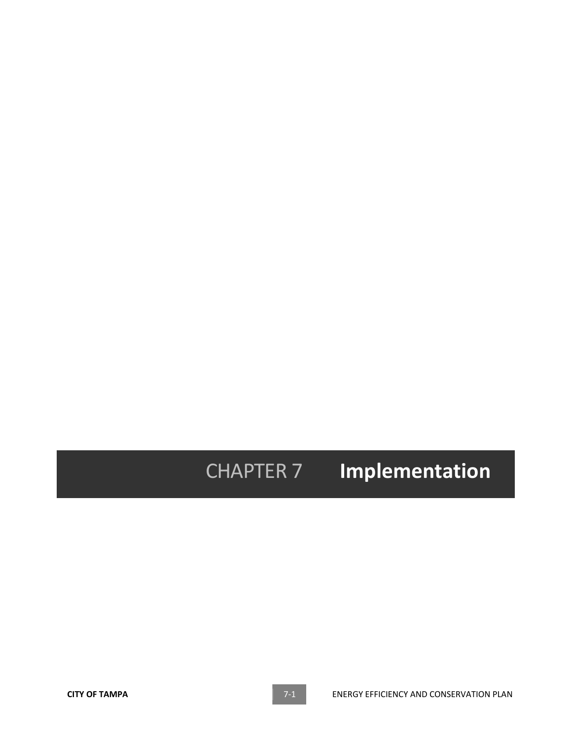# CHAPTER 7 **Implementation**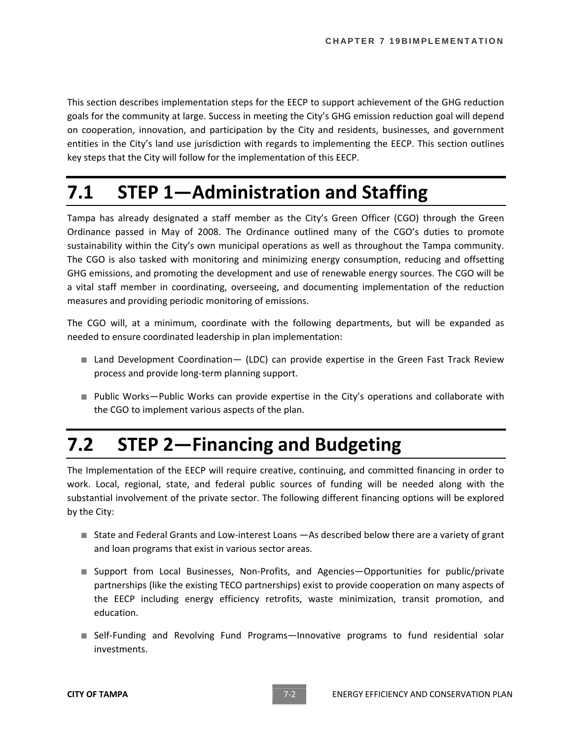This section describes implementation steps for the EECP to support achievement of the GHG reduction goals for the community at large. Success in meeting the City's GHG emission reduction goal will depend on cooperation, innovation, and participation by the City and residents, businesses, and government entities in the City's land use jurisdiction with regards to implementing the EECP. This section outlines key steps that the City will follow for the implementation of this EECP.

# **7.1 STEP 1—Administration and Staffing**

Tampa has already designated a staff member as the City's Green Officer (CGO) through the Green Ordinance passed in May of 2008. The Ordinance outlined many of the CGO's duties to promote sustainability within the City's own municipal operations as well as throughout the Tampa community. The CGO is also tasked with monitoring and minimizing energy consumption, reducing and offsetting GHG emissions, and promoting the development and use of renewable energy sources. The CGO will be a vital staff member in coordinating, overseeing, and documenting implementation of the reduction measures and providing periodic monitoring of emissions.

The CGO will, at a minimum, coordinate with the following departments, but will be expanded as needed to ensure coordinated leadership in plan implementation:

- Land Development Coordination– (LDC) can provide expertise in the Green Fast Track Review process and provide long‐term planning support.
- Public Works—Public Works can provide expertise in the City's operations and collaborate with the CGO to implement various aspects of the plan.

# **7.2 STEP 2—Financing and Budgeting**

The Implementation of the EECP will require creative, continuing, and committed financing in order to work. Local, regional, state, and federal public sources of funding will be needed along with the substantial involvement of the private sector. The following different financing options will be explored by the City:

- State and Federal Grants and Low-interest Loans —As described below there are a variety of grant and loan programs that exist in various sector areas.
- Support from Local Businesses, Non-Profits, and Agencies—Opportunities for public/private partnerships (like the existing TECO partnerships) exist to provide cooperation on many aspects of the EECP including energy efficiency retrofits, waste minimization, transit promotion, and education.
- Self-Funding and Revolving Fund Programs—Innovative programs to fund residential solar investments.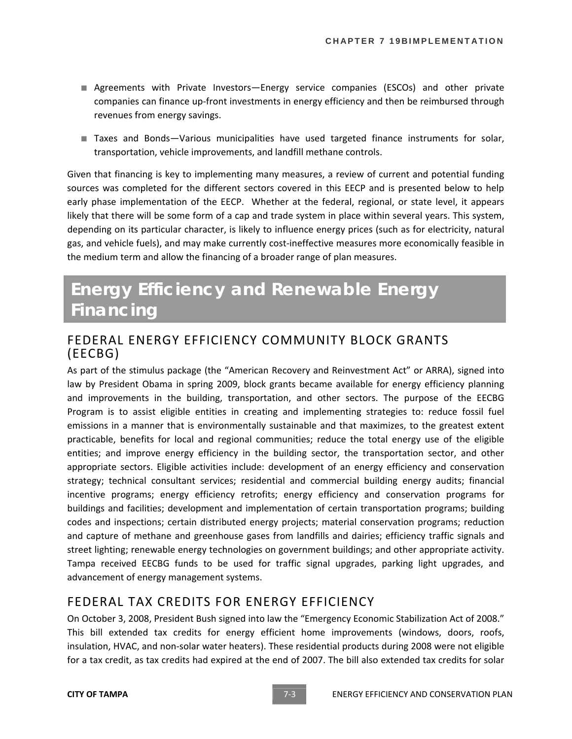- Agreements with Private Investors—Energy service companies (ESCOs) and other private companies can finance up-front investments in energy efficiency and then be reimbursed through revenues from energy savings.
- Taxes and Bonds-Various municipalities have used targeted finance instruments for solar, transportation, vehicle improvements, and landfill methane controls.

Given that financing is key to implementing many measures, a review of current and potential funding sources was completed for the different sectors covered in this EECP and is presented below to help early phase implementation of the EECP. Whether at the federal, regional, or state level, it appears likely that there will be some form of a cap and trade system in place within several years. This system, depending on its particular character, is likely to influence energy prices (such as for electricity, natural gas, and vehicle fuels), and may make currently cost‐ineffective measures more economically feasible in the medium term and allow the financing of a broader range of plan measures.

### **Energy Efficiency and Renewable Energy Financing**

#### FEDERAL ENERGY EFFICIENCY COMMUNITY BLOCK GRANTS (EECBG)

As part of the stimulus package (the "American Recovery and Reinvestment Act" or ARRA), signed into law by President Obama in spring 2009, block grants became available for energy efficiency planning and improvements in the building, transportation, and other sectors. The purpose of the EECBG Program is to assist eligible entities in creating and implementing strategies to: reduce fossil fuel emissions in a manner that is environmentally sustainable and that maximizes, to the greatest extent practicable, benefits for local and regional communities; reduce the total energy use of the eligible entities; and improve energy efficiency in the building sector, the transportation sector, and other appropriate sectors. Eligible activities include: development of an energy efficiency and conservation strategy; technical consultant services; residential and commercial building energy audits; financial incentive programs; energy efficiency retrofits; energy efficiency and conservation programs for buildings and facilities; development and implementation of certain transportation programs; building codes and inspections; certain distributed energy projects; material conservation programs; reduction and capture of methane and greenhouse gases from landfills and dairies; efficiency traffic signals and street lighting; renewable energy technologies on government buildings; and other appropriate activity. Tampa received EECBG funds to be used for traffic signal upgrades, parking light upgrades, and advancement of energy management systems.

#### FEDERAL TAX CREDITS FOR ENERGY EFFICIENCY

On October 3, 2008, President Bush signed into law the "Emergency Economic Stabilization Act of 2008." This bill extended tax credits for energy efficient home improvements (windows, doors, roofs, insulation, HVAC, and non‐solar water heaters). These residential products during 2008 were not eligible for a tax credit, as tax credits had expired at the end of 2007. The bill also extended tax credits for solar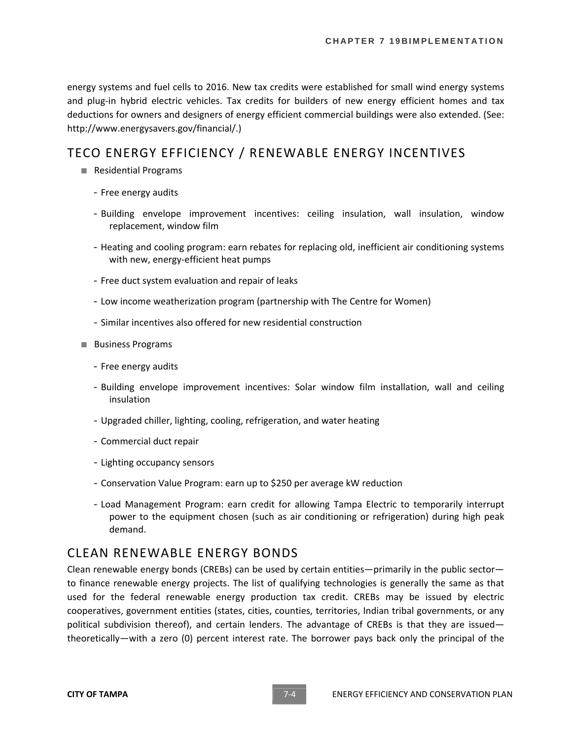energy systems and fuel cells to 2016. New tax credits were established for small wind energy systems and plug-in hybrid electric vehicles. Tax credits for builders of new energy efficient homes and tax deductions for owners and designers of energy efficient commercial buildings were also extended. (See: http://www.energysavers.gov/financial/.)

#### TECO ENERGY EFFICIENCY / RENEWABLE ENERGY INCENTIVES

- **■** Residential Programs
	- Free energy audits
	- Building envelope improvement incentives: ceiling insulation, wall insulation, window replacement, window film
	- Heating and cooling program: earn rebates for replacing old, inefficient air conditioning systems with new, energy-efficient heat pumps
	- Free duct system evaluation and repair of leaks
	- Low income weatherization program (partnership with The Centre for Women)
	- Similar incentives also offered for new residential construction
- **■** Business Programs
	- Free energy audits
	- Building envelope improvement incentives: Solar window film installation, wall and ceiling insulation
	- Upgraded chiller, lighting, cooling, refrigeration, and water heating
	- Commercial duct repair
	- Lighting occupancy sensors
	- Conservation Value Program: earn up to \$250 per average kW reduction
	- Load Management Program: earn credit for allowing Tampa Electric to temporarily interrupt power to the equipment chosen (such as air conditioning or refrigeration) during high peak demand.

#### CLEAN RENEWABLE ENERGY BONDS

Clean renewable energy bonds (CREBs) can be used by certain entities—primarily in the public sector to finance renewable energy projects. The list of qualifying technologies is generally the same as that used for the federal renewable energy production tax credit. CREBs may be issued by electric cooperatives, government entities (states, cities, counties, territories, Indian tribal governments, or any political subdivision thereof), and certain lenders. The advantage of CREBs is that they are issued theoretically—with a zero (0) percent interest rate. The borrower pays back only the principal of the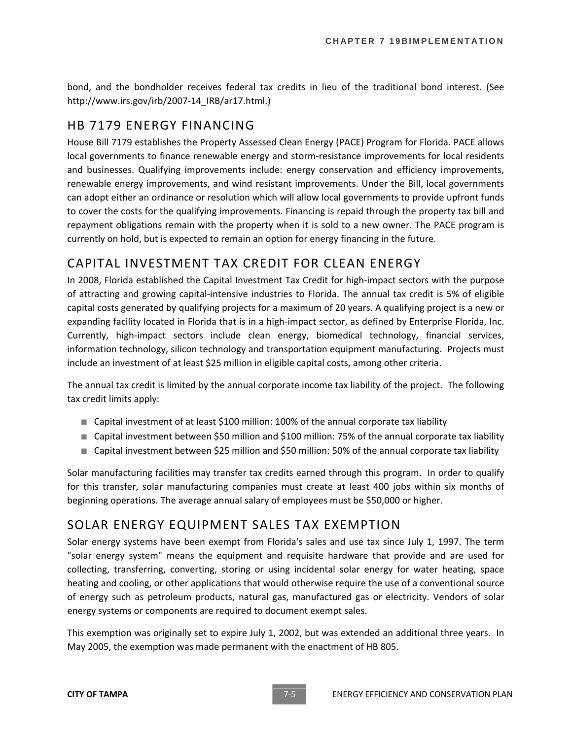bond, and the bondholder receives federal tax credits in lieu of the traditional bond interest. (See http://www.irs.gov/irb/2007‐14\_IRB/ar17.html.)

#### HB 7179 ENERGY FINANCING

House Bill 7179 establishes the Property Assessed Clean Energy (PACE) Program for Florida. PACE allows local governments to finance renewable energy and storm‐resistance improvements for local residents and businesses. Qualifying improvements include: energy conservation and efficiency improvements, renewable energy improvements, and wind resistant improvements. Under the Bill, local governments can adopt either an ordinance or resolution which will allow local governments to provide upfront funds to cover the costs for the qualifying improvements. Financing is repaid through the property tax bill and repayment obligations remain with the property when it is sold to a new owner. The PACE program is currently on hold, but is expected to remain an option for energy financing in the future.

#### CAPITAL INVESTMENT TAX CREDIT FOR CLEAN ENERGY

In 2008, Florida established the Capital Investment Tax Credit for high‐impact sectors with the purpose of attracting and growing capital‐intensive industries to Florida. The annual tax credit is 5% of eligible capital costs generated by qualifying projects for a maximum of 20 years. A qualifying project is a new or expanding facility located in Florida that is in a high‐impact sector, as defined by Enterprise Florida, Inc. Currently, high-impact sectors include clean energy, biomedical technology, financial services, information technology, silicon technology and transportation equipment manufacturing. Projects must include an investment of at least \$25 million in eligible capital costs, among other criteria.

The annual tax credit is limited by the annual corporate income tax liability of the project. The following tax credit limits apply:

- Capital investment of at least \$100 million: 100% of the annual corporate tax liability
- Capital investment between \$50 million and \$100 million: 75% of the annual corporate tax liability
- Capital investment between \$25 million and \$50 million: 50% of the annual corporate tax liability

Solar manufacturing facilities may transfer tax credits earned through this program. In order to qualify for this transfer, solar manufacturing companies must create at least 400 jobs within six months of beginning operations. The average annual salary of employees must be \$50,000 or higher.

#### SOLAR ENERGY EQUIPMENT SALES TAX EXEMPTION

Solar energy systems have been exempt from Florida's sales and use tax since July 1, 1997. The term "solar energy system" means the equipment and requisite hardware that provide and are used for collecting, transferring, converting, storing or using incidental solar energy for water heating, space heating and cooling, or other applications that would otherwise require the use of a conventional source of energy such as petroleum products, natural gas, manufactured gas or electricity. Vendors of solar energy systems or components are required to document exempt sales.

This exemption was originally set to expire July 1, 2002, but was extended an additional three years. In May 2005, the exemption was made permanent with the enactment of HB 805.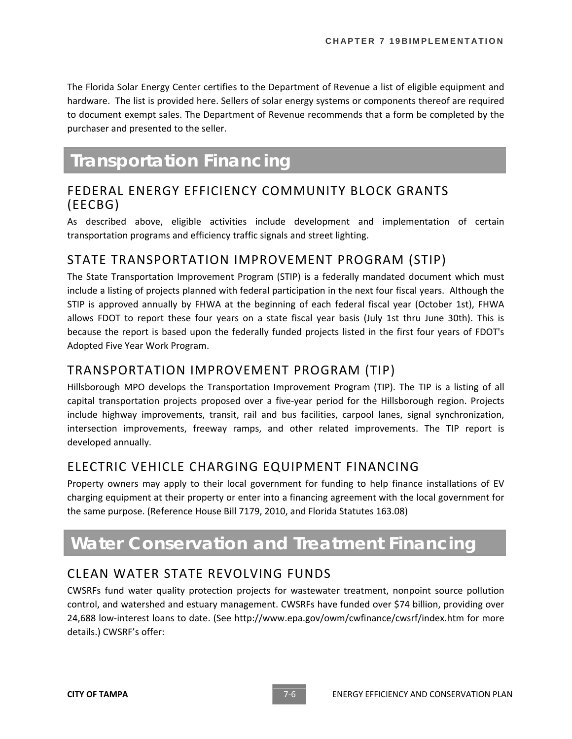The Florida Solar Energy Center certifies to the Department of Revenue a list of eligible equipment and hardware. The list is provided here. Sellers of solar energy systems or components thereof are required to document exempt sales. The Department of Revenue recommends that a form be completed by the purchaser and presented to the seller.

### **Transportation Financing**

#### FEDERAL ENERGY EFFICIENCY COMMUNITY BLOCK GRANTS (EECBG)

As described above, eligible activities include development and implementation of certain transportation programs and efficiency traffic signals and street lighting.

#### STATE TRANSPORTATION IMPROVEMENT PROGRAM (STIP)

The State Transportation Improvement Program (STIP) is a federally mandated document which must include a listing of projects planned with federal participation in the next four fiscal years. Although the STIP is approved annually by FHWA at the beginning of each federal fiscal year (October 1st), FHWA allows FDOT to report these four years on a state fiscal year basis (July 1st thru June 30th). This is because the report is based upon the federally funded projects listed in the first four years of FDOT's Adopted Five Year Work Program.

#### TRANSPORTATION IMPROVEMENT PROGRAM (TIP)

Hillsborough MPO develops the Transportation Improvement Program (TIP). The TIP is a listing of all capital transportation projects proposed over a five-year period for the Hillsborough region. Projects include highway improvements, transit, rail and bus facilities, carpool lanes, signal synchronization, intersection improvements, freeway ramps, and other related improvements. The TIP report is developed annually.

#### ELECTRIC VEHICLE CHARGING EQUIPMENT FINANCING

Property owners may apply to their local government for funding to help finance installations of EV charging equipment at their property or enter into a financing agreement with the local government for the same purpose. (Reference House Bill 7179, 2010, and Florida Statutes 163.08)

### **Water Conservation and Treatment Financing**

#### CLEAN WATER STATE REVOLVING FUNDS

CWSRFs fund water quality protection projects for wastewater treatment, nonpoint source pollution control, and watershed and estuary management. CWSRFs have funded over \$74 billion, providing over 24,688 low‐interest loans to date. (See http://www.epa.gov/owm/cwfinance/cwsrf/index.htm for more details.) CWSRF's offer: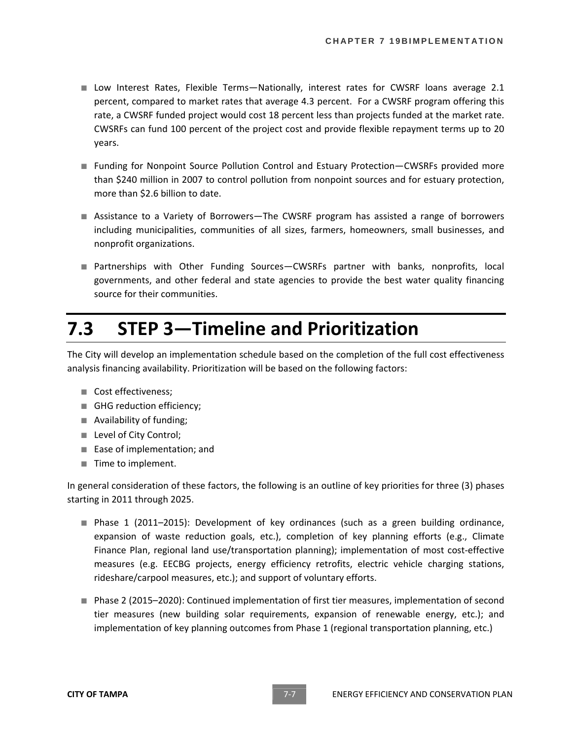- Low Interest Rates, Flexible Terms-Nationally, interest rates for CWSRF loans average 2.1 percent, compared to market rates that average 4.3 percent. For a CWSRF program offering this rate, a CWSRF funded project would cost 18 percent less than projects funded at the market rate. CWSRFs can fund 100 percent of the project cost and provide flexible repayment terms up to 20 years.
- Funding for Nonpoint Source Pollution Control and Estuary Protection–CWSRFs provided more than \$240 million in 2007 to control pollution from nonpoint sources and for estuary protection, more than \$2.6 billion to date.
- Assistance to a Variety of Borrowers—The CWSRF program has assisted a range of borrowers including municipalities, communities of all sizes, farmers, homeowners, small businesses, and nonprofit organizations.
- **■** Partnerships with Other Funding Sources—CWSRFs partner with banks, nonprofits, local governments, and other federal and state agencies to provide the best water quality financing source for their communities.

## **7.3 STEP 3—Timeline and Prioritization**

The City will develop an implementation schedule based on the completion of the full cost effectiveness analysis financing availability. Prioritization will be based on the following factors:

- Cost effectiveness:
- GHG reduction efficiency;
- Availability of funding;
- Level of City Control;
- **■** Ease of implementation; and
- Time to implement.

In general consideration of these factors, the following is an outline of key priorities for three (3) phases starting in 2011 through 2025.

- Phase 1 (2011–2015): Development of key ordinances (such as a green building ordinance, expansion of waste reduction goals, etc.), completion of key planning efforts (e.g., Climate Finance Plan, regional land use/transportation planning); implementation of most cost-effective measures (e.g. EECBG projects, energy efficiency retrofits, electric vehicle charging stations, rideshare/carpool measures, etc.); and support of voluntary efforts.
- Phase 2 (2015–2020): Continued implementation of first tier measures, implementation of second tier measures (new building solar requirements, expansion of renewable energy, etc.); and implementation of key planning outcomes from Phase 1 (regional transportation planning, etc.)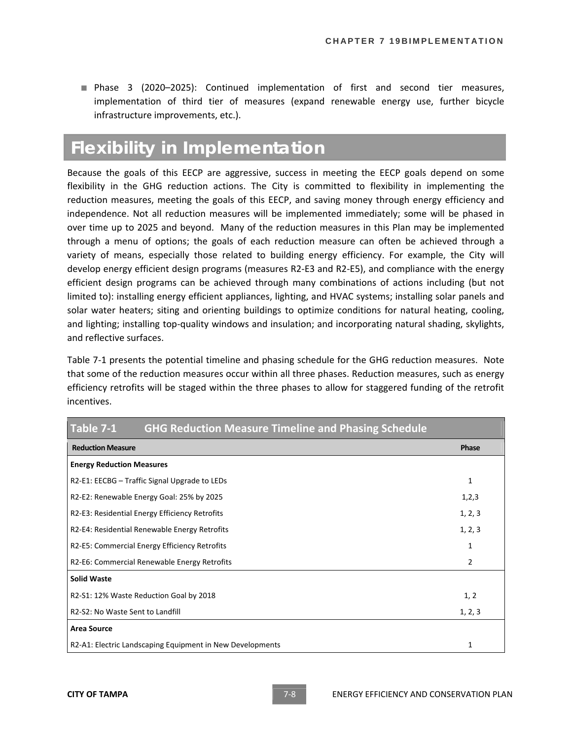**■** Phase 3 (2020–2025): Continued implementation of first and second tier measures, implementation of third tier of measures (expand renewable energy use, further bicycle infrastructure improvements, etc.).

### **Flexibility in Implementation**

Because the goals of this EECP are aggressive, success in meeting the EECP goals depend on some flexibility in the GHG reduction actions. The City is committed to flexibility in implementing the reduction measures, meeting the goals of this EECP, and saving money through energy efficiency and independence. Not all reduction measures will be implemented immediately; some will be phased in over time up to 2025 and beyond. Many of the reduction measures in this Plan may be implemented through a menu of options; the goals of each reduction measure can often be achieved through a variety of means, especially those related to building energy efficiency. For example, the City will develop energy efficient design programs (measures R2‐E3 and R2‐E5), and compliance with the energy efficient design programs can be achieved through many combinations of actions including (but not limited to): installing energy efficient appliances, lighting, and HVAC systems; installing solar panels and solar water heaters; siting and orienting buildings to optimize conditions for natural heating, cooling, and lighting; installing top-quality windows and insulation; and incorporating natural shading, skylights, and reflective surfaces.

Table 7-1 presents the potential timeline and phasing schedule for the GHG reduction measures. Note that some of the reduction measures occur within all three phases. Reduction measures, such as energy efficiency retrofits will be staged within the three phases to allow for staggered funding of the retrofit incentives.

| Table 7-1<br><b>GHG Reduction Measure Timeline and Phasing Schedule</b> |                |  |  |
|-------------------------------------------------------------------------|----------------|--|--|
| <b>Reduction Measure</b>                                                | <b>Phase</b>   |  |  |
| <b>Energy Reduction Measures</b>                                        |                |  |  |
| R2-E1: EECBG – Traffic Signal Upgrade to LEDs                           | $\mathbf{1}$   |  |  |
| R2-E2: Renewable Energy Goal: 25% by 2025                               | 1,2,3          |  |  |
| R2-E3: Residential Energy Efficiency Retrofits                          | 1, 2, 3        |  |  |
| R2-E4: Residential Renewable Energy Retrofits                           | 1, 2, 3        |  |  |
| R2-E5: Commercial Energy Efficiency Retrofits                           | 1              |  |  |
| R2-E6: Commercial Renewable Energy Retrofits                            | $\overline{2}$ |  |  |
| <b>Solid Waste</b>                                                      |                |  |  |
| R2-S1: 12% Waste Reduction Goal by 2018                                 | 1, 2           |  |  |
| R2-S2: No Waste Sent to Landfill                                        | 1, 2, 3        |  |  |
| <b>Area Source</b>                                                      |                |  |  |
| R2-A1: Electric Landscaping Equipment in New Developments               | 1              |  |  |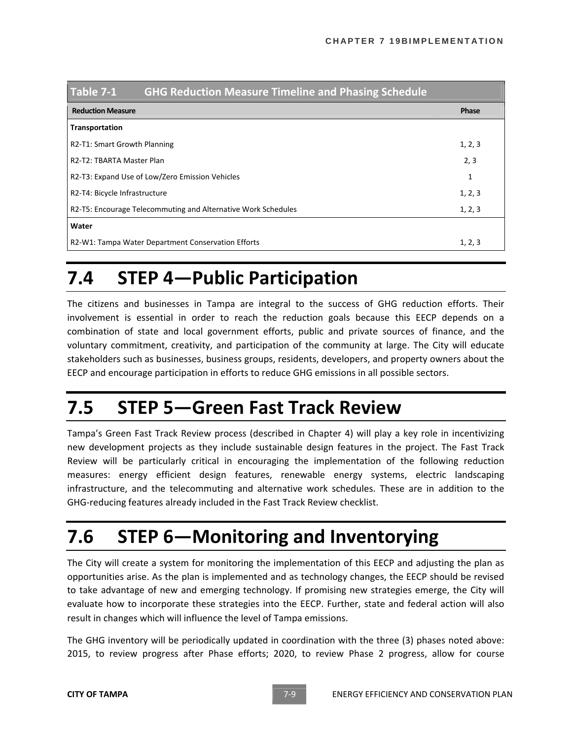| Table 7-1<br><b>GHG Reduction Measure Timeline and Phasing Schedule</b> |              |
|-------------------------------------------------------------------------|--------------|
| <b>Reduction Measure</b>                                                | <b>Phase</b> |
| <b>Transportation</b>                                                   |              |
| R2-T1: Smart Growth Planning                                            | 1, 2, 3      |
| R2-T2: TBARTA Master Plan                                               | 2, 3         |
| R2-T3: Expand Use of Low/Zero Emission Vehicles                         | 1            |
| R2-T4: Bicycle Infrastructure                                           | 1, 2, 3      |
| R2-T5: Encourage Telecommuting and Alternative Work Schedules           | 1, 2, 3      |
| Water                                                                   |              |
| R2-W1: Tampa Water Department Conservation Efforts                      | 1, 2, 3      |

# **7.4 STEP 4—Public Participation**

The citizens and businesses in Tampa are integral to the success of GHG reduction efforts. Their involvement is essential in order to reach the reduction goals because this EECP depends on a combination of state and local government efforts, public and private sources of finance, and the voluntary commitment, creativity, and participation of the community at large. The City will educate stakeholders such as businesses, business groups, residents, developers, and property owners about the EECP and encourage participation in efforts to reduce GHG emissions in all possible sectors.

# **7.5 STEP 5—Green Fast Track Review**

Tampa's Green Fast Track Review process (described in Chapter 4) will play a key role in incentivizing new development projects as they include sustainable design features in the project. The Fast Track Review will be particularly critical in encouraging the implementation of the following reduction measures: energy efficient design features, renewable energy systems, electric landscaping infrastructure, and the telecommuting and alternative work schedules. These are in addition to the GHG‐reducing features already included in the Fast Track Review checklist.

# **7.6 STEP 6—Monitoring and Inventorying**

The City will create a system for monitoring the implementation of this EECP and adjusting the plan as opportunities arise. As the plan is implemented and as technology changes, the EECP should be revised to take advantage of new and emerging technology. If promising new strategies emerge, the City will evaluate how to incorporate these strategies into the EECP. Further, state and federal action will also result in changes which will influence the level of Tampa emissions.

The GHG inventory will be periodically updated in coordination with the three (3) phases noted above: 2015, to review progress after Phase efforts; 2020, to review Phase 2 progress, allow for course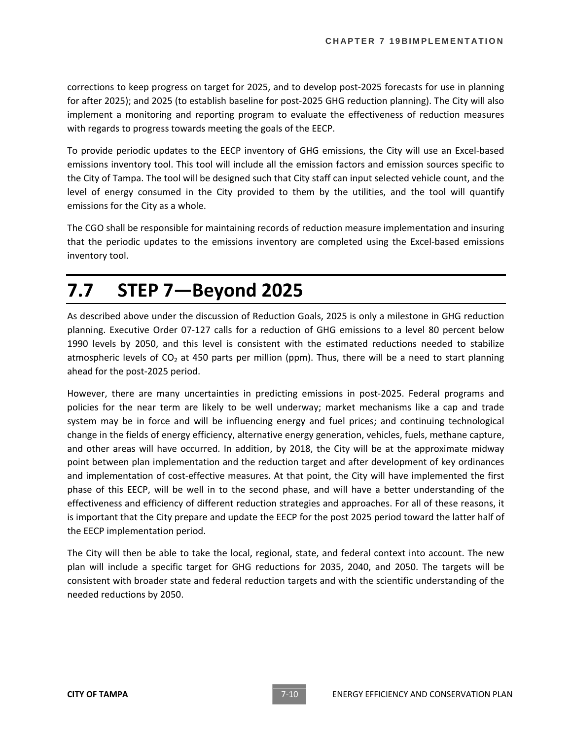corrections to keep progress on target for 2025, and to develop post‐2025 forecasts for use in planning for after 2025); and 2025 (to establish baseline for post-2025 GHG reduction planning). The City will also implement a monitoring and reporting program to evaluate the effectiveness of reduction measures with regards to progress towards meeting the goals of the EECP.

To provide periodic updates to the EECP inventory of GHG emissions, the City will use an Excel‐based emissions inventory tool. This tool will include all the emission factors and emission sources specific to the City of Tampa. The tool will be designed such that City staff can input selected vehicle count, and the level of energy consumed in the City provided to them by the utilities, and the tool will quantify emissions for the City as a whole.

The CGO shall be responsible for maintaining records of reduction measure implementation and insuring that the periodic updates to the emissions inventory are completed using the Excel‐based emissions inventory tool.

# **7.7 STEP 7—Beyond 2025**

As described above under the discussion of Reduction Goals, 2025 is only a milestone in GHG reduction planning. Executive Order 07‐127 calls for a reduction of GHG emissions to a level 80 percent below 1990 levels by 2050, and this level is consistent with the estimated reductions needed to stabilize atmospheric levels of  $CO<sub>2</sub>$  at 450 parts per million (ppm). Thus, there will be a need to start planning ahead for the post‐2025 period.

However, there are many uncertainties in predicting emissions in post‐2025. Federal programs and policies for the near term are likely to be well underway; market mechanisms like a cap and trade system may be in force and will be influencing energy and fuel prices; and continuing technological change in the fields of energy efficiency, alternative energy generation, vehicles, fuels, methane capture, and other areas will have occurred. In addition, by 2018, the City will be at the approximate midway point between plan implementation and the reduction target and after development of key ordinances and implementation of cost-effective measures. At that point, the City will have implemented the first phase of this EECP, will be well in to the second phase, and will have a better understanding of the effectiveness and efficiency of different reduction strategies and approaches. For all of these reasons, it is important that the City prepare and update the EECP for the post 2025 period toward the latter half of the EECP implementation period.

The City will then be able to take the local, regional, state, and federal context into account. The new plan will include a specific target for GHG reductions for 2035, 2040, and 2050. The targets will be consistent with broader state and federal reduction targets and with the scientific understanding of the needed reductions by 2050.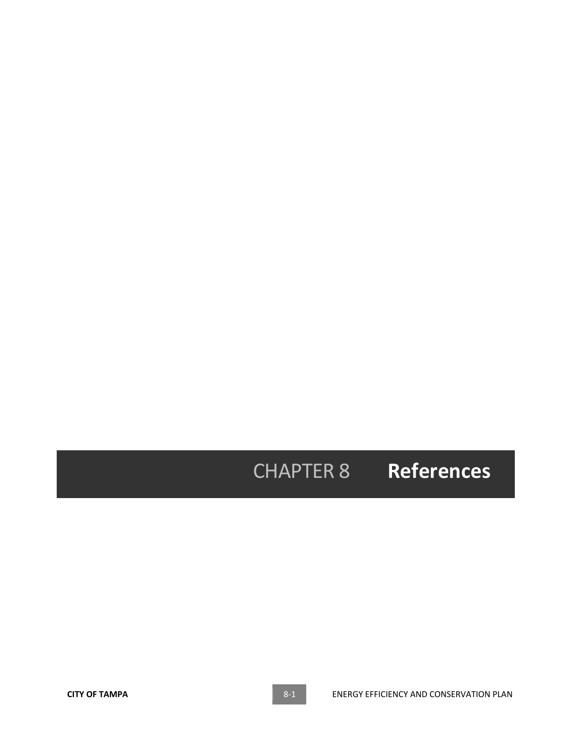# CHAPTER 8 **References**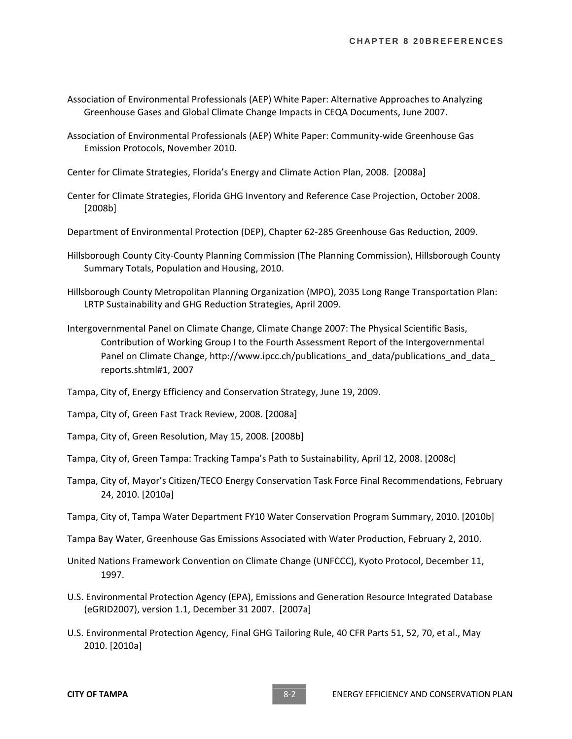- Association of Environmental Professionals (AEP) White Paper: Alternative Approaches to Analyzing Greenhouse Gases and Global Climate Change Impacts in CEQA Documents, June 2007.
- Association of Environmental Professionals (AEP) White Paper: Community‐wide Greenhouse Gas Emission Protocols, November 2010.
- Center for Climate Strategies, Florida's Energy and Climate Action Plan, 2008. [2008a]
- Center for Climate Strategies, Florida GHG Inventory and Reference Case Projection, October 2008. [2008b]
- Department of Environmental Protection (DEP), Chapter 62‐285 Greenhouse Gas Reduction, 2009.
- Hillsborough County City‐County Planning Commission (The Planning Commission), Hillsborough County Summary Totals, Population and Housing, 2010.
- Hillsborough County Metropolitan Planning Organization (MPO), 2035 Long Range Transportation Plan: LRTP Sustainability and GHG Reduction Strategies, April 2009.
- Intergovernmental Panel on Climate Change, Climate Change 2007: The Physical Scientific Basis, Contribution of Working Group I to the Fourth Assessment Report of the Intergovernmental Panel on Climate Change, http://www.ipcc.ch/publications\_and\_data/publications\_and\_data reports.shtml#1, 2007
- Tampa, City of, Energy Efficiency and Conservation Strategy, June 19, 2009.
- Tampa, City of, Green Fast Track Review, 2008. [2008a]
- Tampa, City of, Green Resolution, May 15, 2008. [2008b]
- Tampa, City of, Green Tampa: Tracking Tampa's Path to Sustainability, April 12, 2008. [2008c]
- Tampa, City of, Mayor's Citizen/TECO Energy Conservation Task Force Final Recommendations, February 24, 2010. [2010a]
- Tampa, City of, Tampa Water Department FY10 Water Conservation Program Summary, 2010. [2010b]
- Tampa Bay Water, Greenhouse Gas Emissions Associated with Water Production, February 2, 2010.
- United Nations Framework Convention on Climate Change (UNFCCC), Kyoto Protocol, December 11, 1997.
- U.S. Environmental Protection Agency (EPA), Emissions and Generation Resource Integrated Database (eGRID2007), version 1.1, December 31 2007. [2007a]
- U.S. Environmental Protection Agency, Final GHG Tailoring Rule, 40 CFR Parts 51, 52, 70, et al., May 2010. [2010a]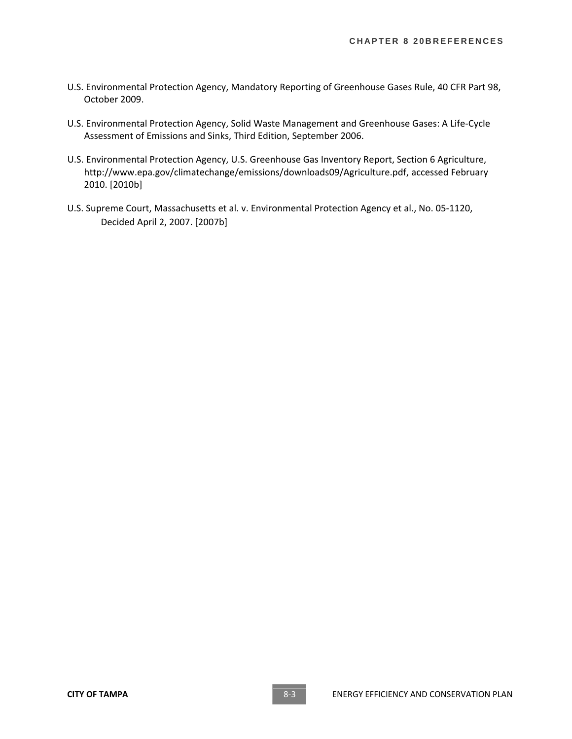- U.S. Environmental Protection Agency, Mandatory Reporting of Greenhouse Gases Rule, 40 CFR Part 98, October 2009.
- U.S. Environmental Protection Agency, Solid Waste Management and Greenhouse Gases: A Life‐Cycle Assessment of Emissions and Sinks, Third Edition, September 2006.
- U.S. Environmental Protection Agency, U.S. Greenhouse Gas Inventory Report, Section 6 Agriculture, http://www.epa.gov/climatechange/emissions/downloads09/Agriculture.pdf, accessed February 2010. [2010b]
- U.S. Supreme Court, Massachusetts et al. v. Environmental Protection Agency et al., No. 05‐1120, Decided April 2, 2007. [2007b]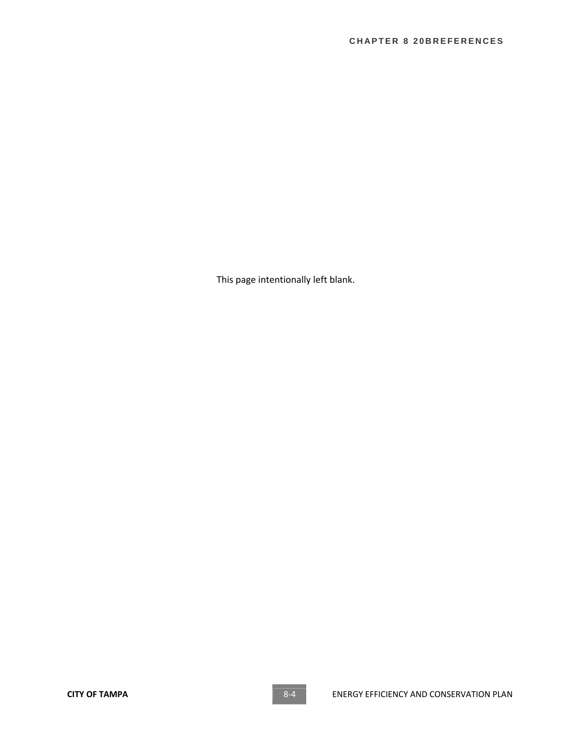This page intentionally left blank.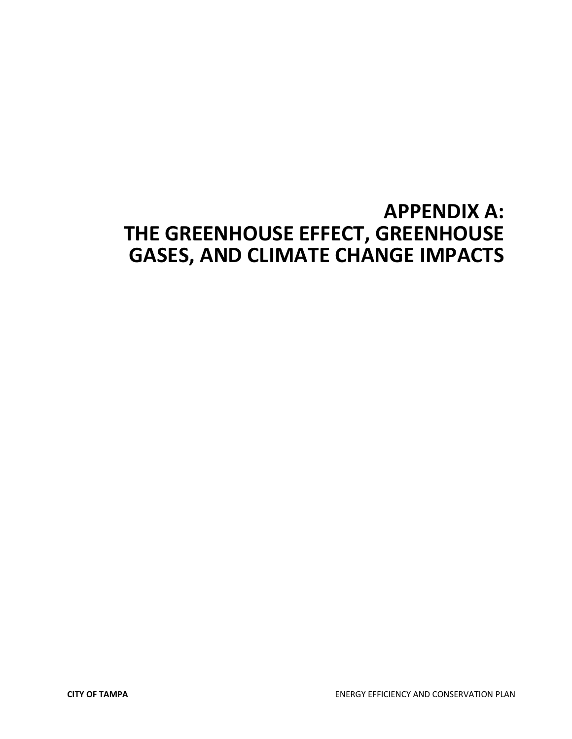#### **APPENDIX A: THE GREENHOUSE EFFECT, GREENHOUSE GASES, AND CLIMATE CHANGE IMPACTS**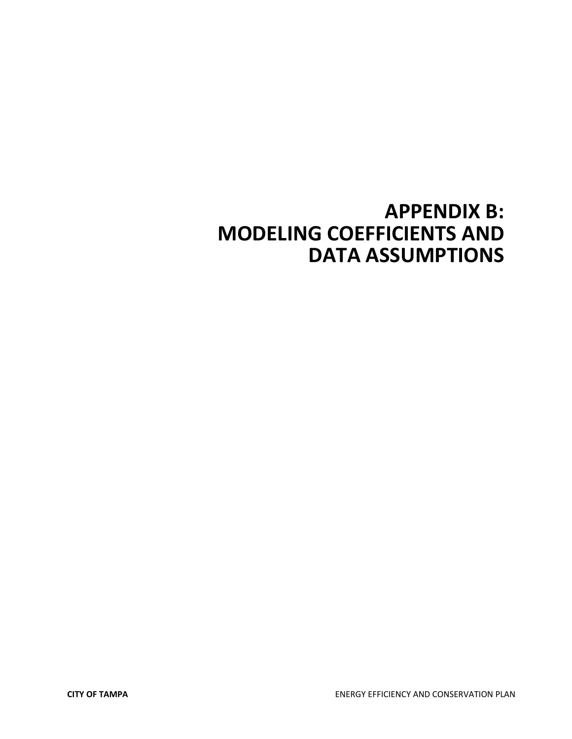## **APPENDIX B: MODELING COEFFICIENTS AND DATA ASSUMPTIONS**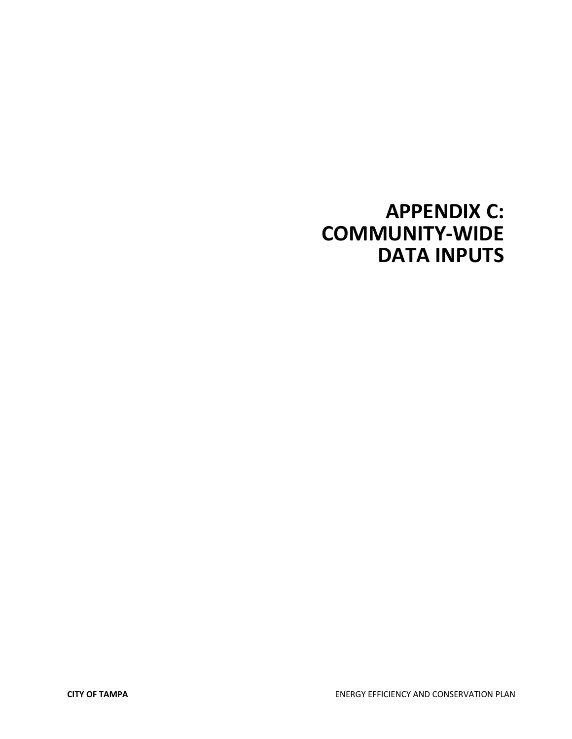### **APPENDIX C: COMMUNITY‐WIDE DATA INPUTS**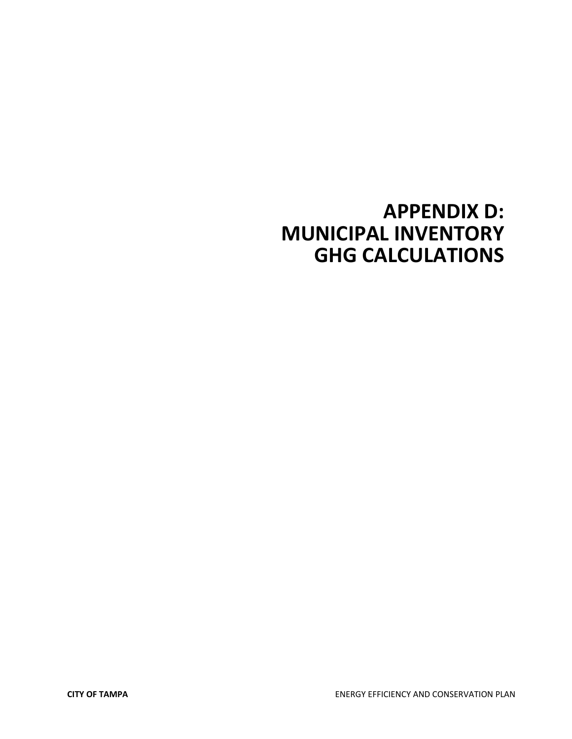# **APPENDIX D: MUNICIPAL INVENTORY GHG CALCULATIONS**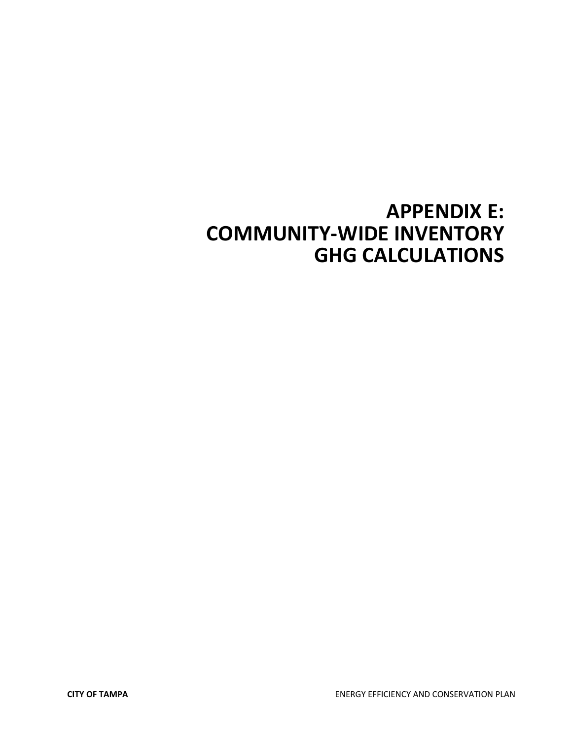# **APPENDIX E: COMMUNITY‐WIDE INVENTORY GHG CALCULATIONS**